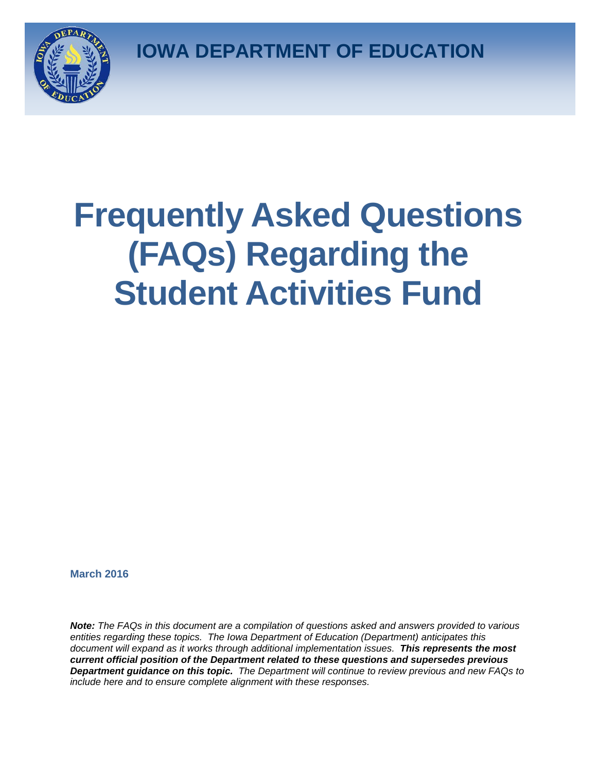**IOWA DEPARTMENT OF EDUCATION**



# **Frequently Asked Questions (FAQs) Regarding the Student Activities Fund**

**March 2016**

*Note: The FAQs in this document are a compilation of questions asked and answers provided to various entities regarding these topics. The Iowa Department of Education (Department) anticipates this document will expand as it works through additional implementation issues. This represents the most current official position of the Department related to these questions and supersedes previous Department guidance on this topic. The Department will continue to review previous and new FAQs to include here and to ensure complete alignment with these responses.*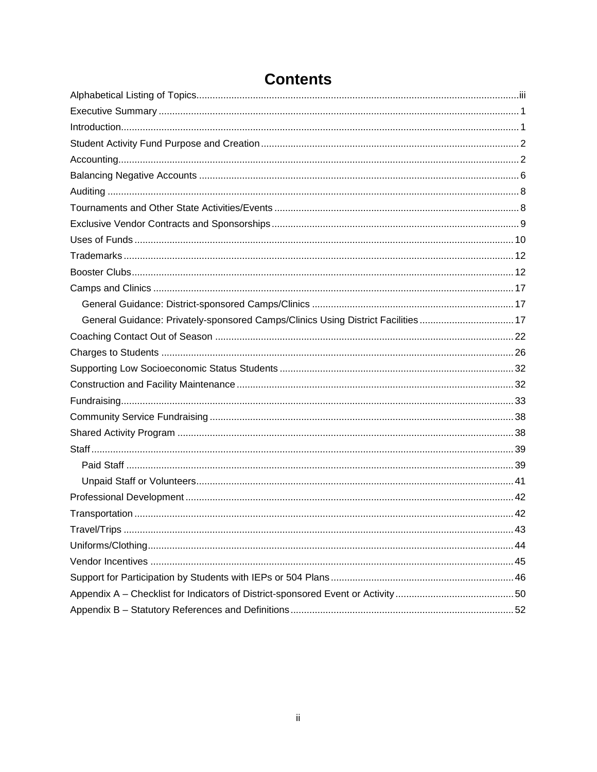| General Guidance: Privately-sponsored Camps/Clinics Using District Facilities 17 |  |
|----------------------------------------------------------------------------------|--|
|                                                                                  |  |
|                                                                                  |  |
|                                                                                  |  |
|                                                                                  |  |
|                                                                                  |  |
|                                                                                  |  |
|                                                                                  |  |
|                                                                                  |  |
|                                                                                  |  |
|                                                                                  |  |
|                                                                                  |  |
|                                                                                  |  |
|                                                                                  |  |
|                                                                                  |  |
|                                                                                  |  |
|                                                                                  |  |
|                                                                                  |  |
|                                                                                  |  |

# **Contents**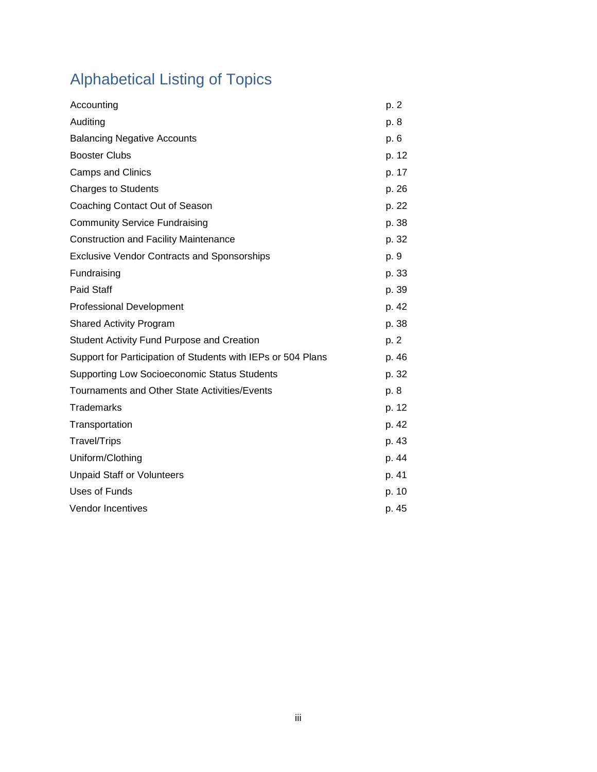# <span id="page-2-0"></span>Alphabetical Listing of Topics

| Accounting                                                   | p. 2  |
|--------------------------------------------------------------|-------|
| Auditing                                                     | p. 8  |
| <b>Balancing Negative Accounts</b>                           | p. 6  |
| <b>Booster Clubs</b>                                         | p. 12 |
| <b>Camps and Clinics</b>                                     | p. 17 |
| <b>Charges to Students</b>                                   | p. 26 |
| Coaching Contact Out of Season                               | p. 22 |
| <b>Community Service Fundraising</b>                         | p. 38 |
| <b>Construction and Facility Maintenance</b>                 | p. 32 |
| <b>Exclusive Vendor Contracts and Sponsorships</b>           | p. 9  |
| Fundraising                                                  | p. 33 |
| <b>Paid Staff</b>                                            | p. 39 |
| <b>Professional Development</b>                              | p. 42 |
| <b>Shared Activity Program</b>                               | p. 38 |
| <b>Student Activity Fund Purpose and Creation</b>            | p. 2  |
| Support for Participation of Students with IEPs or 504 Plans | p. 46 |
| Supporting Low Socioeconomic Status Students                 | p. 32 |
| Tournaments and Other State Activities/Events                | p. 8  |
| <b>Trademarks</b>                                            | p. 12 |
| Transportation                                               | p. 42 |
| <b>Travel/Trips</b>                                          | p. 43 |
| Uniform/Clothing                                             | p. 44 |
| <b>Unpaid Staff or Volunteers</b>                            | p. 41 |
| <b>Uses of Funds</b>                                         | p. 10 |
| <b>Vendor Incentives</b>                                     | p. 45 |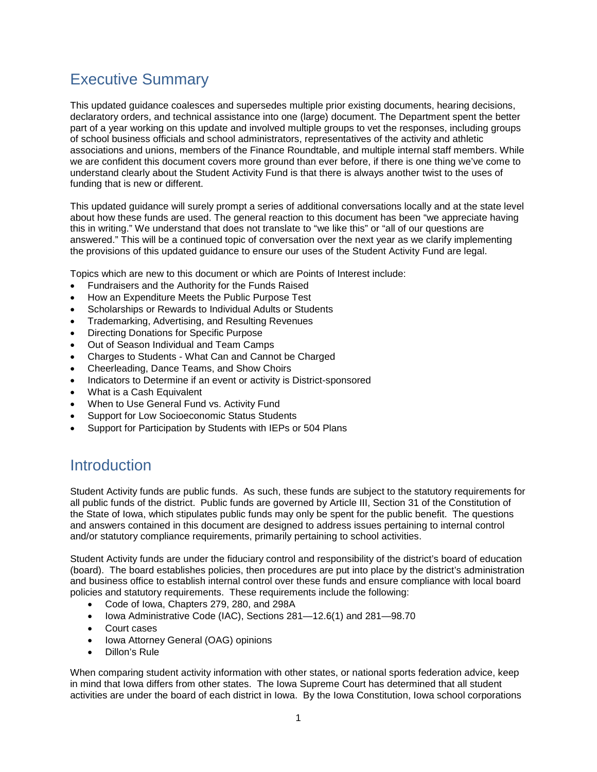### <span id="page-3-0"></span>Executive Summary

This updated guidance coalesces and supersedes multiple prior existing documents, hearing decisions, declaratory orders, and technical assistance into one (large) document. The Department spent the better part of a year working on this update and involved multiple groups to vet the responses, including groups of school business officials and school administrators, representatives of the activity and athletic associations and unions, members of the Finance Roundtable, and multiple internal staff members. While we are confident this document covers more ground than ever before, if there is one thing we've come to understand clearly about the Student Activity Fund is that there is always another twist to the uses of funding that is new or different.

This updated guidance will surely prompt a series of additional conversations locally and at the state level about how these funds are used. The general reaction to this document has been "we appreciate having this in writing." We understand that does not translate to "we like this" or "all of our questions are answered." This will be a continued topic of conversation over the next year as we clarify implementing the provisions of this updated guidance to ensure our uses of the Student Activity Fund are legal.

Topics which are new to this document or which are Points of Interest include:

- Fundraisers and the Authority for the Funds Raised
- How an Expenditure Meets the Public Purpose Test
- Scholarships or Rewards to Individual Adults or Students
- Trademarking, Advertising, and Resulting Revenues
- Directing Donations for Specific Purpose
- Out of Season Individual and Team Camps
- Charges to Students What Can and Cannot be Charged
- Cheerleading, Dance Teams, and Show Choirs
- Indicators to Determine if an event or activity is District-sponsored
- What is a Cash Equivalent
- When to Use General Fund vs. Activity Fund
- Support for Low Socioeconomic Status Students
- Support for Participation by Students with IEPs or 504 Plans

### <span id="page-3-1"></span>**Introduction**

Student Activity funds are public funds. As such, these funds are subject to the statutory requirements for all public funds of the district. Public funds are governed by Article III, Section 31 of the Constitution of the State of Iowa, which stipulates public funds may only be spent for the public benefit. The questions and answers contained in this document are designed to address issues pertaining to internal control and/or statutory compliance requirements, primarily pertaining to school activities.

Student Activity funds are under the fiduciary control and responsibility of the district's board of education (board). The board establishes policies, then procedures are put into place by the district's administration and business office to establish internal control over these funds and ensure compliance with local board policies and statutory requirements. These requirements include the following:

- Code of Iowa, Chapters 279, 280, and 298A
- Iowa Administrative Code (IAC), Sections 281—12.6(1) and 281—98.70
- Court cases
- Iowa Attorney General (OAG) opinions
- Dillon's Rule

When comparing student activity information with other states, or national sports federation advice, keep in mind that Iowa differs from other states. The Iowa Supreme Court has determined that all student activities are under the board of each district in Iowa. By the Iowa Constitution, Iowa school corporations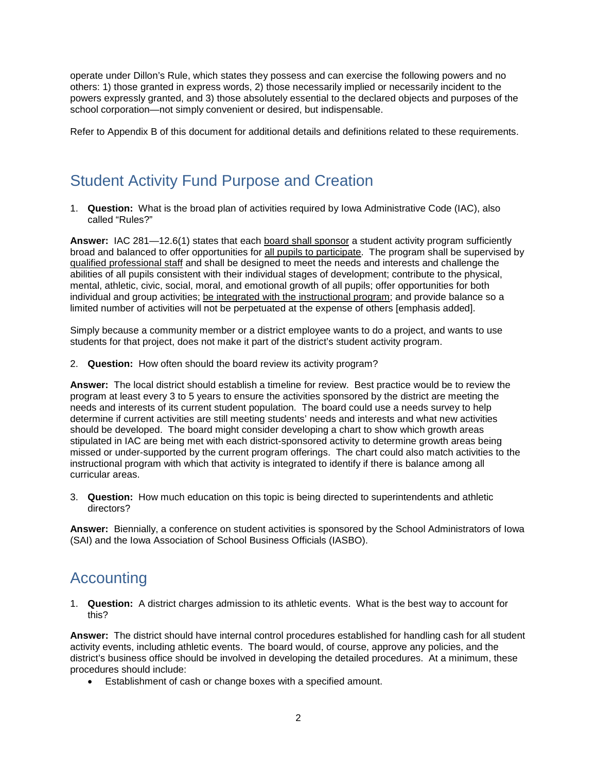operate under Dillon's Rule, which states they possess and can exercise the following powers and no others: 1) those granted in express words, 2) those necessarily implied or necessarily incident to the powers expressly granted, and 3) those absolutely essential to the declared objects and purposes of the school corporation—not simply convenient or desired, but indispensable.

Refer to Appendix B of this document for additional details and definitions related to these requirements.

### <span id="page-4-0"></span>Student Activity Fund Purpose and Creation

1. **Question:** What is the broad plan of activities required by Iowa Administrative Code (IAC), also called "Rules?"

**Answer:** IAC 281—12.6(1) states that each board shall sponsor a student activity program sufficiently broad and balanced to offer opportunities for all pupils to participate. The program shall be supervised by qualified professional staff and shall be designed to meet the needs and interests and challenge the abilities of all pupils consistent with their individual stages of development; contribute to the physical, mental, athletic, civic, social, moral, and emotional growth of all pupils; offer opportunities for both individual and group activities; be integrated with the instructional program; and provide balance so a limited number of activities will not be perpetuated at the expense of others [emphasis added].

Simply because a community member or a district employee wants to do a project, and wants to use students for that project, does not make it part of the district's student activity program.

2. **Question:** How often should the board review its activity program?

**Answer:** The local district should establish a timeline for review. Best practice would be to review the program at least every 3 to 5 years to ensure the activities sponsored by the district are meeting the needs and interests of its current student population. The board could use a needs survey to help determine if current activities are still meeting students' needs and interests and what new activities should be developed. The board might consider developing a chart to show which growth areas stipulated in IAC are being met with each district-sponsored activity to determine growth areas being missed or under-supported by the current program offerings. The chart could also match activities to the instructional program with which that activity is integrated to identify if there is balance among all curricular areas.

3. **Question:** How much education on this topic is being directed to superintendents and athletic directors?

**Answer:** Biennially, a conference on student activities is sponsored by the School Administrators of Iowa (SAI) and the Iowa Association of School Business Officials (IASBO).

### <span id="page-4-1"></span>Accounting

1. **Question:** A district charges admission to its athletic events. What is the best way to account for this?

**Answer:** The district should have internal control procedures established for handling cash for all student activity events, including athletic events. The board would, of course, approve any policies, and the district's business office should be involved in developing the detailed procedures. At a minimum, these procedures should include:

• Establishment of cash or change boxes with a specified amount.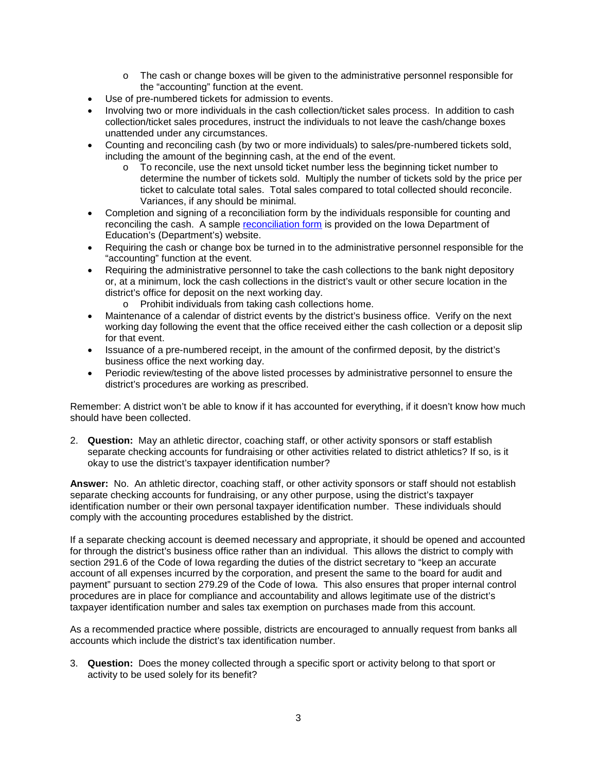- o The cash or change boxes will be given to the administrative personnel responsible for the "accounting" function at the event.
- Use of pre-numbered tickets for admission to events.
- Involving two or more individuals in the cash collection/ticket sales process. In addition to cash collection/ticket sales procedures, instruct the individuals to not leave the cash/change boxes unattended under any circumstances.
- Counting and reconciling cash (by two or more individuals) to sales/pre-numbered tickets sold, including the amount of the beginning cash, at the end of the event.
	- $\circ$  To reconcile, use the next unsold ticket number less the beginning ticket number to determine the number of tickets sold. Multiply the number of tickets sold by the price per ticket to calculate total sales. Total sales compared to total collected should reconcile. Variances, if any should be minimal.
- Completion and signing of a reconciliation form by the individuals responsible for counting and reconciling the cash. A sample [reconciliation form](https://www.educateiowa.gov/documents/school-finance-tools/2013/04/admissions-reconciliation) is provided on the Iowa Department of Education's (Department's) website.
- Requiring the cash or change box be turned in to the administrative personnel responsible for the "accounting" function at the event.
- Requiring the administrative personnel to take the cash collections to the bank night depository or, at a minimum, lock the cash collections in the district's vault or other secure location in the district's office for deposit on the next working day.
	- o Prohibit individuals from taking cash collections home.
- Maintenance of a calendar of district events by the district's business office. Verify on the next working day following the event that the office received either the cash collection or a deposit slip for that event.
- Issuance of a pre-numbered receipt, in the amount of the confirmed deposit, by the district's business office the next working day.
- Periodic review/testing of the above listed processes by administrative personnel to ensure the district's procedures are working as prescribed.

Remember: A district won't be able to know if it has accounted for everything, if it doesn't know how much should have been collected.

2. **Question:** May an athletic director, coaching staff, or other activity sponsors or staff establish separate checking accounts for fundraising or other activities related to district athletics? If so, is it okay to use the district's taxpayer identification number?

**Answer:** No. An athletic director, coaching staff, or other activity sponsors or staff should not establish separate checking accounts for fundraising, or any other purpose, using the district's taxpayer identification number or their own personal taxpayer identification number. These individuals should comply with the accounting procedures established by the district.

If a separate checking account is deemed necessary and appropriate, it should be opened and accounted for through the district's business office rather than an individual. This allows the district to comply with section 291.6 of the Code of Iowa regarding the duties of the district secretary to "keep an accurate account of all expenses incurred by the corporation, and present the same to the board for audit and payment" pursuant to section 279.29 of the Code of Iowa. This also ensures that proper internal control procedures are in place for compliance and accountability and allows legitimate use of the district's taxpayer identification number and sales tax exemption on purchases made from this account.

As a recommended practice where possible, districts are encouraged to annually request from banks all accounts which include the district's tax identification number.

3. **Question:** Does the money collected through a specific sport or activity belong to that sport or activity to be used solely for its benefit?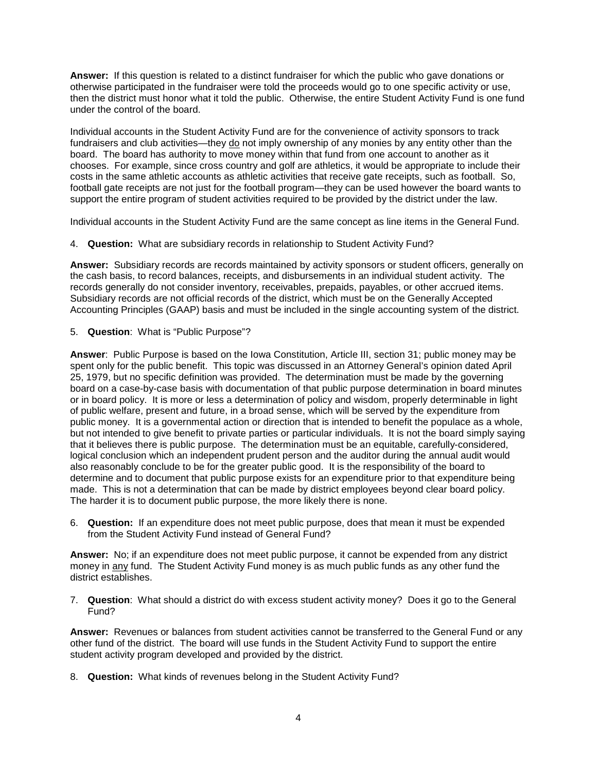**Answer:** If this question is related to a distinct fundraiser for which the public who gave donations or otherwise participated in the fundraiser were told the proceeds would go to one specific activity or use, then the district must honor what it told the public. Otherwise, the entire Student Activity Fund is one fund under the control of the board.

Individual accounts in the Student Activity Fund are for the convenience of activity sponsors to track fundraisers and club activities—they  $\underline{do}$  not imply ownership of any monies by any entity other than the board. The board has authority to move money within that fund from one account to another as it chooses. For example, since cross country and golf are athletics, it would be appropriate to include their costs in the same athletic accounts as athletic activities that receive gate receipts, such as football. So, football gate receipts are not just for the football program—they can be used however the board wants to support the entire program of student activities required to be provided by the district under the law.

Individual accounts in the Student Activity Fund are the same concept as line items in the General Fund.

4. **Question:** What are subsidiary records in relationship to Student Activity Fund?

**Answer:** Subsidiary records are records maintained by activity sponsors or student officers, generally on the cash basis, to record balances, receipts, and disbursements in an individual student activity. The records generally do not consider inventory, receivables, prepaids, payables, or other accrued items. Subsidiary records are not official records of the district, which must be on the Generally Accepted Accounting Principles (GAAP) basis and must be included in the single accounting system of the district.

5. **Question**: What is "Public Purpose"?

**Answer**: Public Purpose is based on the Iowa Constitution, Article III, section 31; public money may be spent only for the public benefit. This topic was discussed in an Attorney General's opinion dated April 25, 1979, but no specific definition was provided. The determination must be made by the governing board on a case-by-case basis with documentation of that public purpose determination in board minutes or in board policy. It is more or less a determination of policy and wisdom, properly determinable in light of public welfare, present and future, in a broad sense, which will be served by the expenditure from public money. It is a governmental action or direction that is intended to benefit the populace as a whole, but not intended to give benefit to private parties or particular individuals. It is not the board simply saying that it believes there is public purpose. The determination must be an equitable, carefully-considered, logical conclusion which an independent prudent person and the auditor during the annual audit would also reasonably conclude to be for the greater public good. It is the responsibility of the board to determine and to document that public purpose exists for an expenditure prior to that expenditure being made. This is not a determination that can be made by district employees beyond clear board policy. The harder it is to document public purpose, the more likely there is none.

6. **Question:** If an expenditure does not meet public purpose, does that mean it must be expended from the Student Activity Fund instead of General Fund?

**Answer:** No; if an expenditure does not meet public purpose, it cannot be expended from any district money in any fund. The Student Activity Fund money is as much public funds as any other fund the district establishes.

7. **Question**: What should a district do with excess student activity money? Does it go to the General Fund?

**Answer:** Revenues or balances from student activities cannot be transferred to the General Fund or any other fund of the district. The board will use funds in the Student Activity Fund to support the entire student activity program developed and provided by the district.

8. **Question:** What kinds of revenues belong in the Student Activity Fund?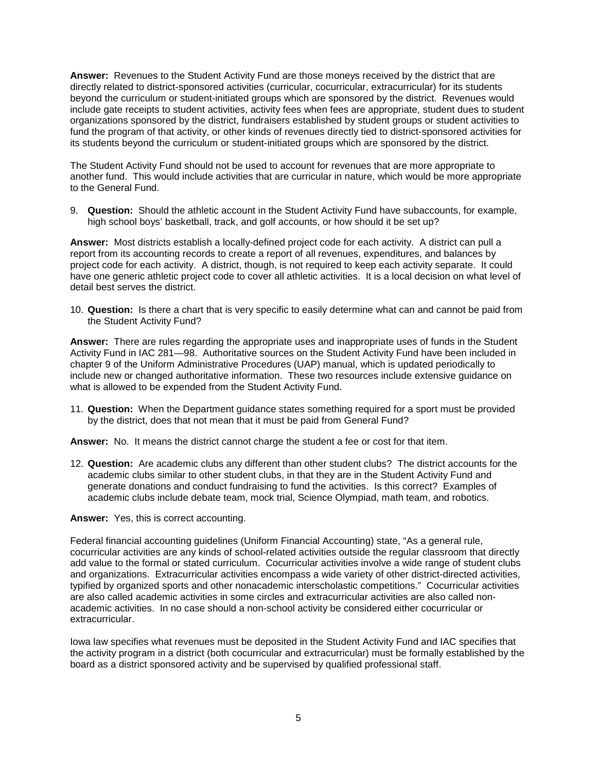**Answer:** Revenues to the Student Activity Fund are those moneys received by the district that are directly related to district-sponsored activities (curricular, cocurricular, extracurricular) for its students beyond the curriculum or student-initiated groups which are sponsored by the district. Revenues would include gate receipts to student activities, activity fees when fees are appropriate, student dues to student organizations sponsored by the district, fundraisers established by student groups or student activities to fund the program of that activity, or other kinds of revenues directly tied to district-sponsored activities for its students beyond the curriculum or student-initiated groups which are sponsored by the district.

The Student Activity Fund should not be used to account for revenues that are more appropriate to another fund. This would include activities that are curricular in nature, which would be more appropriate to the General Fund.

9. **Question:** Should the athletic account in the Student Activity Fund have subaccounts, for example, high school boys' basketball, track, and golf accounts, or how should it be set up?

**Answer:** Most districts establish a locally-defined project code for each activity. A district can pull a report from its accounting records to create a report of all revenues, expenditures, and balances by project code for each activity. A district, though, is not required to keep each activity separate. It could have one generic athletic project code to cover all athletic activities. It is a local decision on what level of detail best serves the district.

10. **Question:** Is there a chart that is very specific to easily determine what can and cannot be paid from the Student Activity Fund?

**Answer:** There are rules regarding the appropriate uses and inappropriate uses of funds in the Student Activity Fund in IAC 281—98. Authoritative sources on the Student Activity Fund have been included in chapter 9 of the Uniform Administrative Procedures (UAP) manual, which is updated periodically to include new or changed authoritative information. These two resources include extensive guidance on what is allowed to be expended from the Student Activity Fund.

11. **Question:** When the Department guidance states something required for a sport must be provided by the district, does that not mean that it must be paid from General Fund?

**Answer:** No. It means the district cannot charge the student a fee or cost for that item.

12. **Question:** Are academic clubs any different than other student clubs? The district accounts for the academic clubs similar to other student clubs, in that they are in the Student Activity Fund and generate donations and conduct fundraising to fund the activities. Is this correct? Examples of academic clubs include debate team, mock trial, Science Olympiad, math team, and robotics.

**Answer:** Yes, this is correct accounting.

Federal financial accounting guidelines (Uniform Financial Accounting) state, "As a general rule, cocurricular activities are any kinds of school-related activities outside the regular classroom that directly add value to the formal or stated curriculum. Cocurricular activities involve a wide range of student clubs and organizations. Extracurricular activities encompass a wide variety of other district-directed activities, typified by organized sports and other nonacademic interscholastic competitions." Cocurricular activities are also called academic activities in some circles and extracurricular activities are also called nonacademic activities. In no case should a non-school activity be considered either cocurricular or extracurricular.

Iowa law specifies what revenues must be deposited in the Student Activity Fund and IAC specifies that the activity program in a district (both cocurricular and extracurricular) must be formally established by the board as a district sponsored activity and be supervised by qualified professional staff.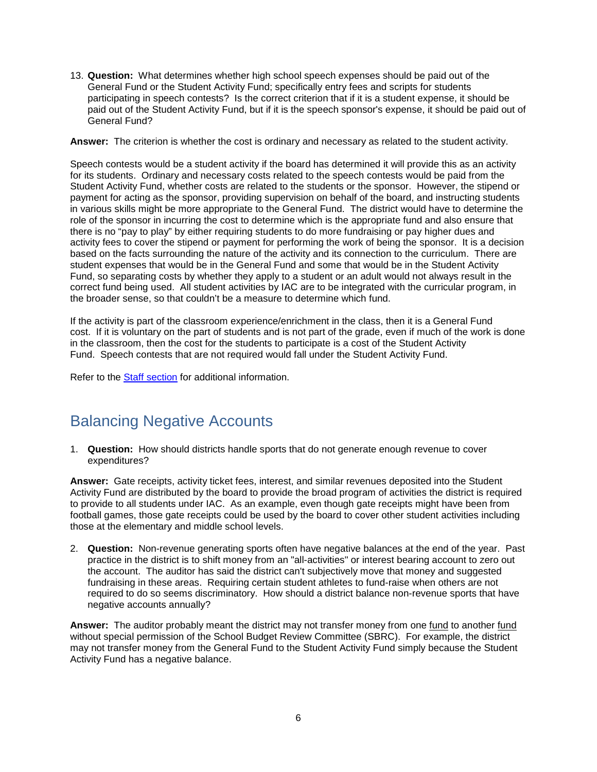13. **Question:** What determines whether high school speech expenses should be paid out of the General Fund or the Student Activity Fund; specifically entry fees and scripts for students participating in speech contests? Is the correct criterion that if it is a student expense, it should be paid out of the Student Activity Fund, but if it is the speech sponsor's expense, it should be paid out of General Fund?

**Answer:** The criterion is whether the cost is ordinary and necessary as related to the student activity.

Speech contests would be a student activity if the board has determined it will provide this as an activity for its students. Ordinary and necessary costs related to the speech contests would be paid from the Student Activity Fund, whether costs are related to the students or the sponsor. However, the stipend or payment for acting as the sponsor, providing supervision on behalf of the board, and instructing students in various skills might be more appropriate to the General Fund. The district would have to determine the role of the sponsor in incurring the cost to determine which is the appropriate fund and also ensure that there is no "pay to play" by either requiring students to do more fundraising or pay higher dues and activity fees to cover the stipend or payment for performing the work of being the sponsor. It is a decision based on the facts surrounding the nature of the activity and its connection to the curriculum. There are student expenses that would be in the General Fund and some that would be in the Student Activity Fund, so separating costs by whether they apply to a student or an adult would not always result in the correct fund being used. All student activities by IAC are to be integrated with the curricular program, in the broader sense, so that couldn't be a measure to determine which fund.

If the activity is part of the classroom experience/enrichment in the class, then it is a General Fund cost. If it is voluntary on the part of students and is not part of the grade, even if much of the work is done in the classroom, then the cost for the students to participate is a cost of the Student Activity Fund. Speech contests that are not required would fall under the Student Activity Fund.

Refer to the [Staff section](#page-41-0) for additional information.

### <span id="page-8-0"></span>Balancing Negative Accounts

1. **Question:** How should districts handle sports that do not generate enough revenue to cover expenditures?

**Answer:** Gate receipts, activity ticket fees, interest, and similar revenues deposited into the Student Activity Fund are distributed by the board to provide the broad program of activities the district is required to provide to all students under IAC. As an example, even though gate receipts might have been from football games, those gate receipts could be used by the board to cover other student activities including those at the elementary and middle school levels.

2. **Question:** Non-revenue generating sports often have negative balances at the end of the year. Past practice in the district is to shift money from an "all-activities" or interest bearing account to zero out the account. The auditor has said the district can't subjectively move that money and suggested fundraising in these areas. Requiring certain student athletes to fund-raise when others are not required to do so seems discriminatory. How should a district balance non-revenue sports that have negative accounts annually?

**Answer:** The auditor probably meant the district may not transfer money from one fund to another fund without special permission of the School Budget Review Committee (SBRC). For example, the district may not transfer money from the General Fund to the Student Activity Fund simply because the Student Activity Fund has a negative balance.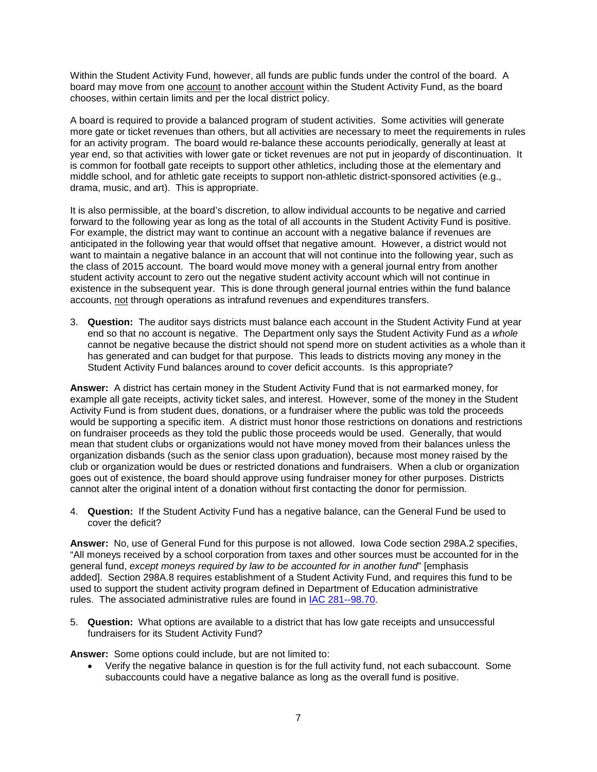Within the Student Activity Fund, however, all funds are public funds under the control of the board. A board may move from one account to another account within the Student Activity Fund, as the board chooses, within certain limits and per the local district policy.

A board is required to provide a balanced program of student activities. Some activities will generate more gate or ticket revenues than others, but all activities are necessary to meet the requirements in rules for an activity program. The board would re-balance these accounts periodically, generally at least at year end, so that activities with lower gate or ticket revenues are not put in jeopardy of discontinuation. It is common for football gate receipts to support other athletics, including those at the elementary and middle school, and for athletic gate receipts to support non-athletic district-sponsored activities (e.g., drama, music, and art). This is appropriate.

It is also permissible, at the board's discretion, to allow individual accounts to be negative and carried forward to the following year as long as the total of all accounts in the Student Activity Fund is positive. For example, the district may want to continue an account with a negative balance if revenues are anticipated in the following year that would offset that negative amount. However, a district would not want to maintain a negative balance in an account that will not continue into the following year, such as the class of 2015 account. The board would move money with a general journal entry from another student activity account to zero out the negative student activity account which will not continue in existence in the subsequent year. This is done through general journal entries within the fund balance accounts, not through operations as intrafund revenues and expenditures transfers.

3. **Question:** The auditor says districts must balance each account in the Student Activity Fund at year end so that no account is negative. The Department only says the Student Activity Fund *as a whole* cannot be negative because the district should not spend more on student activities as a whole than it has generated and can budget for that purpose. This leads to districts moving any money in the Student Activity Fund balances around to cover deficit accounts. Is this appropriate?

**Answer:** A district has certain money in the Student Activity Fund that is not earmarked money, for example all gate receipts, activity ticket sales, and interest. However, some of the money in the Student Activity Fund is from student dues, donations, or a fundraiser where the public was told the proceeds would be supporting a specific item. A district must honor those restrictions on donations and restrictions on fundraiser proceeds as they told the public those proceeds would be used. Generally, that would mean that student clubs or organizations would not have money moved from their balances unless the organization disbands (such as the senior class upon graduation), because most money raised by the club or organization would be dues or restricted donations and fundraisers. When a club or organization goes out of existence, the board should approve using fundraiser money for other purposes. Districts cannot alter the original intent of a donation without first contacting the donor for permission.

4. **Question:** If the Student Activity Fund has a negative balance, can the General Fund be used to cover the deficit?

**Answer:** No, use of General Fund for this purpose is not allowed. Iowa Code section 298A.2 specifies, "All moneys received by a school corporation from taxes and other sources must be accounted for in the general fund, *except moneys required by law to be accounted for in another fund*" [emphasis added]. Section 298A.8 requires establishment of a Student Activity Fund, and requires this fund to be used to support the student activity program defined in Department of Education administrative rules. The associated administrative rules are found in [IAC 281--98.70.](https://www.legis.iowa.gov/docs/ACO/IAC/LINC/04-15-2015.Rule.281.98.70.pdf)

5. **Question:** What options are available to a district that has low gate receipts and unsuccessful fundraisers for its Student Activity Fund?

**Answer:** Some options could include, but are not limited to:

• Verify the negative balance in question is for the full activity fund, not each subaccount. Some subaccounts could have a negative balance as long as the overall fund is positive.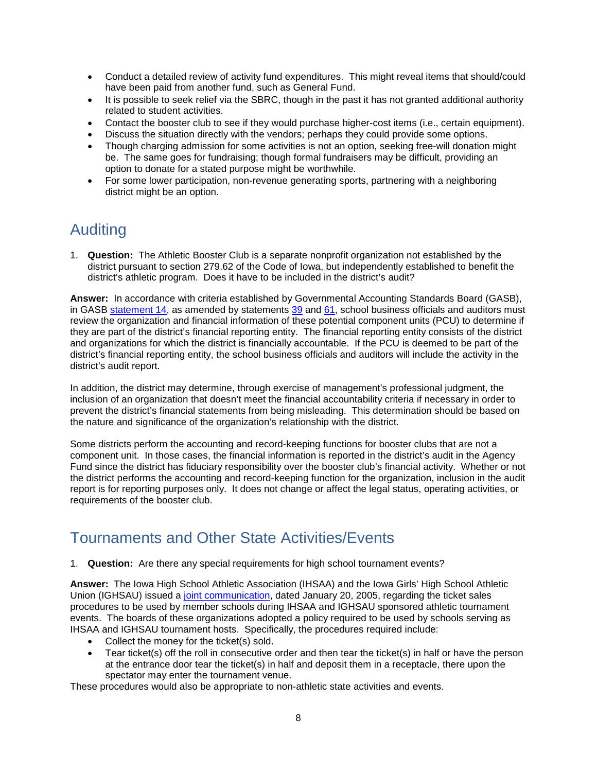- Conduct a detailed review of activity fund expenditures. This might reveal items that should/could have been paid from another fund, such as General Fund.
- It is possible to seek relief via the SBRC, though in the past it has not granted additional authority related to student activities.
- Contact the booster club to see if they would purchase higher-cost items (i.e., certain equipment).
- Discuss the situation directly with the vendors; perhaps they could provide some options.
- Though charging admission for some activities is not an option, seeking free-will donation might be. The same goes for fundraising; though formal fundraisers may be difficult, providing an option to donate for a stated purpose might be worthwhile.
- For some lower participation, non-revenue generating sports, partnering with a neighboring district might be an option.

### <span id="page-10-0"></span>Auditing

1. **Question:** The Athletic Booster Club is a separate nonprofit organization not established by the district pursuant to section 279.62 of the Code of Iowa, but independently established to benefit the district's athletic program. Does it have to be included in the district's audit?

**Answer:** In accordance with criteria established by Governmental Accounting Standards Board (GASB), in GASB [statement](http://www.gasb.org/jsp/GASB/Document_C/GASBDocumentPage?cid=1176160030209&acceptedDisclaimer=true)  $14$ , as amended by statements  $39$  and  $61$ , school business officials and auditors must review the organization and financial information of these potential component units (PCU) to determine if they are part of the district's financial reporting entity. The financial reporting entity consists of the district and organizations for which the district is financially accountable. If the PCU is deemed to be part of the district's financial reporting entity, the school business officials and auditors will include the activity in the district's audit report.

In addition, the district may determine, through exercise of management's professional judgment, the inclusion of an organization that doesn't meet the financial accountability criteria if necessary in order to prevent the district's financial statements from being misleading. This determination should be based on the nature and significance of the organization's relationship with the district.

Some districts perform the accounting and record-keeping functions for booster clubs that are not a component unit. In those cases, the financial information is reported in the district's audit in the Agency Fund since the district has fiduciary responsibility over the booster club's financial activity. Whether or not the district performs the accounting and record-keeping function for the organization, inclusion in the audit report is for reporting purposes only. It does not change or affect the legal status, operating activities, or requirements of the booster club.

### <span id="page-10-1"></span>Tournaments and Other State Activities/Events

1. **Question:** Are there any special requirements for high school tournament events?

**Answer:** The Iowa High School Athletic Association (IHSAA) and the Iowa Girls' High School Athletic Union (IGHSAU) issued a [joint communication,](https://www.educateiowa.gov/documents/student-activity-fund/2013/05/ihsaa-ighsau-sponsored-event-ticket-policy) dated January 20, 2005, regarding the ticket sales procedures to be used by member schools during IHSAA and IGHSAU sponsored athletic tournament events. The boards of these organizations adopted a policy required to be used by schools serving as IHSAA and IGHSAU tournament hosts. Specifically, the procedures required include:

- Collect the money for the ticket(s) sold.
- Tear ticket(s) off the roll in consecutive order and then tear the ticket(s) in half or have the person at the entrance door tear the ticket(s) in half and deposit them in a receptacle, there upon the spectator may enter the tournament venue.

These procedures would also be appropriate to non-athletic state activities and events.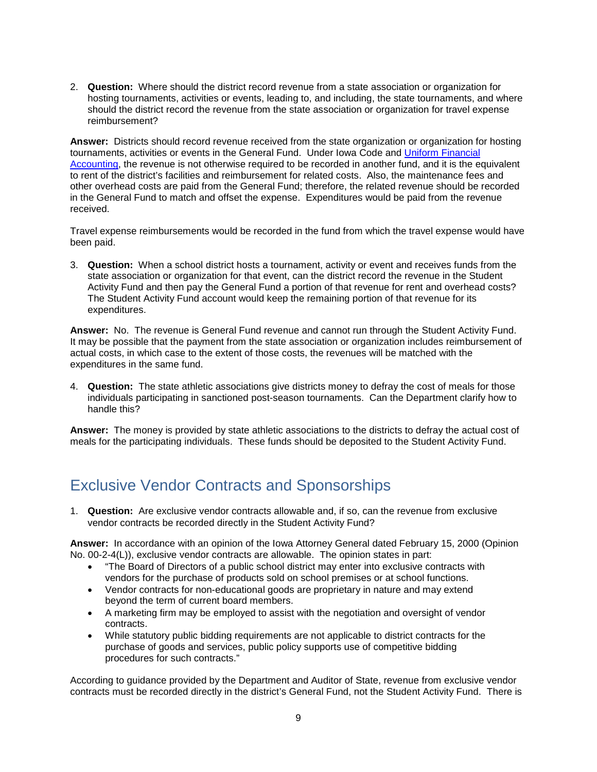2. **Question:** Where should the district record revenue from a state association or organization for hosting tournaments, activities or events, leading to, and including, the state tournaments, and where should the district record the revenue from the state association or organization for travel expense reimbursement?

**Answer:** Districts should record revenue received from the state organization or organization for hosting tournaments, activities or events in the General Fund. Under Iowa Code and [Uniform Financial](https://www.educateiowa.gov/pk-12/school-business-finance/accounting-reporting/uniform-financial-accounting)  [Accounting,](https://www.educateiowa.gov/pk-12/school-business-finance/accounting-reporting/uniform-financial-accounting) the revenue is not otherwise required to be recorded in another fund, and it is the equivalent to rent of the district's facilities and reimbursement for related costs. Also, the maintenance fees and other overhead costs are paid from the General Fund; therefore, the related revenue should be recorded in the General Fund to match and offset the expense. Expenditures would be paid from the revenue received.

Travel expense reimbursements would be recorded in the fund from which the travel expense would have been paid.

3. **Question:** When a school district hosts a tournament, activity or event and receives funds from the state association or organization for that event, can the district record the revenue in the Student Activity Fund and then pay the General Fund a portion of that revenue for rent and overhead costs? The Student Activity Fund account would keep the remaining portion of that revenue for its expenditures.

**Answer:** No. The revenue is General Fund revenue and cannot run through the Student Activity Fund. It may be possible that the payment from the state association or organization includes reimbursement of actual costs, in which case to the extent of those costs, the revenues will be matched with the expenditures in the same fund.

4. **Question:** The state athletic associations give districts money to defray the cost of meals for those individuals participating in sanctioned post-season tournaments. Can the Department clarify how to handle this?

**Answer:** The money is provided by state athletic associations to the districts to defray the actual cost of meals for the participating individuals. These funds should be deposited to the Student Activity Fund.

### <span id="page-11-0"></span>Exclusive Vendor Contracts and Sponsorships

1. **Question:** Are exclusive vendor contracts allowable and, if so, can the revenue from exclusive vendor contracts be recorded directly in the Student Activity Fund?

**Answer:** In accordance with an opinion of the Iowa Attorney General dated February 15, 2000 (Opinion No. 00-2-4(L)), exclusive vendor contracts are allowable. The opinion states in part:

- "The Board of Directors of a public school district may enter into exclusive contracts with vendors for the purchase of products sold on school premises or at school functions.
- Vendor contracts for non-educational goods are proprietary in nature and may extend beyond the term of current board members.
- A marketing firm may be employed to assist with the negotiation and oversight of vendor contracts.
- While statutory public bidding requirements are not applicable to district contracts for the purchase of goods and services, public policy supports use of competitive bidding procedures for such contracts."

According to guidance provided by the Department and Auditor of State, revenue from exclusive vendor contracts must be recorded directly in the district's General Fund, not the Student Activity Fund. There is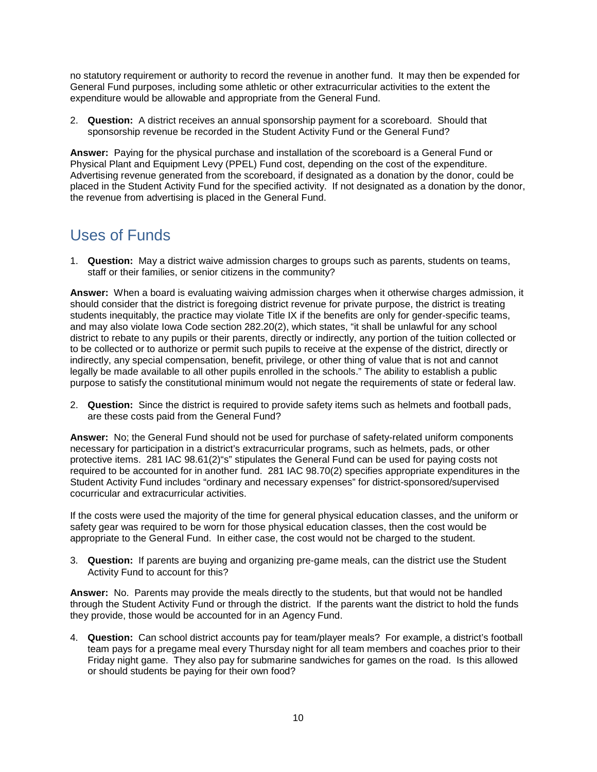no statutory requirement or authority to record the revenue in another fund. It may then be expended for General Fund purposes, including some athletic or other extracurricular activities to the extent the expenditure would be allowable and appropriate from the General Fund.

2. **Question:** A district receives an annual sponsorship payment for a scoreboard. Should that sponsorship revenue be recorded in the Student Activity Fund or the General Fund?

**Answer:** Paying for the physical purchase and installation of the scoreboard is a General Fund or Physical Plant and Equipment Levy (PPEL) Fund cost, depending on the cost of the expenditure. Advertising revenue generated from the scoreboard, if designated as a donation by the donor, could be placed in the Student Activity Fund for the specified activity. If not designated as a donation by the donor, the revenue from advertising is placed in the General Fund.

### <span id="page-12-0"></span>Uses of Funds

1. **Question:** May a district waive admission charges to groups such as parents, students on teams, staff or their families, or senior citizens in the community?

**Answer:** When a board is evaluating waiving admission charges when it otherwise charges admission, it should consider that the district is foregoing district revenue for private purpose, the district is treating students inequitably, the practice may violate Title IX if the benefits are only for gender-specific teams, and may also violate Iowa Code section 282.20(2), which states, "it shall be unlawful for any school district to rebate to any pupils or their parents, directly or indirectly, any portion of the tuition collected or to be collected or to authorize or permit such pupils to receive at the expense of the district, directly or indirectly, any special compensation, benefit, privilege, or other thing of value that is not and cannot legally be made available to all other pupils enrolled in the schools." The ability to establish a public purpose to satisfy the constitutional minimum would not negate the requirements of state or federal law.

2. **Question:** Since the district is required to provide safety items such as helmets and football pads, are these costs paid from the General Fund?

**Answer:** No; the General Fund should not be used for purchase of safety-related uniform components necessary for participation in a district's extracurricular programs, such as helmets, pads, or other protective items. 281 IAC 98.61(2)"s" stipulates the General Fund can be used for paying costs not required to be accounted for in another fund. 281 IAC 98.70(2) specifies appropriate expenditures in the Student Activity Fund includes "ordinary and necessary expenses" for district-sponsored/supervised cocurricular and extracurricular activities.

If the costs were used the majority of the time for general physical education classes, and the uniform or safety gear was required to be worn for those physical education classes, then the cost would be appropriate to the General Fund. In either case, the cost would not be charged to the student.

3. **Question:** If parents are buying and organizing pre-game meals, can the district use the Student Activity Fund to account for this?

**Answer:** No. Parents may provide the meals directly to the students, but that would not be handled through the Student Activity Fund or through the district. If the parents want the district to hold the funds they provide, those would be accounted for in an Agency Fund.

4. **Question:** Can school district accounts pay for team/player meals? For example, a district's football team pays for a pregame meal every Thursday night for all team members and coaches prior to their Friday night game. They also pay for submarine sandwiches for games on the road. Is this allowed or should students be paying for their own food?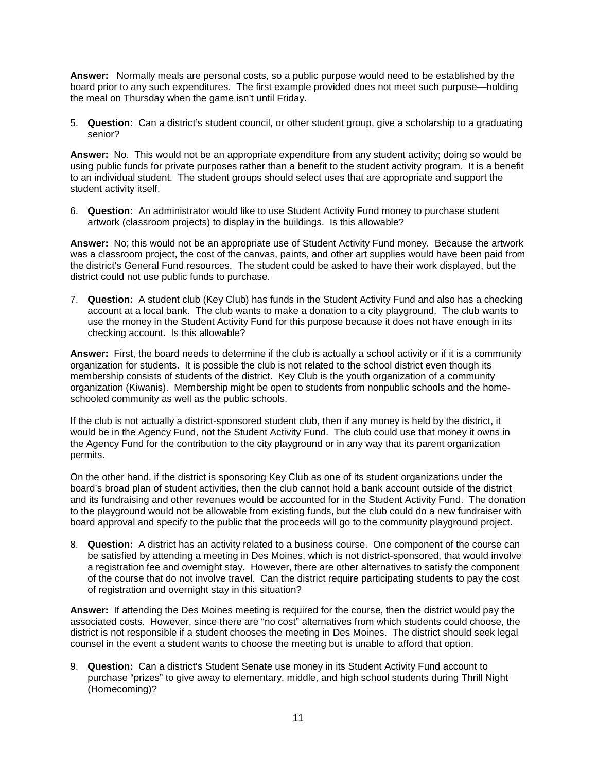**Answer:** Normally meals are personal costs, so a public purpose would need to be established by the board prior to any such expenditures. The first example provided does not meet such purpose—holding the meal on Thursday when the game isn't until Friday.

5. **Question:** Can a district's student council, or other student group, give a scholarship to a graduating senior?

**Answer:** No. This would not be an appropriate expenditure from any student activity; doing so would be using public funds for private purposes rather than a benefit to the student activity program. It is a benefit to an individual student. The student groups should select uses that are appropriate and support the student activity itself.

6. **Question:** An administrator would like to use Student Activity Fund money to purchase student artwork (classroom projects) to display in the buildings. Is this allowable?

**Answer:** No; this would not be an appropriate use of Student Activity Fund money. Because the artwork was a classroom project, the cost of the canvas, paints, and other art supplies would have been paid from the district's General Fund resources. The student could be asked to have their work displayed, but the district could not use public funds to purchase.

7. **Question:** A student club (Key Club) has funds in the Student Activity Fund and also has a checking account at a local bank. The club wants to make a donation to a city playground. The club wants to use the money in the Student Activity Fund for this purpose because it does not have enough in its checking account. Is this allowable?

**Answer:** First, the board needs to determine if the club is actually a school activity or if it is a community organization for students. It is possible the club is not related to the school district even though its membership consists of students of the district. Key Club is the youth organization of a community organization (Kiwanis). Membership might be open to students from nonpublic schools and the homeschooled community as well as the public schools.

If the club is not actually a district-sponsored student club, then if any money is held by the district, it would be in the Agency Fund, not the Student Activity Fund. The club could use that money it owns in the Agency Fund for the contribution to the city playground or in any way that its parent organization permits.

On the other hand, if the district is sponsoring Key Club as one of its student organizations under the board's broad plan of student activities, then the club cannot hold a bank account outside of the district and its fundraising and other revenues would be accounted for in the Student Activity Fund. The donation to the playground would not be allowable from existing funds, but the club could do a new fundraiser with board approval and specify to the public that the proceeds will go to the community playground project.

8. **Question:** A district has an activity related to a business course. One component of the course can be satisfied by attending a meeting in Des Moines, which is not district-sponsored, that would involve a registration fee and overnight stay. However, there are other alternatives to satisfy the component of the course that do not involve travel. Can the district require participating students to pay the cost of registration and overnight stay in this situation?

**Answer:** If attending the Des Moines meeting is required for the course, then the district would pay the associated costs. However, since there are "no cost" alternatives from which students could choose, the district is not responsible if a student chooses the meeting in Des Moines. The district should seek legal counsel in the event a student wants to choose the meeting but is unable to afford that option.

9. **Question:** Can a district's Student Senate use money in its Student Activity Fund account to purchase "prizes" to give away to elementary, middle, and high school students during Thrill Night (Homecoming)?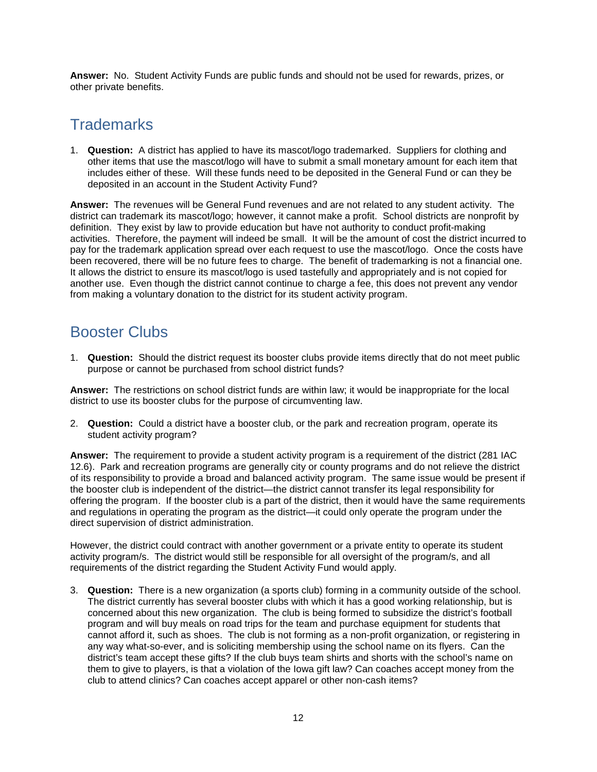**Answer:** No. Student Activity Funds are public funds and should not be used for rewards, prizes, or other private benefits.

### <span id="page-14-0"></span>**Trademarks**

1. **Question:** A district has applied to have its mascot/logo trademarked. Suppliers for clothing and other items that use the mascot/logo will have to submit a small monetary amount for each item that includes either of these. Will these funds need to be deposited in the General Fund or can they be deposited in an account in the Student Activity Fund?

**Answer:** The revenues will be General Fund revenues and are not related to any student activity. The district can trademark its mascot/logo; however, it cannot make a profit. School districts are nonprofit by definition. They exist by law to provide education but have not authority to conduct profit-making activities. Therefore, the payment will indeed be small. It will be the amount of cost the district incurred to pay for the trademark application spread over each request to use the mascot/logo. Once the costs have been recovered, there will be no future fees to charge. The benefit of trademarking is not a financial one. It allows the district to ensure its mascot/logo is used tastefully and appropriately and is not copied for another use. Even though the district cannot continue to charge a fee, this does not prevent any vendor from making a voluntary donation to the district for its student activity program.

### <span id="page-14-1"></span>Booster Clubs

1. **Question:** Should the district request its booster clubs provide items directly that do not meet public purpose or cannot be purchased from school district funds?

**Answer:** The restrictions on school district funds are within law; it would be inappropriate for the local district to use its booster clubs for the purpose of circumventing law.

2. **Question:** Could a district have a booster club, or the park and recreation program, operate its student activity program?

**Answer:** The requirement to provide a student activity program is a requirement of the district (281 IAC 12.6). Park and recreation programs are generally city or county programs and do not relieve the district of its responsibility to provide a broad and balanced activity program. The same issue would be present if the booster club is independent of the district—the district cannot transfer its legal responsibility for offering the program. If the booster club is a part of the district, then it would have the same requirements and regulations in operating the program as the district—it could only operate the program under the direct supervision of district administration.

However, the district could contract with another government or a private entity to operate its student activity program/s. The district would still be responsible for all oversight of the program/s, and all requirements of the district regarding the Student Activity Fund would apply.

3. **Question:** There is a new organization (a sports club) forming in a community outside of the school. The district currently has several booster clubs with which it has a good working relationship, but is concerned about this new organization. The club is being formed to subsidize the district's football program and will buy meals on road trips for the team and purchase equipment for students that cannot afford it, such as shoes. The club is not forming as a non-profit organization, or registering in any way what-so-ever, and is soliciting membership using the school name on its flyers. Can the district's team accept these gifts? If the club buys team shirts and shorts with the school's name on them to give to players, is that a violation of the Iowa gift law? Can coaches accept money from the club to attend clinics? Can coaches accept apparel or other non-cash items?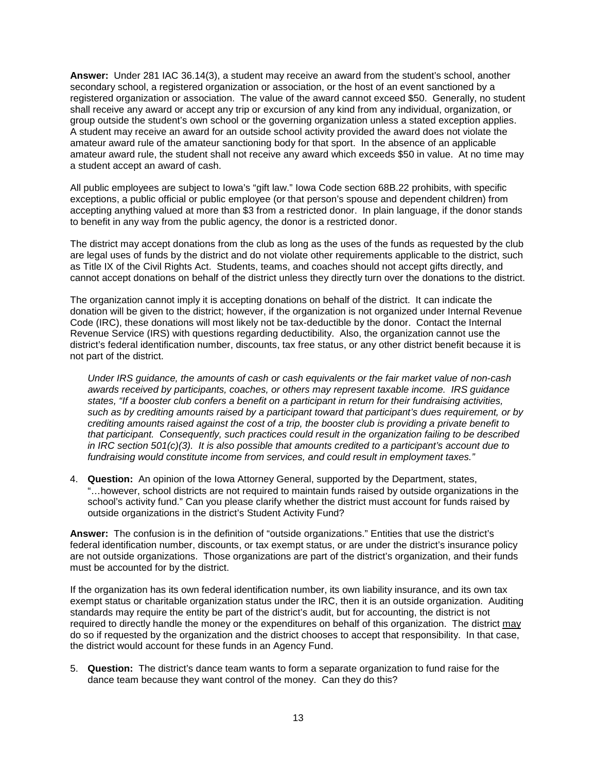**Answer:** Under 281 IAC 36.14(3), a student may receive an award from the student's school, another secondary school, a registered organization or association, or the host of an event sanctioned by a registered organization or association. The value of the award cannot exceed \$50. Generally, no student shall receive any award or accept any trip or excursion of any kind from any individual, organization, or group outside the student's own school or the governing organization unless a stated exception applies. A student may receive an award for an outside school activity provided the award does not violate the amateur award rule of the amateur sanctioning body for that sport. In the absence of an applicable amateur award rule, the student shall not receive any award which exceeds \$50 in value. At no time may a student accept an award of cash.

All public employees are subject to Iowa's "gift law." Iowa Code section 68B.22 prohibits, with specific exceptions, a public official or public employee (or that person's spouse and dependent children) from accepting anything valued at more than \$3 from a restricted donor. In plain language, if the donor stands to benefit in any way from the public agency, the donor is a restricted donor.

The district may accept donations from the club as long as the uses of the funds as requested by the club are legal uses of funds by the district and do not violate other requirements applicable to the district, such as Title IX of the Civil Rights Act. Students, teams, and coaches should not accept gifts directly, and cannot accept donations on behalf of the district unless they directly turn over the donations to the district.

The organization cannot imply it is accepting donations on behalf of the district. It can indicate the donation will be given to the district; however, if the organization is not organized under Internal Revenue Code (IRC), these donations will most likely not be tax-deductible by the donor. Contact the Internal Revenue Service (IRS) with questions regarding deductibility. Also, the organization cannot use the district's federal identification number, discounts, tax free status, or any other district benefit because it is not part of the district.

*Under IRS guidance, the amounts of cash or cash equivalents or the fair market value of non-cash awards received by participants, coaches, or others may represent taxable income. IRS guidance states, "If a booster club confers a benefit on a participant in return for their fundraising activities, such as by crediting amounts raised by a participant toward that participant's dues requirement, or by crediting amounts raised against the cost of a trip, the booster club is providing a private benefit to that participant. Consequently, such practices could result in the organization failing to be described in IRC section 501(c)(3). It is also possible that amounts credited to a participant's account due to fundraising would constitute income from services, and could result in employment taxes."* 

4. **Question:** An opinion of the Iowa Attorney General, supported by the Department, states, "…however, school districts are not required to maintain funds raised by outside organizations in the school's activity fund." Can you please clarify whether the district must account for funds raised by outside organizations in the district's Student Activity Fund?

**Answer:** The confusion is in the definition of "outside organizations." Entities that use the district's federal identification number, discounts, or tax exempt status, or are under the district's insurance policy are not outside organizations. Those organizations are part of the district's organization, and their funds must be accounted for by the district.

If the organization has its own federal identification number, its own liability insurance, and its own tax exempt status or charitable organization status under the IRC, then it is an outside organization. Auditing standards may require the entity be part of the district's audit, but for accounting, the district is not required to directly handle the money or the expenditures on behalf of this organization. The district may do so if requested by the organization and the district chooses to accept that responsibility. In that case, the district would account for these funds in an Agency Fund.

5. **Question:** The district's dance team wants to form a separate organization to fund raise for the dance team because they want control of the money. Can they do this?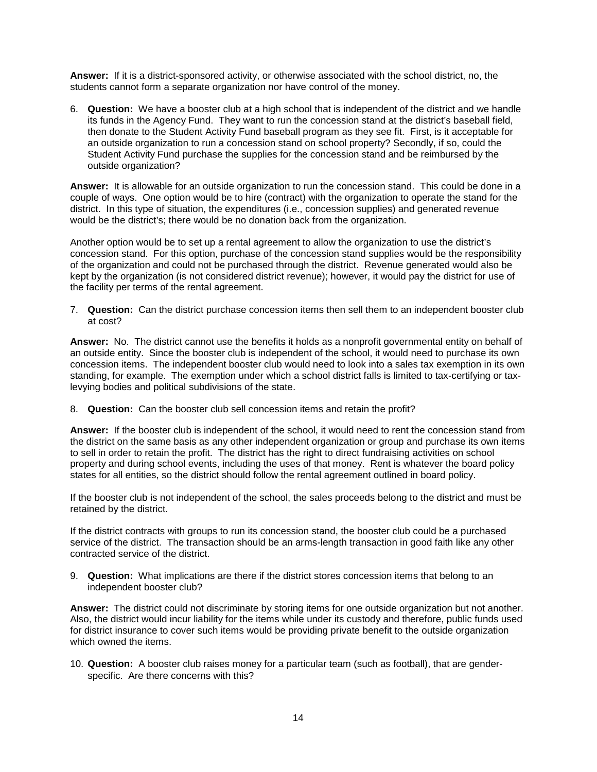**Answer:** If it is a district-sponsored activity, or otherwise associated with the school district, no, the students cannot form a separate organization nor have control of the money.

6. **Question:** We have a booster club at a high school that is independent of the district and we handle its funds in the Agency Fund. They want to run the concession stand at the district's baseball field, then donate to the Student Activity Fund baseball program as they see fit. First, is it acceptable for an outside organization to run a concession stand on school property? Secondly, if so, could the Student Activity Fund purchase the supplies for the concession stand and be reimbursed by the outside organization?

**Answer:** It is allowable for an outside organization to run the concession stand. This could be done in a couple of ways. One option would be to hire (contract) with the organization to operate the stand for the district. In this type of situation, the expenditures (i.e., concession supplies) and generated revenue would be the district's; there would be no donation back from the organization.

Another option would be to set up a rental agreement to allow the organization to use the district's concession stand. For this option, purchase of the concession stand supplies would be the responsibility of the organization and could not be purchased through the district. Revenue generated would also be kept by the organization (is not considered district revenue); however, it would pay the district for use of the facility per terms of the rental agreement.

7. **Question:** Can the district purchase concession items then sell them to an independent booster club at cost?

**Answer:** No. The district cannot use the benefits it holds as a nonprofit governmental entity on behalf of an outside entity. Since the booster club is independent of the school, it would need to purchase its own concession items. The independent booster club would need to look into a sales tax exemption in its own standing, for example. The exemption under which a school district falls is limited to tax-certifying or taxlevying bodies and political subdivisions of the state.

8. **Question:** Can the booster club sell concession items and retain the profit?

**Answer:** If the booster club is independent of the school, it would need to rent the concession stand from the district on the same basis as any other independent organization or group and purchase its own items to sell in order to retain the profit. The district has the right to direct fundraising activities on school property and during school events, including the uses of that money. Rent is whatever the board policy states for all entities, so the district should follow the rental agreement outlined in board policy.

If the booster club is not independent of the school, the sales proceeds belong to the district and must be retained by the district.

If the district contracts with groups to run its concession stand, the booster club could be a purchased service of the district. The transaction should be an arms-length transaction in good faith like any other contracted service of the district.

9. **Question:** What implications are there if the district stores concession items that belong to an independent booster club?

**Answer:** The district could not discriminate by storing items for one outside organization but not another. Also, the district would incur liability for the items while under its custody and therefore, public funds used for district insurance to cover such items would be providing private benefit to the outside organization which owned the items.

10. **Question:** A booster club raises money for a particular team (such as football), that are genderspecific. Are there concerns with this?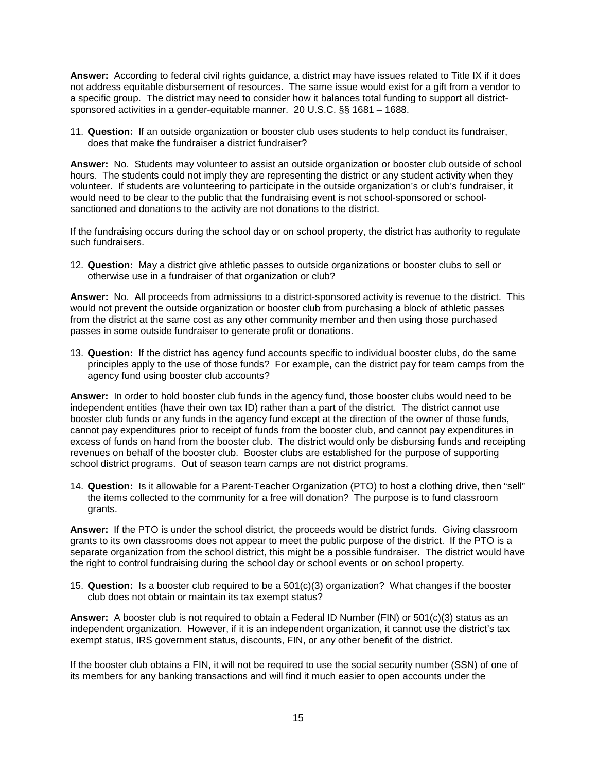**Answer:** According to federal civil rights guidance, a district may have issues related to Title IX if it does not address equitable disbursement of resources. The same issue would exist for a gift from a vendor to a specific group. The district may need to consider how it balances total funding to support all districtsponsored activities in a gender-equitable manner. 20 U.S.C. §§ 1681 – 1688.

11. **Question:** If an outside organization or booster club uses students to help conduct its fundraiser, does that make the fundraiser a district fundraiser?

**Answer:** No. Students may volunteer to assist an outside organization or booster club outside of school hours. The students could not imply they are representing the district or any student activity when they volunteer. If students are volunteering to participate in the outside organization's or club's fundraiser, it would need to be clear to the public that the fundraising event is not school-sponsored or schoolsanctioned and donations to the activity are not donations to the district.

If the fundraising occurs during the school day or on school property, the district has authority to regulate such fundraisers.

12. **Question:** May a district give athletic passes to outside organizations or booster clubs to sell or otherwise use in a fundraiser of that organization or club?

**Answer:** No. All proceeds from admissions to a district-sponsored activity is revenue to the district. This would not prevent the outside organization or booster club from purchasing a block of athletic passes from the district at the same cost as any other community member and then using those purchased passes in some outside fundraiser to generate profit or donations.

13. **Question:** If the district has agency fund accounts specific to individual booster clubs, do the same principles apply to the use of those funds? For example, can the district pay for team camps from the agency fund using booster club accounts?

**Answer:** In order to hold booster club funds in the agency fund, those booster clubs would need to be independent entities (have their own tax ID) rather than a part of the district. The district cannot use booster club funds or any funds in the agency fund except at the direction of the owner of those funds, cannot pay expenditures prior to receipt of funds from the booster club, and cannot pay expenditures in excess of funds on hand from the booster club. The district would only be disbursing funds and receipting revenues on behalf of the booster club. Booster clubs are established for the purpose of supporting school district programs. Out of season team camps are not district programs.

14. **Question:** Is it allowable for a Parent-Teacher Organization (PTO) to host a clothing drive, then "sell" the items collected to the community for a free will donation? The purpose is to fund classroom grants.

**Answer:** If the PTO is under the school district, the proceeds would be district funds. Giving classroom grants to its own classrooms does not appear to meet the public purpose of the district. If the PTO is a separate organization from the school district, this might be a possible fundraiser. The district would have the right to control fundraising during the school day or school events or on school property.

15. **Question:** Is a booster club required to be a 501(c)(3) organization? What changes if the booster club does not obtain or maintain its tax exempt status?

**Answer:** A booster club is not required to obtain a Federal ID Number (FIN) or 501(c)(3) status as an independent organization. However, if it is an independent organization, it cannot use the district's tax exempt status, IRS government status, discounts, FIN, or any other benefit of the district.

If the booster club obtains a FIN, it will not be required to use the social security number (SSN) of one of its members for any banking transactions and will find it much easier to open accounts under the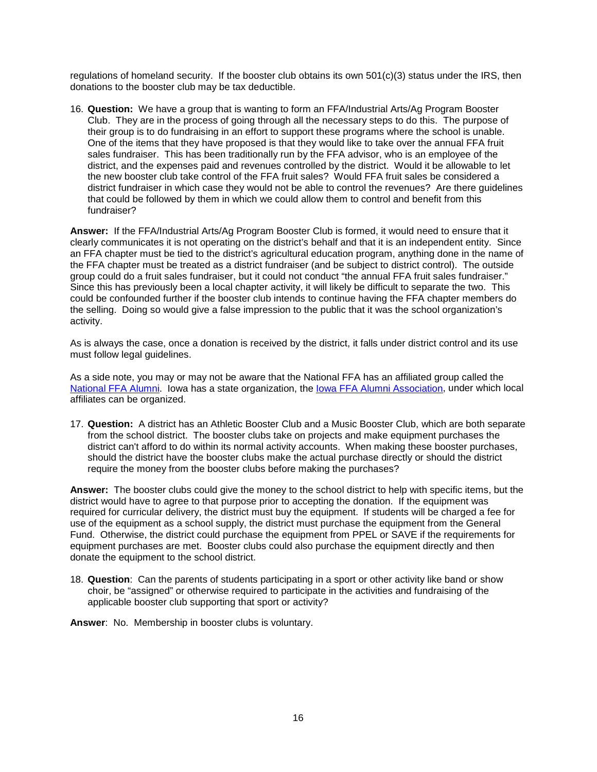regulations of homeland security. If the booster club obtains its own 501(c)(3) status under the IRS, then donations to the booster club may be tax deductible.

16. **Question:** We have a group that is wanting to form an FFA/Industrial Arts/Ag Program Booster Club. They are in the process of going through all the necessary steps to do this. The purpose of their group is to do fundraising in an effort to support these programs where the school is unable. One of the items that they have proposed is that they would like to take over the annual FFA fruit sales fundraiser. This has been traditionally run by the FFA advisor, who is an employee of the district, and the expenses paid and revenues controlled by the district. Would it be allowable to let the new booster club take control of the FFA fruit sales? Would FFA fruit sales be considered a district fundraiser in which case they would not be able to control the revenues? Are there guidelines that could be followed by them in which we could allow them to control and benefit from this fundraiser?

**Answer:** If the FFA/Industrial Arts/Ag Program Booster Club is formed, it would need to ensure that it clearly communicates it is not operating on the district's behalf and that it is an independent entity. Since an FFA chapter must be tied to the district's agricultural education program, anything done in the name of the FFA chapter must be treated as a district fundraiser (and be subject to district control). The outside group could do a fruit sales fundraiser, but it could not conduct "the annual FFA fruit sales fundraiser." Since this has previously been a local chapter activity, it will likely be difficult to separate the two. This could be confounded further if the booster club intends to continue having the FFA chapter members do the selling. Doing so would give a false impression to the public that it was the school organization's activity.

As is always the case, once a donation is received by the district, it falls under district control and its use must follow legal guidelines.

As a side note, you may or may not be aware that the National FFA has an affiliated group called the [National FFA Alumni.](https://www.ffa.org/support/alumni) Iowa has a state organization, the [Iowa FFA Alumni Association,](http://www.iowaffaalumni.com/default.aspx) under which local affiliates can be organized.

17. **Question:** A district has an Athletic Booster Club and a Music Booster Club, which are both separate from the school district. The booster clubs take on projects and make equipment purchases the district can't afford to do within its normal activity accounts. When making these booster purchases, should the district have the booster clubs make the actual purchase directly or should the district require the money from the booster clubs before making the purchases?

**Answer:** The booster clubs could give the money to the school district to help with specific items, but the district would have to agree to that purpose prior to accepting the donation. If the equipment was required for curricular delivery, the district must buy the equipment. If students will be charged a fee for use of the equipment as a school supply, the district must purchase the equipment from the General Fund. Otherwise, the district could purchase the equipment from PPEL or SAVE if the requirements for equipment purchases are met. Booster clubs could also purchase the equipment directly and then donate the equipment to the school district.

18. **Question**: Can the parents of students participating in a sport or other activity like band or show choir, be "assigned" or otherwise required to participate in the activities and fundraising of the applicable booster club supporting that sport or activity?

**Answer**: No. Membership in booster clubs is voluntary.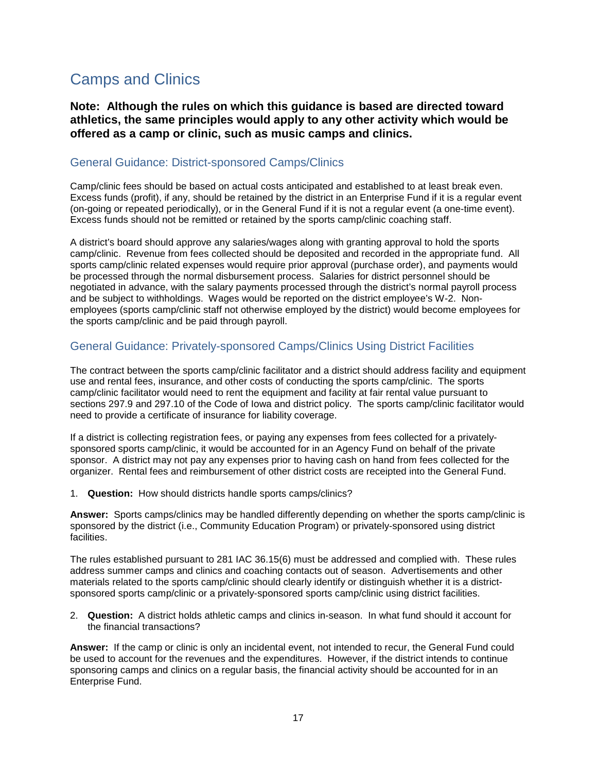### <span id="page-19-0"></span>Camps and Clinics

**Note: Although the rules on which this guidance is based are directed toward athletics, the same principles would apply to any other activity which would be offered as a camp or clinic, such as music camps and clinics.**

#### <span id="page-19-1"></span>General Guidance: District-sponsored Camps/Clinics

Camp/clinic fees should be based on actual costs anticipated and established to at least break even. Excess funds (profit), if any, should be retained by the district in an Enterprise Fund if it is a regular event (on-going or repeated periodically), or in the General Fund if it is not a regular event (a one-time event). Excess funds should not be remitted or retained by the sports camp/clinic coaching staff.

A district's board should approve any salaries/wages along with granting approval to hold the sports camp/clinic. Revenue from fees collected should be deposited and recorded in the appropriate fund. All sports camp/clinic related expenses would require prior approval (purchase order), and payments would be processed through the normal disbursement process. Salaries for district personnel should be negotiated in advance, with the salary payments processed through the district's normal payroll process and be subject to withholdings. Wages would be reported on the district employee's W-2. Nonemployees (sports camp/clinic staff not otherwise employed by the district) would become employees for the sports camp/clinic and be paid through payroll.

#### <span id="page-19-2"></span>General Guidance: Privately-sponsored Camps/Clinics Using District Facilities

The contract between the sports camp/clinic facilitator and a district should address facility and equipment use and rental fees, insurance, and other costs of conducting the sports camp/clinic. The sports camp/clinic facilitator would need to rent the equipment and facility at fair rental value pursuant to sections 297.9 and 297.10 of the Code of Iowa and district policy. The sports camp/clinic facilitator would need to provide a certificate of insurance for liability coverage.

If a district is collecting registration fees, or paying any expenses from fees collected for a privatelysponsored sports camp/clinic, it would be accounted for in an Agency Fund on behalf of the private sponsor. A district may not pay any expenses prior to having cash on hand from fees collected for the organizer. Rental fees and reimbursement of other district costs are receipted into the General Fund.

1. **Question:** How should districts handle sports camps/clinics?

**Answer:** Sports camps/clinics may be handled differently depending on whether the sports camp/clinic is sponsored by the district (i.e., Community Education Program) or privately-sponsored using district facilities.

The rules established pursuant to 281 IAC 36.15(6) must be addressed and complied with. These rules address summer camps and clinics and coaching contacts out of season. Advertisements and other materials related to the sports camp/clinic should clearly identify or distinguish whether it is a districtsponsored sports camp/clinic or a privately-sponsored sports camp/clinic using district facilities.

2. **Question:** A district holds athletic camps and clinics in-season. In what fund should it account for the financial transactions?

**Answer:** If the camp or clinic is only an incidental event, not intended to recur, the General Fund could be used to account for the revenues and the expenditures. However, if the district intends to continue sponsoring camps and clinics on a regular basis, the financial activity should be accounted for in an Enterprise Fund.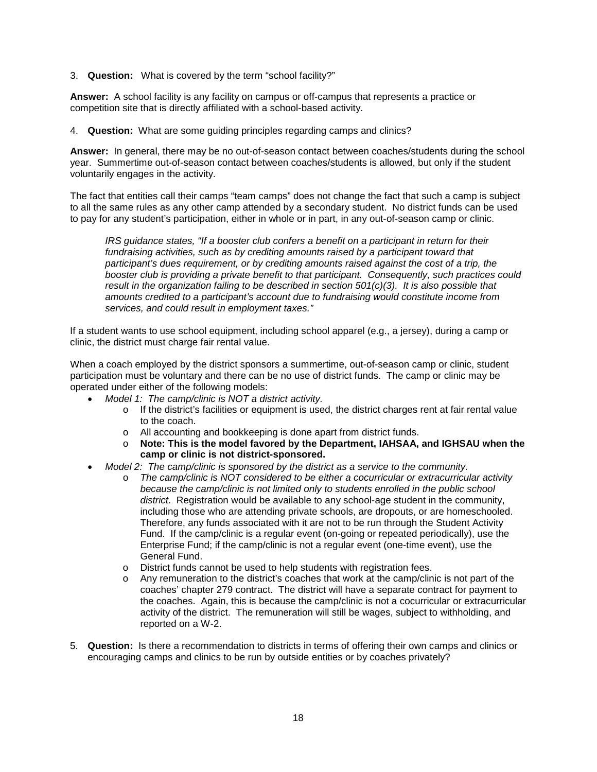3. **Question:** What is covered by the term "school facility?"

**Answer:** A school facility is any facility on campus or off-campus that represents a practice or competition site that is directly affiliated with a school-based activity.

4. **Question:** What are some guiding principles regarding camps and clinics?

**Answer:** In general, there may be no out-of-season contact between coaches/students during the school year. Summertime out-of-season contact between coaches/students is allowed, but only if the student voluntarily engages in the activity.

The fact that entities call their camps "team camps" does not change the fact that such a camp is subject to all the same rules as any other camp attended by a secondary student. No district funds can be used to pay for any student's participation, either in whole or in part, in any out-of-season camp or clinic.

*IRS guidance states, "If a booster club confers a benefit on a participant in return for their fundraising activities, such as by crediting amounts raised by a participant toward that participant's dues requirement, or by crediting amounts raised against the cost of a trip, the booster club is providing a private benefit to that participant. Consequently, such practices could result in the organization failing to be described in section 501(c)(3). It is also possible that amounts credited to a participant's account due to fundraising would constitute income from services, and could result in employment taxes."* 

If a student wants to use school equipment, including school apparel (e.g., a jersey), during a camp or clinic, the district must charge fair rental value.

When a coach employed by the district sponsors a summertime, out-of-season camp or clinic, student participation must be voluntary and there can be no use of district funds. The camp or clinic may be operated under either of the following models:

- *Model 1: The camp/clinic is NOT a district activity.* 
	- o If the district's facilities or equipment is used, the district charges rent at fair rental value to the coach.
	- o All accounting and bookkeeping is done apart from district funds.
	- o **Note: This is the model favored by the Department, IAHSAA, and IGHSAU when the camp or clinic is not district-sponsored.**
- *Model 2: The camp/clinic is sponsored by the district as a service to the community.* 
	- o *The camp/clinic is NOT considered to be either a cocurricular or extracurricular activity because the camp/clinic is not limited only to students enrolled in the public school district*. Registration would be available to any school-age student in the community, including those who are attending private schools, are dropouts, or are homeschooled. Therefore, any funds associated with it are not to be run through the Student Activity Fund. If the camp/clinic is a regular event (on-going or repeated periodically), use the Enterprise Fund; if the camp/clinic is not a regular event (one-time event), use the General Fund.
	- o District funds cannot be used to help students with registration fees.
	- o Any remuneration to the district's coaches that work at the camp/clinic is not part of the coaches' chapter 279 contract. The district will have a separate contract for payment to the coaches. Again, this is because the camp/clinic is not a cocurricular or extracurricular activity of the district. The remuneration will still be wages, subject to withholding, and reported on a W-2.
- 5. **Question:** Is there a recommendation to districts in terms of offering their own camps and clinics or encouraging camps and clinics to be run by outside entities or by coaches privately?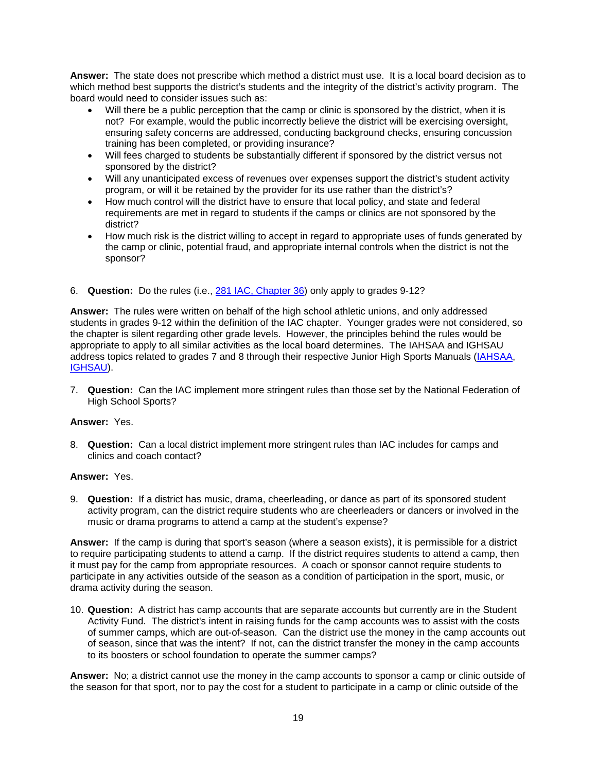**Answer:** The state does not prescribe which method a district must use. It is a local board decision as to which method best supports the district's students and the integrity of the district's activity program. The board would need to consider issues such as:

- Will there be a public perception that the camp or clinic is sponsored by the district, when it is not? For example, would the public incorrectly believe the district will be exercising oversight, ensuring safety concerns are addressed, conducting background checks, ensuring concussion training has been completed, or providing insurance?
- Will fees charged to students be substantially different if sponsored by the district versus not sponsored by the district?
- Will any unanticipated excess of revenues over expenses support the district's student activity program, or will it be retained by the provider for its use rather than the district's?
- How much control will the district have to ensure that local policy, and state and federal requirements are met in regard to students if the camps or clinics are not sponsored by the district?
- How much risk is the district willing to accept in regard to appropriate uses of funds generated by the camp or clinic, potential fraud, and appropriate internal controls when the district is not the sponsor?

#### 6. **Question:** Do the rules (i.e., [281 IAC, Chapter 36\)](https://www.legis.iowa.gov/docs/iac/chapter/03-16-2016.281.36.pdf) only apply to grades 9-12?

**Answer:** The rules were written on behalf of the high school athletic unions, and only addressed students in grades 9-12 within the definition of the IAC chapter. Younger grades were not considered, so the chapter is silent regarding other grade levels. However, the principles behind the rules would be appropriate to apply to all similar activities as the local board determines. The IAHSAA and IGHSAU address topics related to grades 7 and 8 through their respective Junior High Sports Manuals [\(IAHSAA,](https://www.iahsaa.org/resource_center/JR_High_Manual_WEB.pdf) [IGHSAU\)](http://ighsau.org/wp-content/uploads/2015/01/JUNIOR-HIGH-SPORTS-MANUAL.pdf).

7. **Question:** Can the IAC implement more stringent rules than those set by the National Federation of High School Sports?

#### **Answer:** Yes.

8. **Question:** Can a local district implement more stringent rules than IAC includes for camps and clinics and coach contact?

#### **Answer:** Yes.

9. **Question:** If a district has music, drama, cheerleading, or dance as part of its sponsored student activity program, can the district require students who are cheerleaders or dancers or involved in the music or drama programs to attend a camp at the student's expense?

**Answer:** If the camp is during that sport's season (where a season exists), it is permissible for a district to require participating students to attend a camp. If the district requires students to attend a camp, then it must pay for the camp from appropriate resources. A coach or sponsor cannot require students to participate in any activities outside of the season as a condition of participation in the sport, music, or drama activity during the season.

10. **Question:** A district has camp accounts that are separate accounts but currently are in the Student Activity Fund. The district's intent in raising funds for the camp accounts was to assist with the costs of summer camps, which are out-of-season. Can the district use the money in the camp accounts out of season, since that was the intent? If not, can the district transfer the money in the camp accounts to its boosters or school foundation to operate the summer camps?

**Answer:** No; a district cannot use the money in the camp accounts to sponsor a camp or clinic outside of the season for that sport, nor to pay the cost for a student to participate in a camp or clinic outside of the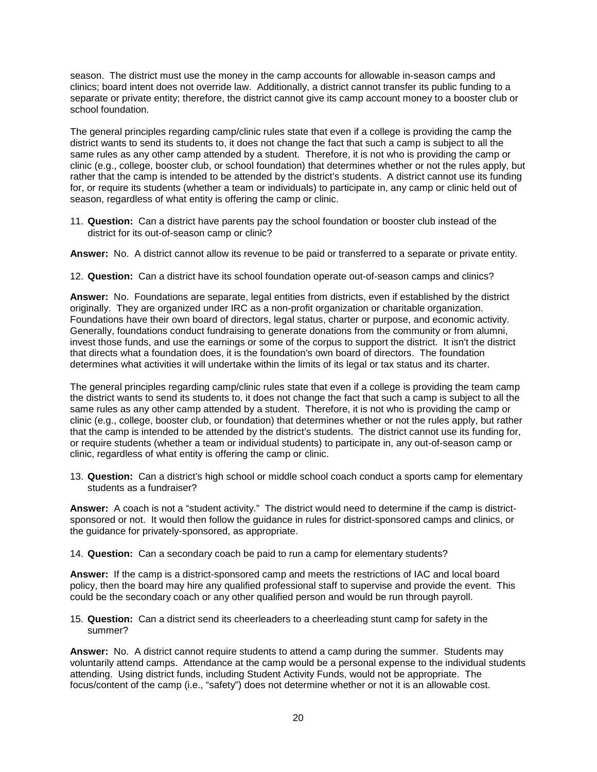season. The district must use the money in the camp accounts for allowable in-season camps and clinics; board intent does not override law. Additionally, a district cannot transfer its public funding to a separate or private entity; therefore, the district cannot give its camp account money to a booster club or school foundation.

The general principles regarding camp/clinic rules state that even if a college is providing the camp the district wants to send its students to, it does not change the fact that such a camp is subject to all the same rules as any other camp attended by a student. Therefore, it is not who is providing the camp or clinic (e.g., college, booster club, or school foundation) that determines whether or not the rules apply, but rather that the camp is intended to be attended by the district's students. A district cannot use its funding for, or require its students (whether a team or individuals) to participate in, any camp or clinic held out of season, regardless of what entity is offering the camp or clinic.

11. **Question:** Can a district have parents pay the school foundation or booster club instead of the district for its out-of-season camp or clinic?

**Answer:** No. A district cannot allow its revenue to be paid or transferred to a separate or private entity.

12. **Question:** Can a district have its school foundation operate out-of-season camps and clinics?

**Answer:** No. Foundations are separate, legal entities from districts, even if established by the district originally. They are organized under IRC as a non-profit organization or charitable organization. Foundations have their own board of directors, legal status, charter or purpose, and economic activity. Generally, foundations conduct fundraising to generate donations from the community or from alumni, invest those funds, and use the earnings or some of the corpus to support the district. It isn't the district that directs what a foundation does, it is the foundation's own board of directors. The foundation determines what activities it will undertake within the limits of its legal or tax status and its charter.

The general principles regarding camp/clinic rules state that even if a college is providing the team camp the district wants to send its students to, it does not change the fact that such a camp is subject to all the same rules as any other camp attended by a student. Therefore, it is not who is providing the camp or clinic (e.g., college, booster club, or foundation) that determines whether or not the rules apply, but rather that the camp is intended to be attended by the district's students. The district cannot use its funding for, or require students (whether a team or individual students) to participate in, any out-of-season camp or clinic, regardless of what entity is offering the camp or clinic.

13. **Question:** Can a district's high school or middle school coach conduct a sports camp for elementary students as a fundraiser?

**Answer:** A coach is not a "student activity." The district would need to determine if the camp is districtsponsored or not. It would then follow the guidance in rules for district-sponsored camps and clinics, or the guidance for privately-sponsored, as appropriate.

14. **Question:** Can a secondary coach be paid to run a camp for elementary students?

**Answer:** If the camp is a district-sponsored camp and meets the restrictions of IAC and local board policy, then the board may hire any qualified professional staff to supervise and provide the event. This could be the secondary coach or any other qualified person and would be run through payroll.

15. **Question:** Can a district send its cheerleaders to a cheerleading stunt camp for safety in the summer?

**Answer:** No. A district cannot require students to attend a camp during the summer. Students may voluntarily attend camps. Attendance at the camp would be a personal expense to the individual students attending. Using district funds, including Student Activity Funds, would not be appropriate. The focus/content of the camp (i.e., "safety") does not determine whether or not it is an allowable cost.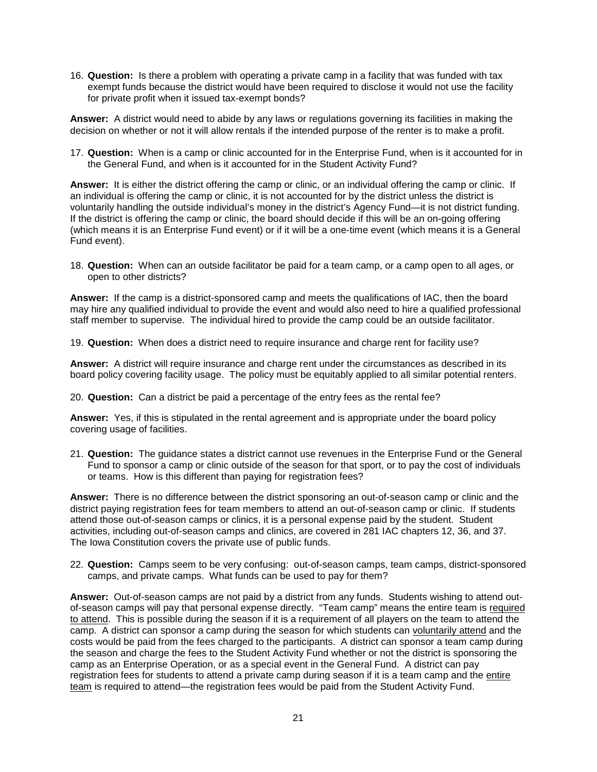16. **Question:** Is there a problem with operating a private camp in a facility that was funded with tax exempt funds because the district would have been required to disclose it would not use the facility for private profit when it issued tax-exempt bonds?

**Answer:** A district would need to abide by any laws or regulations governing its facilities in making the decision on whether or not it will allow rentals if the intended purpose of the renter is to make a profit.

17. **Question:** When is a camp or clinic accounted for in the Enterprise Fund, when is it accounted for in the General Fund, and when is it accounted for in the Student Activity Fund?

**Answer:** It is either the district offering the camp or clinic, or an individual offering the camp or clinic. If an individual is offering the camp or clinic, it is not accounted for by the district unless the district is voluntarily handling the outside individual's money in the district's Agency Fund—it is not district funding. If the district is offering the camp or clinic, the board should decide if this will be an on-going offering (which means it is an Enterprise Fund event) or if it will be a one-time event (which means it is a General Fund event).

18. **Question:** When can an outside facilitator be paid for a team camp, or a camp open to all ages, or open to other districts?

**Answer:** If the camp is a district-sponsored camp and meets the qualifications of IAC, then the board may hire any qualified individual to provide the event and would also need to hire a qualified professional staff member to supervise. The individual hired to provide the camp could be an outside facilitator.

19. **Question:** When does a district need to require insurance and charge rent for facility use?

**Answer:** A district will require insurance and charge rent under the circumstances as described in its board policy covering facility usage. The policy must be equitably applied to all similar potential renters.

20. **Question:** Can a district be paid a percentage of the entry fees as the rental fee?

**Answer:** Yes, if this is stipulated in the rental agreement and is appropriate under the board policy covering usage of facilities.

21. **Question:** The guidance states a district cannot use revenues in the Enterprise Fund or the General Fund to sponsor a camp or clinic outside of the season for that sport, or to pay the cost of individuals or teams. How is this different than paying for registration fees?

**Answer:** There is no difference between the district sponsoring an out-of-season camp or clinic and the district paying registration fees for team members to attend an out-of-season camp or clinic. If students attend those out-of-season camps or clinics, it is a personal expense paid by the student. Student activities, including out-of-season camps and clinics, are covered in 281 IAC chapters 12, 36, and 37. The Iowa Constitution covers the private use of public funds.

22. **Question:** Camps seem to be very confusing: out-of-season camps, team camps, district-sponsored camps, and private camps. What funds can be used to pay for them?

**Answer:** Out-of-season camps are not paid by a district from any funds. Students wishing to attend outof-season camps will pay that personal expense directly. "Team camp" means the entire team is required to attend. This is possible during the season if it is a requirement of all players on the team to attend the camp. A district can sponsor a camp during the season for which students can voluntarily attend and the costs would be paid from the fees charged to the participants. A district can sponsor a team camp during the season and charge the fees to the Student Activity Fund whether or not the district is sponsoring the camp as an Enterprise Operation, or as a special event in the General Fund. A district can pay registration fees for students to attend a private camp during season if it is a team camp and the entire team is required to attend—the registration fees would be paid from the Student Activity Fund.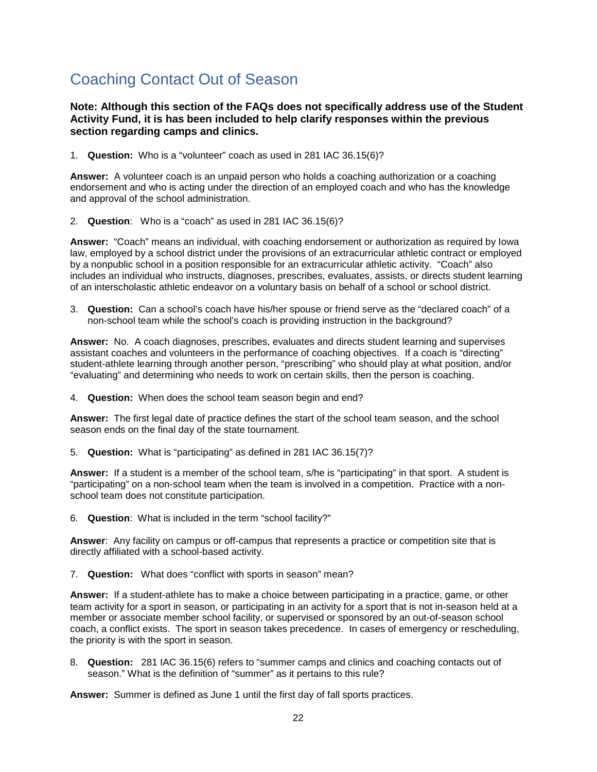# <span id="page-24-0"></span>Coaching Contact Out of Season

#### **Note: Although this section of the FAQs does not specifically address use of the Student Activity Fund, it is has been included to help clarify responses within the previous section regarding camps and clinics.**

1. **Question:** Who is a "volunteer" coach as used in 281 IAC 36.15(6)?

**Answer:** A volunteer coach is an unpaid person who holds a coaching authorization or a coaching endorsement and who is acting under the direction of an employed coach and who has the knowledge and approval of the school administration.

2. **Question**: Who is a "coach" as used in 281 IAC 36.15(6)?

**Answer:** "Coach" means an individual, with coaching endorsement or authorization as required by Iowa law, employed by a school district under the provisions of an extracurricular athletic contract or employed by a nonpublic school in a position responsible for an extracurricular athletic activity. "Coach" also includes an individual who instructs, diagnoses, prescribes, evaluates, assists, or directs student learning of an interscholastic athletic endeavor on a voluntary basis on behalf of a school or school district.

3. **Question:** Can a school's coach have his/her spouse or friend serve as the "declared coach" of a non-school team while the school's coach is providing instruction in the background?

**Answer:** No. A coach diagnoses, prescribes, evaluates and directs student learning and supervises assistant coaches and volunteers in the performance of coaching objectives. If a coach is "directing" student-athlete learning through another person, "prescribing" who should play at what position, and/or "evaluating" and determining who needs to work on certain skills, then the person is coaching.

4. **Question:** When does the school team season begin and end?

**Answer:** The first legal date of practice defines the start of the school team season, and the school season ends on the final day of the state tournament.

5. **Question:** What is "participating" as defined in 281 IAC 36.15(7)?

**Answer:** If a student is a member of the school team, s/he is "participating" in that sport. A student is "participating" on a non-school team when the team is involved in a competition. Practice with a nonschool team does not constitute participation.

6. **Question**: What is included in the term "school facility?"

**Answer**: Any facility on campus or off-campus that represents a practice or competition site that is directly affiliated with a school-based activity.

7. **Question:** What does "conflict with sports in season" mean?

**Answer:** If a student-athlete has to make a choice between participating in a practice, game, or other team activity for a sport in season, or participating in an activity for a sport that is not in-season held at a member or associate member school facility, or supervised or sponsored by an out-of-season school coach, a conflict exists. The sport in season takes precedence. In cases of emergency or rescheduling, the priority is with the sport in season.

8. **Question:** 281 IAC 36.15(6) refers to "summer camps and clinics and coaching contacts out of season." What is the definition of "summer" as it pertains to this rule?

**Answer:** Summer is defined as June 1 until the first day of fall sports practices.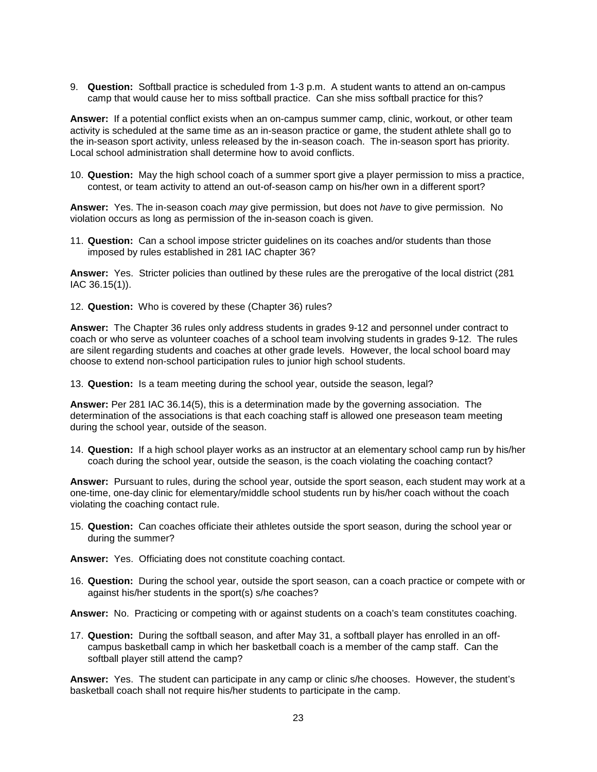9. **Question:** Softball practice is scheduled from 1-3 p.m. A student wants to attend an on-campus camp that would cause her to miss softball practice. Can she miss softball practice for this?

**Answer:** If a potential conflict exists when an on-campus summer camp, clinic, workout, or other team activity is scheduled at the same time as an in-season practice or game, the student athlete shall go to the in-season sport activity, unless released by the in-season coach. The in-season sport has priority. Local school administration shall determine how to avoid conflicts.

10. **Question:** May the high school coach of a summer sport give a player permission to miss a practice, contest, or team activity to attend an out-of-season camp on his/her own in a different sport?

**Answer:** Yes. The in-season coach *may* give permission, but does not *have* to give permission. No violation occurs as long as permission of the in-season coach is given.

11. **Question:** Can a school impose stricter guidelines on its coaches and/or students than those imposed by rules established in 281 IAC chapter 36?

**Answer:** Yes. Stricter policies than outlined by these rules are the prerogative of the local district (281 IAC 36.15(1)).

12. **Question:** Who is covered by these (Chapter 36) rules?

**Answer:** The Chapter 36 rules only address students in grades 9-12 and personnel under contract to coach or who serve as volunteer coaches of a school team involving students in grades 9-12. The rules are silent regarding students and coaches at other grade levels. However, the local school board may choose to extend non-school participation rules to junior high school students.

13. **Question:** Is a team meeting during the school year, outside the season, legal?

**Answer:** Per 281 IAC 36.14(5), this is a determination made by the governing association. The determination of the associations is that each coaching staff is allowed one preseason team meeting during the school year, outside of the season.

14. **Question:** If a high school player works as an instructor at an elementary school camp run by his/her coach during the school year, outside the season, is the coach violating the coaching contact?

**Answer:** Pursuant to rules, during the school year, outside the sport season, each student may work at a one-time, one-day clinic for elementary/middle school students run by his/her coach without the coach violating the coaching contact rule.

15. **Question:** Can coaches officiate their athletes outside the sport season, during the school year or during the summer?

**Answer:** Yes. Officiating does not constitute coaching contact.

16. **Question:** During the school year, outside the sport season, can a coach practice or compete with or against his/her students in the sport(s) s/he coaches?

**Answer:** No. Practicing or competing with or against students on a coach's team constitutes coaching.

17. **Question:** During the softball season, and after May 31, a softball player has enrolled in an offcampus basketball camp in which her basketball coach is a member of the camp staff. Can the softball player still attend the camp?

**Answer:** Yes. The student can participate in any camp or clinic s/he chooses. However, the student's basketball coach shall not require his/her students to participate in the camp.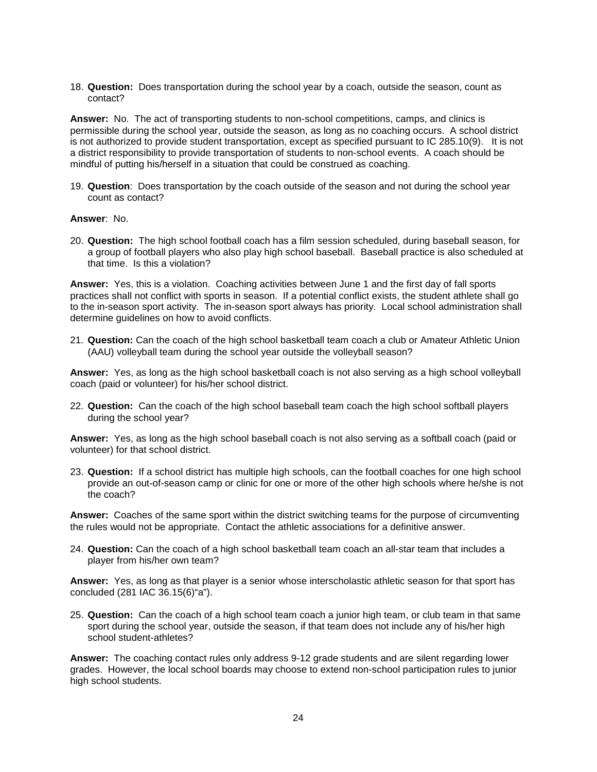18. **Question:** Does transportation during the school year by a coach, outside the season, count as contact?

**Answer:** No. The act of transporting students to non-school competitions, camps, and clinics is permissible during the school year, outside the season, as long as no coaching occurs. A school district is not authorized to provide student transportation, except as specified pursuant to IC 285.10(9). It is not a district responsibility to provide transportation of students to non-school events. A coach should be mindful of putting his/herself in a situation that could be construed as coaching.

19. **Question**: Does transportation by the coach outside of the season and not during the school year count as contact?

#### **Answer**: No.

20. **Question:** The high school football coach has a film session scheduled, during baseball season, for a group of football players who also play high school baseball. Baseball practice is also scheduled at that time. Is this a violation?

**Answer:** Yes, this is a violation. Coaching activities between June 1 and the first day of fall sports practices shall not conflict with sports in season. If a potential conflict exists, the student athlete shall go to the in-season sport activity. The in-season sport always has priority. Local school administration shall determine guidelines on how to avoid conflicts.

21. **Question:** Can the coach of the high school basketball team coach a club or Amateur Athletic Union (AAU) volleyball team during the school year outside the volleyball season?

**Answer:** Yes, as long as the high school basketball coach is not also serving as a high school volleyball coach (paid or volunteer) for his/her school district.

22. **Question:** Can the coach of the high school baseball team coach the high school softball players during the school year?

**Answer:** Yes, as long as the high school baseball coach is not also serving as a softball coach (paid or volunteer) for that school district.

23. **Question:** If a school district has multiple high schools, can the football coaches for one high school provide an out-of-season camp or clinic for one or more of the other high schools where he/she is not the coach?

**Answer:** Coaches of the same sport within the district switching teams for the purpose of circumventing the rules would not be appropriate. Contact the athletic associations for a definitive answer.

24. **Question:** Can the coach of a high school basketball team coach an all-star team that includes a player from his/her own team?

**Answer:** Yes, as long as that player is a senior whose interscholastic athletic season for that sport has concluded (281 IAC 36.15(6)"a").

25. **Question:** Can the coach of a high school team coach a junior high team, or club team in that same sport during the school year, outside the season, if that team does not include any of his/her high school student-athletes?

**Answer:** The coaching contact rules only address 9-12 grade students and are silent regarding lower grades. However, the local school boards may choose to extend non-school participation rules to junior high school students.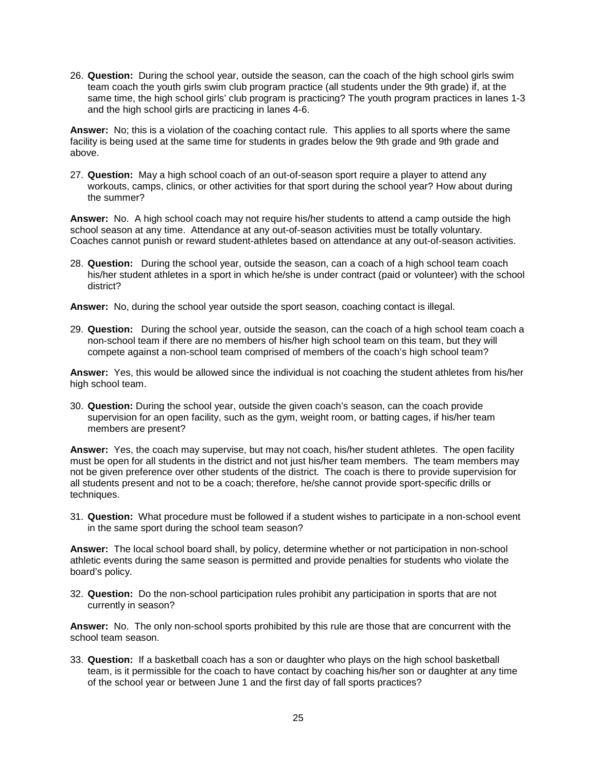26. **Question:** During the school year, outside the season, can the coach of the high school girls swim team coach the youth girls swim club program practice (all students under the 9th grade) if, at the same time, the high school girls' club program is practicing? The youth program practices in lanes 1-3 and the high school girls are practicing in lanes 4-6.

**Answer:** No; this is a violation of the coaching contact rule. This applies to all sports where the same facility is being used at the same time for students in grades below the 9th grade and 9th grade and above.

27. **Question:** May a high school coach of an out-of-season sport require a player to attend any workouts, camps, clinics, or other activities for that sport during the school year? How about during the summer?

**Answer:** No. A high school coach may not require his/her students to attend a camp outside the high school season at any time. Attendance at any out-of-season activities must be totally voluntary. Coaches cannot punish or reward student-athletes based on attendance at any out-of-season activities.

28. **Question:** During the school year, outside the season, can a coach of a high school team coach his/her student athletes in a sport in which he/she is under contract (paid or volunteer) with the school district?

**Answer:** No, during the school year outside the sport season, coaching contact is illegal.

29. **Question:** During the school year, outside the season, can the coach of a high school team coach a non-school team if there are no members of his/her high school team on this team, but they will compete against a non-school team comprised of members of the coach's high school team?

**Answer:** Yes, this would be allowed since the individual is not coaching the student athletes from his/her high school team.

30. **Question:** During the school year, outside the given coach's season, can the coach provide supervision for an open facility, such as the gym, weight room, or batting cages, if his/her team members are present?

**Answer:** Yes, the coach may supervise, but may not coach, his/her student athletes. The open facility must be open for all students in the district and not just his/her team members. The team members may not be given preference over other students of the district. The coach is there to provide supervision for all students present and not to be a coach; therefore, he/she cannot provide sport-specific drills or techniques.

31. **Question:** What procedure must be followed if a student wishes to participate in a non-school event in the same sport during the school team season?

**Answer:** The local school board shall, by policy, determine whether or not participation in non-school athletic events during the same season is permitted and provide penalties for students who violate the board's policy.

32. **Question:** Do the non-school participation rules prohibit any participation in sports that are not currently in season?

**Answer:** No. The only non-school sports prohibited by this rule are those that are concurrent with the school team season.

33. **Question:** If a basketball coach has a son or daughter who plays on the high school basketball team, is it permissible for the coach to have contact by coaching his/her son or daughter at any time of the school year or between June 1 and the first day of fall sports practices?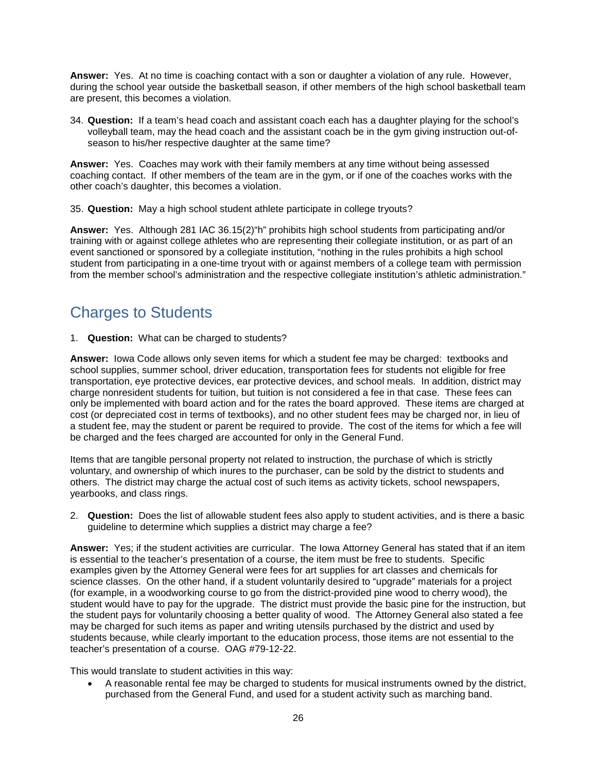**Answer:** Yes. At no time is coaching contact with a son or daughter a violation of any rule. However, during the school year outside the basketball season, if other members of the high school basketball team are present, this becomes a violation.

34. **Question:** If a team's head coach and assistant coach each has a daughter playing for the school's volleyball team, may the head coach and the assistant coach be in the gym giving instruction out-ofseason to his/her respective daughter at the same time?

**Answer:** Yes. Coaches may work with their family members at any time without being assessed coaching contact. If other members of the team are in the gym, or if one of the coaches works with the other coach's daughter, this becomes a violation.

35. **Question:** May a high school student athlete participate in college tryouts?

**Answer:** Yes. Although 281 IAC 36.15(2)"h" prohibits high school students from participating and/or training with or against college athletes who are representing their collegiate institution, or as part of an event sanctioned or sponsored by a collegiate institution, "nothing in the rules prohibits a high school student from participating in a one-time tryout with or against members of a college team with permission from the member school's administration and the respective collegiate institution's athletic administration."

#### <span id="page-28-0"></span>Charges to Students

1. **Question:** What can be charged to students?

**Answer:** Iowa Code allows only seven items for which a student fee may be charged: textbooks and school supplies, summer school, driver education, transportation fees for students not eligible for free transportation, eye protective devices, ear protective devices, and school meals. In addition, district may charge nonresident students for tuition, but tuition is not considered a fee in that case. These fees can only be implemented with board action and for the rates the board approved. These items are charged at cost (or depreciated cost in terms of textbooks), and no other student fees may be charged nor, in lieu of a student fee, may the student or parent be required to provide. The cost of the items for which a fee will be charged and the fees charged are accounted for only in the General Fund.

Items that are tangible personal property not related to instruction, the purchase of which is strictly voluntary, and ownership of which inures to the purchaser, can be sold by the district to students and others. The district may charge the actual cost of such items as activity tickets, school newspapers, yearbooks, and class rings.

2. **Question:** Does the list of allowable student fees also apply to student activities, and is there a basic guideline to determine which supplies a district may charge a fee?

**Answer:** Yes; if the student activities are curricular. The Iowa Attorney General has stated that if an item is essential to the teacher's presentation of a course, the item must be free to students. Specific examples given by the Attorney General were fees for art supplies for art classes and chemicals for science classes. On the other hand, if a student voluntarily desired to "upgrade" materials for a project (for example, in a woodworking course to go from the district-provided pine wood to cherry wood), the student would have to pay for the upgrade. The district must provide the basic pine for the instruction, but the student pays for voluntarily choosing a better quality of wood. The Attorney General also stated a fee may be charged for such items as paper and writing utensils purchased by the district and used by students because, while clearly important to the education process, those items are not essential to the teacher's presentation of a course. OAG #79-12-22.

This would translate to student activities in this way:

• A reasonable rental fee may be charged to students for musical instruments owned by the district, purchased from the General Fund, and used for a student activity such as marching band.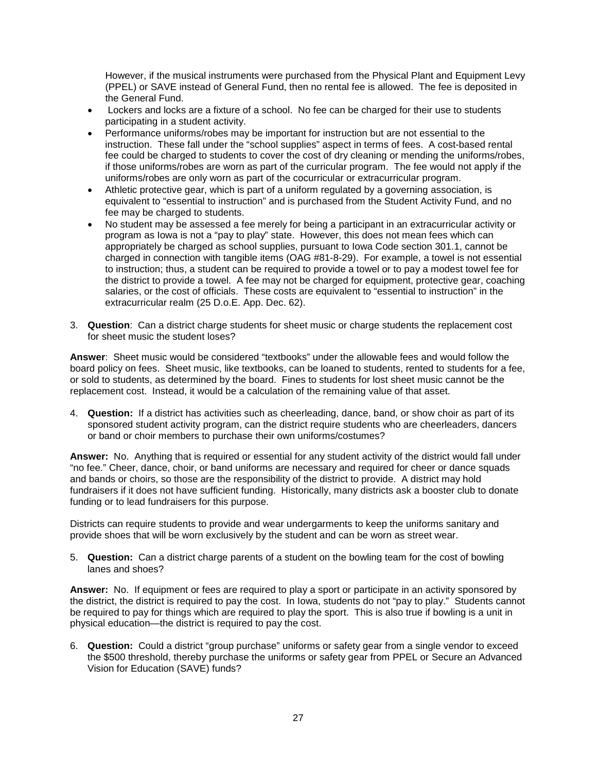However, if the musical instruments were purchased from the Physical Plant and Equipment Levy (PPEL) or SAVE instead of General Fund, then no rental fee is allowed. The fee is deposited in the General Fund.

- Lockers and locks are a fixture of a school. No fee can be charged for their use to students participating in a student activity.
- Performance uniforms/robes may be important for instruction but are not essential to the instruction. These fall under the "school supplies" aspect in terms of fees. A cost-based rental fee could be charged to students to cover the cost of dry cleaning or mending the uniforms/robes, if those uniforms/robes are worn as part of the curricular program. The fee would not apply if the uniforms/robes are only worn as part of the cocurricular or extracurricular program.
- Athletic protective gear, which is part of a uniform regulated by a governing association, is equivalent to "essential to instruction" and is purchased from the Student Activity Fund, and no fee may be charged to students.
- No student may be assessed a fee merely for being a participant in an extracurricular activity or program as Iowa is not a "pay to play" state. However, this does not mean fees which can appropriately be charged as school supplies, pursuant to Iowa Code section 301.1, cannot be charged in connection with tangible items (OAG #81-8-29). For example, a towel is not essential to instruction; thus, a student can be required to provide a towel or to pay a modest towel fee for the district to provide a towel. A fee may not be charged for equipment, protective gear, coaching salaries, or the cost of officials. These costs are equivalent to "essential to instruction" in the extracurricular realm (25 D.o.E. App. Dec. 62).
- 3. **Question**: Can a district charge students for sheet music or charge students the replacement cost for sheet music the student loses?

**Answer**: Sheet music would be considered "textbooks" under the allowable fees and would follow the board policy on fees. Sheet music, like textbooks, can be loaned to students, rented to students for a fee, or sold to students, as determined by the board. Fines to students for lost sheet music cannot be the replacement cost. Instead, it would be a calculation of the remaining value of that asset.

4. **Question:** If a district has activities such as cheerleading, dance, band, or show choir as part of its sponsored student activity program, can the district require students who are cheerleaders, dancers or band or choir members to purchase their own uniforms/costumes?

**Answer:** No. Anything that is required or essential for any student activity of the district would fall under "no fee." Cheer, dance, choir, or band uniforms are necessary and required for cheer or dance squads and bands or choirs, so those are the responsibility of the district to provide. A district may hold fundraisers if it does not have sufficient funding. Historically, many districts ask a booster club to donate funding or to lead fundraisers for this purpose.

Districts can require students to provide and wear undergarments to keep the uniforms sanitary and provide shoes that will be worn exclusively by the student and can be worn as street wear.

5. **Question:** Can a district charge parents of a student on the bowling team for the cost of bowling lanes and shoes?

**Answer:** No. If equipment or fees are required to play a sport or participate in an activity sponsored by the district, the district is required to pay the cost. In Iowa, students do not "pay to play." Students cannot be required to pay for things which are required to play the sport. This is also true if bowling is a unit in physical education—the district is required to pay the cost.

6. **Question:** Could a district "group purchase" uniforms or safety gear from a single vendor to exceed the \$500 threshold, thereby purchase the uniforms or safety gear from PPEL or Secure an Advanced Vision for Education (SAVE) funds?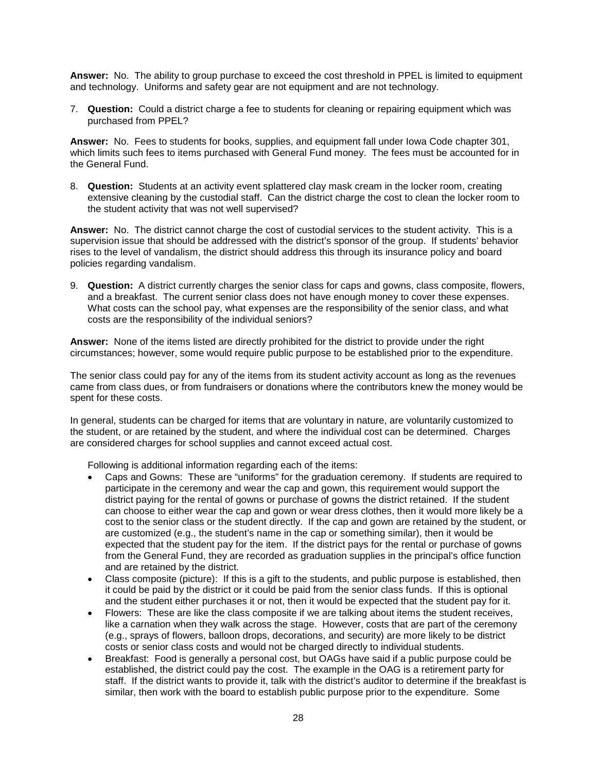**Answer:** No. The ability to group purchase to exceed the cost threshold in PPEL is limited to equipment and technology. Uniforms and safety gear are not equipment and are not technology.

7. **Question:** Could a district charge a fee to students for cleaning or repairing equipment which was purchased from PPEL?

**Answer:** No. Fees to students for books, supplies, and equipment fall under Iowa Code chapter 301, which limits such fees to items purchased with General Fund money. The fees must be accounted for in the General Fund.

8. **Question:** Students at an activity event splattered clay mask cream in the locker room, creating extensive cleaning by the custodial staff. Can the district charge the cost to clean the locker room to the student activity that was not well supervised?

**Answer:** No. The district cannot charge the cost of custodial services to the student activity. This is a supervision issue that should be addressed with the district's sponsor of the group. If students' behavior rises to the level of vandalism, the district should address this through its insurance policy and board policies regarding vandalism.

9. **Question:** A district currently charges the senior class for caps and gowns, class composite, flowers, and a breakfast. The current senior class does not have enough money to cover these expenses. What costs can the school pay, what expenses are the responsibility of the senior class, and what costs are the responsibility of the individual seniors?

**Answer:** None of the items listed are directly prohibited for the district to provide under the right circumstances; however, some would require public purpose to be established prior to the expenditure.

The senior class could pay for any of the items from its student activity account as long as the revenues came from class dues, or from fundraisers or donations where the contributors knew the money would be spent for these costs.

In general, students can be charged for items that are voluntary in nature, are voluntarily customized to the student, or are retained by the student, and where the individual cost can be determined. Charges are considered charges for school supplies and cannot exceed actual cost.

Following is additional information regarding each of the items:

- Caps and Gowns: These are "uniforms" for the graduation ceremony. If students are required to participate in the ceremony and wear the cap and gown, this requirement would support the district paying for the rental of gowns or purchase of gowns the district retained. If the student can choose to either wear the cap and gown or wear dress clothes, then it would more likely be a cost to the senior class or the student directly. If the cap and gown are retained by the student, or are customized (e.g., the student's name in the cap or something similar), then it would be expected that the student pay for the item. If the district pays for the rental or purchase of gowns from the General Fund, they are recorded as graduation supplies in the principal's office function and are retained by the district.
- Class composite (picture): If this is a gift to the students, and public purpose is established, then it could be paid by the district or it could be paid from the senior class funds. If this is optional and the student either purchases it or not, then it would be expected that the student pay for it.
- Flowers: These are like the class composite if we are talking about items the student receives, like a carnation when they walk across the stage. However, costs that are part of the ceremony (e.g., sprays of flowers, balloon drops, decorations, and security) are more likely to be district costs or senior class costs and would not be charged directly to individual students.
- Breakfast: Food is generally a personal cost, but OAGs have said if a public purpose could be established, the district could pay the cost. The example in the OAG is a retirement party for staff. If the district wants to provide it, talk with the district's auditor to determine if the breakfast is similar, then work with the board to establish public purpose prior to the expenditure. Some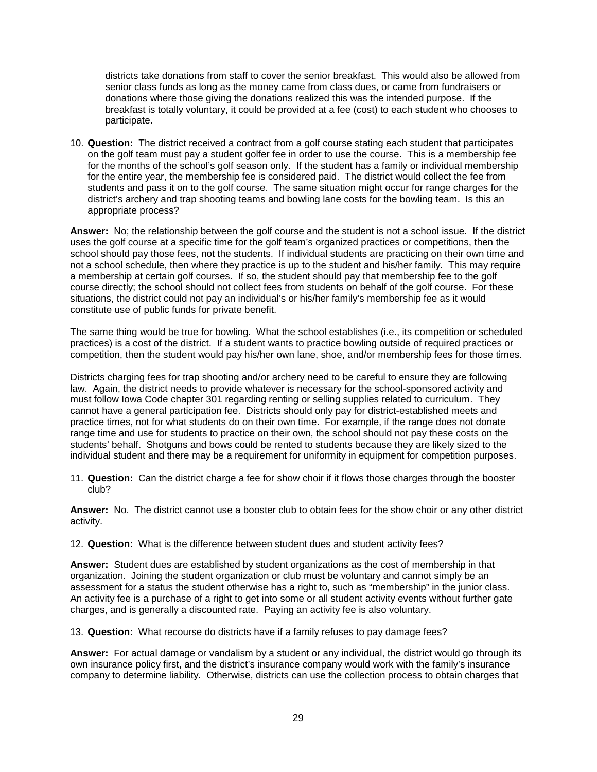districts take donations from staff to cover the senior breakfast. This would also be allowed from senior class funds as long as the money came from class dues, or came from fundraisers or donations where those giving the donations realized this was the intended purpose. If the breakfast is totally voluntary, it could be provided at a fee (cost) to each student who chooses to participate.

10. **Question:** The district received a contract from a golf course stating each student that participates on the golf team must pay a student golfer fee in order to use the course. This is a membership fee for the months of the school's golf season only. If the student has a family or individual membership for the entire year, the membership fee is considered paid. The district would collect the fee from students and pass it on to the golf course. The same situation might occur for range charges for the district's archery and trap shooting teams and bowling lane costs for the bowling team. Is this an appropriate process?

**Answer:** No; the relationship between the golf course and the student is not a school issue. If the district uses the golf course at a specific time for the golf team's organized practices or competitions, then the school should pay those fees, not the students. If individual students are practicing on their own time and not a school schedule, then where they practice is up to the student and his/her family. This may require a membership at certain golf courses. If so, the student should pay that membership fee to the golf course directly; the school should not collect fees from students on behalf of the golf course. For these situations, the district could not pay an individual's or his/her family's membership fee as it would constitute use of public funds for private benefit.

The same thing would be true for bowling. What the school establishes (i.e., its competition or scheduled practices) is a cost of the district. If a student wants to practice bowling outside of required practices or competition, then the student would pay his/her own lane, shoe, and/or membership fees for those times.

Districts charging fees for trap shooting and/or archery need to be careful to ensure they are following law. Again, the district needs to provide whatever is necessary for the school-sponsored activity and must follow Iowa Code chapter 301 regarding renting or selling supplies related to curriculum. They cannot have a general participation fee. Districts should only pay for district-established meets and practice times, not for what students do on their own time. For example, if the range does not donate range time and use for students to practice on their own, the school should not pay these costs on the students' behalf. Shotguns and bows could be rented to students because they are likely sized to the individual student and there may be a requirement for uniformity in equipment for competition purposes.

11. **Question:** Can the district charge a fee for show choir if it flows those charges through the booster club?

**Answer:** No. The district cannot use a booster club to obtain fees for the show choir or any other district activity.

12. **Question:** What is the difference between student dues and student activity fees?

**Answer:** Student dues are established by student organizations as the cost of membership in that organization. Joining the student organization or club must be voluntary and cannot simply be an assessment for a status the student otherwise has a right to, such as "membership" in the junior class. An activity fee is a purchase of a right to get into some or all student activity events without further gate charges, and is generally a discounted rate. Paying an activity fee is also voluntary.

13. **Question:** What recourse do districts have if a family refuses to pay damage fees?

**Answer:** For actual damage or vandalism by a student or any individual, the district would go through its own insurance policy first, and the district's insurance company would work with the family's insurance company to determine liability. Otherwise, districts can use the collection process to obtain charges that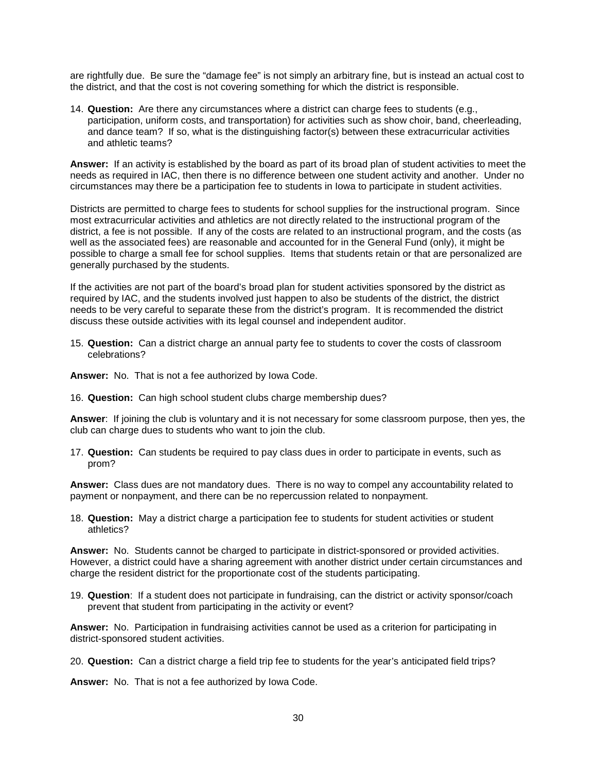are rightfully due. Be sure the "damage fee" is not simply an arbitrary fine, but is instead an actual cost to the district, and that the cost is not covering something for which the district is responsible.

14. **Question:** Are there any circumstances where a district can charge fees to students (e.g., participation, uniform costs, and transportation) for activities such as show choir, band, cheerleading, and dance team? If so, what is the distinguishing factor(s) between these extracurricular activities and athletic teams?

**Answer:** If an activity is established by the board as part of its broad plan of student activities to meet the needs as required in IAC, then there is no difference between one student activity and another. Under no circumstances may there be a participation fee to students in Iowa to participate in student activities.

Districts are permitted to charge fees to students for school supplies for the instructional program. Since most extracurricular activities and athletics are not directly related to the instructional program of the district, a fee is not possible. If any of the costs are related to an instructional program, and the costs (as well as the associated fees) are reasonable and accounted for in the General Fund (only), it might be possible to charge a small fee for school supplies. Items that students retain or that are personalized are generally purchased by the students.

If the activities are not part of the board's broad plan for student activities sponsored by the district as required by IAC, and the students involved just happen to also be students of the district, the district needs to be very careful to separate these from the district's program. It is recommended the district discuss these outside activities with its legal counsel and independent auditor.

15. **Question:** Can a district charge an annual party fee to students to cover the costs of classroom celebrations?

**Answer:** No. That is not a fee authorized by Iowa Code.

16. **Question:** Can high school student clubs charge membership dues?

**Answer**: If joining the club is voluntary and it is not necessary for some classroom purpose, then yes, the club can charge dues to students who want to join the club.

17. **Question:** Can students be required to pay class dues in order to participate in events, such as prom?

**Answer:** Class dues are not mandatory dues. There is no way to compel any accountability related to payment or nonpayment, and there can be no repercussion related to nonpayment.

18. **Question:** May a district charge a participation fee to students for student activities or student athletics?

**Answer:** No. Students cannot be charged to participate in district-sponsored or provided activities. However, a district could have a sharing agreement with another district under certain circumstances and charge the resident district for the proportionate cost of the students participating.

19. **Question**: If a student does not participate in fundraising, can the district or activity sponsor/coach prevent that student from participating in the activity or event?

**Answer:** No. Participation in fundraising activities cannot be used as a criterion for participating in district-sponsored student activities.

20. **Question:** Can a district charge a field trip fee to students for the year's anticipated field trips?

**Answer:** No. That is not a fee authorized by Iowa Code.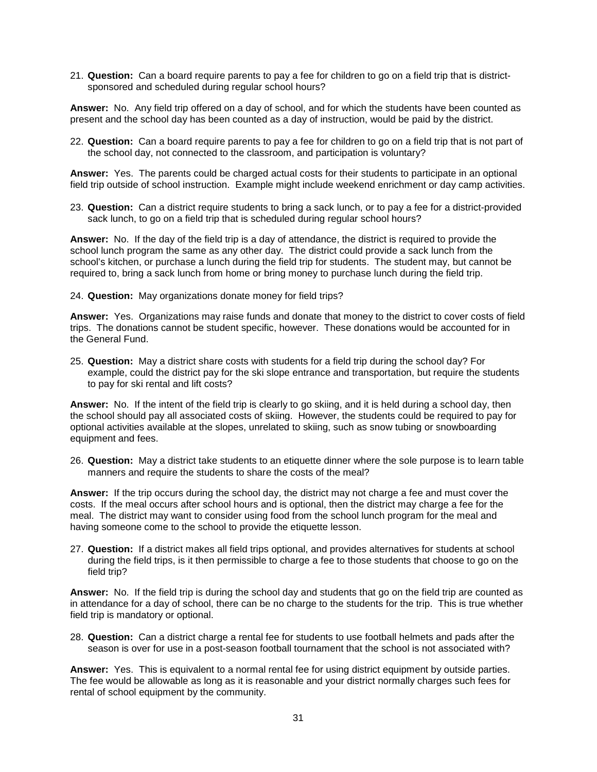21. **Question:** Can a board require parents to pay a fee for children to go on a field trip that is districtsponsored and scheduled during regular school hours?

**Answer:** No. Any field trip offered on a day of school, and for which the students have been counted as present and the school day has been counted as a day of instruction, would be paid by the district.

22. **Question:** Can a board require parents to pay a fee for children to go on a field trip that is not part of the school day, not connected to the classroom, and participation is voluntary?

**Answer:** Yes. The parents could be charged actual costs for their students to participate in an optional field trip outside of school instruction. Example might include weekend enrichment or day camp activities.

23. **Question:** Can a district require students to bring a sack lunch, or to pay a fee for a district-provided sack lunch, to go on a field trip that is scheduled during regular school hours?

**Answer:** No. If the day of the field trip is a day of attendance, the district is required to provide the school lunch program the same as any other day. The district could provide a sack lunch from the school's kitchen, or purchase a lunch during the field trip for students. The student may, but cannot be required to, bring a sack lunch from home or bring money to purchase lunch during the field trip.

#### 24. **Question:** May organizations donate money for field trips?

**Answer:** Yes. Organizations may raise funds and donate that money to the district to cover costs of field trips. The donations cannot be student specific, however. These donations would be accounted for in the General Fund.

25. **Question:** May a district share costs with students for a field trip during the school day? For example, could the district pay for the ski slope entrance and transportation, but require the students to pay for ski rental and lift costs?

**Answer:** No. If the intent of the field trip is clearly to go skiing, and it is held during a school day, then the school should pay all associated costs of skiing. However, the students could be required to pay for optional activities available at the slopes, unrelated to skiing, such as snow tubing or snowboarding equipment and fees.

26. **Question:** May a district take students to an etiquette dinner where the sole purpose is to learn table manners and require the students to share the costs of the meal?

**Answer:** If the trip occurs during the school day, the district may not charge a fee and must cover the costs. If the meal occurs after school hours and is optional, then the district may charge a fee for the meal. The district may want to consider using food from the school lunch program for the meal and having someone come to the school to provide the etiquette lesson.

27. **Question:** If a district makes all field trips optional, and provides alternatives for students at school during the field trips, is it then permissible to charge a fee to those students that choose to go on the field trip?

**Answer:** No. If the field trip is during the school day and students that go on the field trip are counted as in attendance for a day of school, there can be no charge to the students for the trip. This is true whether field trip is mandatory or optional.

28. **Question:** Can a district charge a rental fee for students to use football helmets and pads after the season is over for use in a post-season football tournament that the school is not associated with?

**Answer:** Yes. This is equivalent to a normal rental fee for using district equipment by outside parties. The fee would be allowable as long as it is reasonable and your district normally charges such fees for rental of school equipment by the community.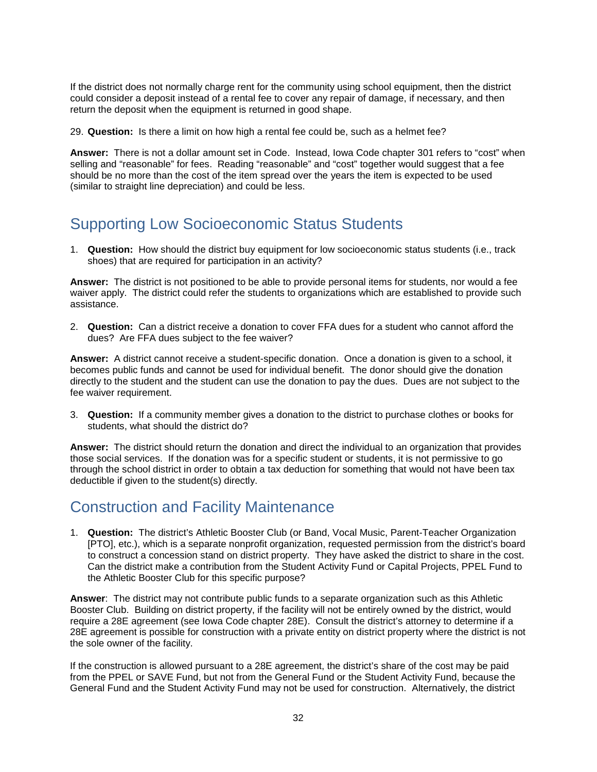If the district does not normally charge rent for the community using school equipment, then the district could consider a deposit instead of a rental fee to cover any repair of damage, if necessary, and then return the deposit when the equipment is returned in good shape.

29. **Question:** Is there a limit on how high a rental fee could be, such as a helmet fee?

**Answer:** There is not a dollar amount set in Code. Instead, Iowa Code chapter 301 refers to "cost" when selling and "reasonable" for fees. Reading "reasonable" and "cost" together would suggest that a fee should be no more than the cost of the item spread over the years the item is expected to be used (similar to straight line depreciation) and could be less.

### <span id="page-34-0"></span>Supporting Low Socioeconomic Status Students

1. **Question:** How should the district buy equipment for low socioeconomic status students (i.e., track shoes) that are required for participation in an activity?

**Answer:** The district is not positioned to be able to provide personal items for students, nor would a fee waiver apply. The district could refer the students to organizations which are established to provide such assistance.

2. **Question:** Can a district receive a donation to cover FFA dues for a student who cannot afford the dues? Are FFA dues subject to the fee waiver?

**Answer:** A district cannot receive a student-specific donation. Once a donation is given to a school, it becomes public funds and cannot be used for individual benefit. The donor should give the donation directly to the student and the student can use the donation to pay the dues. Dues are not subject to the fee waiver requirement.

3. **Question:** If a community member gives a donation to the district to purchase clothes or books for students, what should the district do?

**Answer:** The district should return the donation and direct the individual to an organization that provides those social services. If the donation was for a specific student or students, it is not permissive to go through the school district in order to obtain a tax deduction for something that would not have been tax deductible if given to the student(s) directly.

### <span id="page-34-1"></span>Construction and Facility Maintenance

1. **Question:** The district's Athletic Booster Club (or Band, Vocal Music, Parent-Teacher Organization [PTO], etc.), which is a separate nonprofit organization, requested permission from the district's board to construct a concession stand on district property. They have asked the district to share in the cost. Can the district make a contribution from the Student Activity Fund or Capital Projects, PPEL Fund to the Athletic Booster Club for this specific purpose?

**Answer**: The district may not contribute public funds to a separate organization such as this Athletic Booster Club. Building on district property, if the facility will not be entirely owned by the district, would require a 28E agreement (see Iowa Code chapter 28E). Consult the district's attorney to determine if a 28E agreement is possible for construction with a private entity on district property where the district is not the sole owner of the facility.

If the construction is allowed pursuant to a 28E agreement, the district's share of the cost may be paid from the PPEL or SAVE Fund, but not from the General Fund or the Student Activity Fund, because the General Fund and the Student Activity Fund may not be used for construction. Alternatively, the district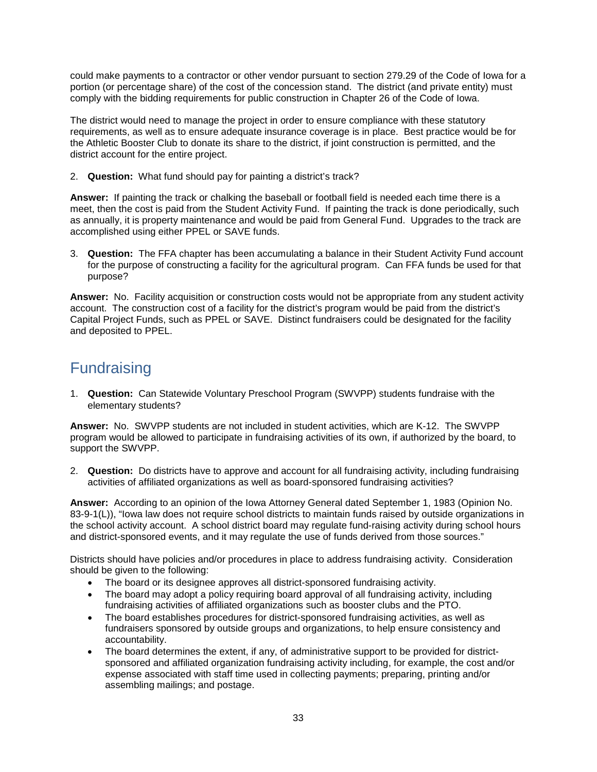could make payments to a contractor or other vendor pursuant to section 279.29 of the Code of Iowa for a portion (or percentage share) of the cost of the concession stand. The district (and private entity) must comply with the bidding requirements for public construction in Chapter 26 of the Code of Iowa.

The district would need to manage the project in order to ensure compliance with these statutory requirements, as well as to ensure adequate insurance coverage is in place. Best practice would be for the Athletic Booster Club to donate its share to the district, if joint construction is permitted, and the district account for the entire project.

2. **Question:** What fund should pay for painting a district's track?

**Answer:** If painting the track or chalking the baseball or football field is needed each time there is a meet, then the cost is paid from the Student Activity Fund. If painting the track is done periodically, such as annually, it is property maintenance and would be paid from General Fund. Upgrades to the track are accomplished using either PPEL or SAVE funds.

3. **Question:** The FFA chapter has been accumulating a balance in their Student Activity Fund account for the purpose of constructing a facility for the agricultural program. Can FFA funds be used for that purpose?

**Answer:** No. Facility acquisition or construction costs would not be appropriate from any student activity account. The construction cost of a facility for the district's program would be paid from the district's Capital Project Funds, such as PPEL or SAVE. Distinct fundraisers could be designated for the facility and deposited to PPEL.

### <span id="page-35-0"></span>**Fundraising**

1. **Question:** Can Statewide Voluntary Preschool Program (SWVPP) students fundraise with the elementary students?

**Answer:** No. SWVPP students are not included in student activities, which are K-12. The SWVPP program would be allowed to participate in fundraising activities of its own, if authorized by the board, to support the SWVPP.

2. **Question:** Do districts have to approve and account for all fundraising activity, including fundraising activities of affiliated organizations as well as board-sponsored fundraising activities?

**Answer:** According to an opinion of the Iowa Attorney General dated September 1, 1983 (Opinion No. 83-9-1(L)), "Iowa law does not require school districts to maintain funds raised by outside organizations in the school activity account. A school district board may regulate fund-raising activity during school hours and district-sponsored events, and it may regulate the use of funds derived from those sources."

Districts should have policies and/or procedures in place to address fundraising activity. Consideration should be given to the following:

- The board or its designee approves all district-sponsored fundraising activity.
- The board may adopt a policy requiring board approval of all fundraising activity, including fundraising activities of affiliated organizations such as booster clubs and the PTO.
- The board establishes procedures for district-sponsored fundraising activities, as well as fundraisers sponsored by outside groups and organizations, to help ensure consistency and accountability.
- The board determines the extent, if any, of administrative support to be provided for districtsponsored and affiliated organization fundraising activity including, for example, the cost and/or expense associated with staff time used in collecting payments; preparing, printing and/or assembling mailings; and postage.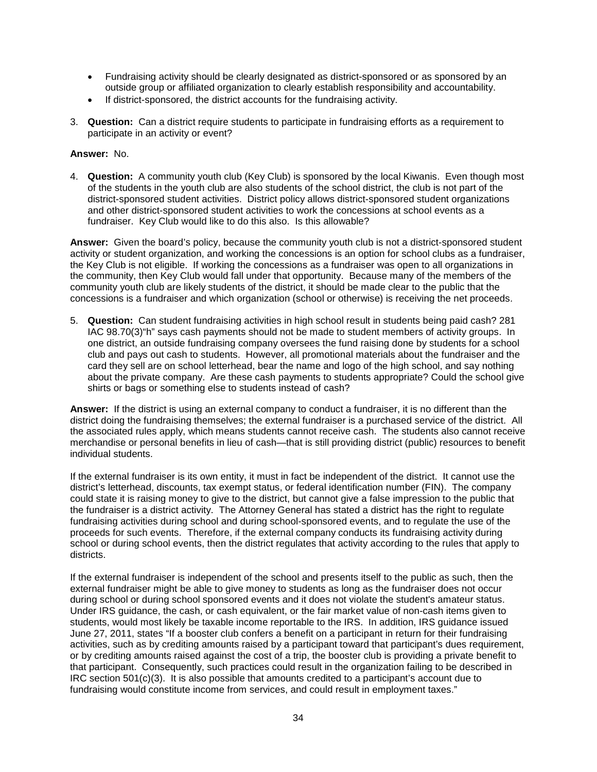- Fundraising activity should be clearly designated as district-sponsored or as sponsored by an outside group or affiliated organization to clearly establish responsibility and accountability.
- If district-sponsored, the district accounts for the fundraising activity.
- 3. **Question:** Can a district require students to participate in fundraising efforts as a requirement to participate in an activity or event?

#### **Answer:** No.

4. **Question:** A community youth club (Key Club) is sponsored by the local Kiwanis. Even though most of the students in the youth club are also students of the school district, the club is not part of the district-sponsored student activities. District policy allows district-sponsored student organizations and other district-sponsored student activities to work the concessions at school events as a fundraiser. Key Club would like to do this also. Is this allowable?

**Answer:** Given the board's policy, because the community youth club is not a district-sponsored student activity or student organization, and working the concessions is an option for school clubs as a fundraiser, the Key Club is not eligible. If working the concessions as a fundraiser was open to all organizations in the community, then Key Club would fall under that opportunity. Because many of the members of the community youth club are likely students of the district, it should be made clear to the public that the concessions is a fundraiser and which organization (school or otherwise) is receiving the net proceeds.

5. **Question:** Can student fundraising activities in high school result in students being paid cash? 281 IAC 98.70(3)"h" says cash payments should not be made to student members of activity groups. In one district, an outside fundraising company oversees the fund raising done by students for a school club and pays out cash to students. However, all promotional materials about the fundraiser and the card they sell are on school letterhead, bear the name and logo of the high school, and say nothing about the private company. Are these cash payments to students appropriate? Could the school give shirts or bags or something else to students instead of cash?

**Answer:** If the district is using an external company to conduct a fundraiser, it is no different than the district doing the fundraising themselves; the external fundraiser is a purchased service of the district. All the associated rules apply, which means students cannot receive cash. The students also cannot receive merchandise or personal benefits in lieu of cash—that is still providing district (public) resources to benefit individual students.

If the external fundraiser is its own entity, it must in fact be independent of the district. It cannot use the district's letterhead, discounts, tax exempt status, or federal identification number (FIN). The company could state it is raising money to give to the district, but cannot give a false impression to the public that the fundraiser is a district activity. The Attorney General has stated a district has the right to regulate fundraising activities during school and during school-sponsored events, and to regulate the use of the proceeds for such events. Therefore, if the external company conducts its fundraising activity during school or during school events, then the district regulates that activity according to the rules that apply to districts.

If the external fundraiser is independent of the school and presents itself to the public as such, then the external fundraiser might be able to give money to students as long as the fundraiser does not occur during school or during school sponsored events and it does not violate the student's amateur status. Under IRS guidance, the cash, or cash equivalent, or the fair market value of non-cash items given to students, would most likely be taxable income reportable to the IRS. In addition, IRS guidance issued June 27, 2011, states "If a booster club confers a benefit on a participant in return for their fundraising activities, such as by crediting amounts raised by a participant toward that participant's dues requirement, or by crediting amounts raised against the cost of a trip, the booster club is providing a private benefit to that participant. Consequently, such practices could result in the organization failing to be described in IRC section 501(c)(3). It is also possible that amounts credited to a participant's account due to fundraising would constitute income from services, and could result in employment taxes."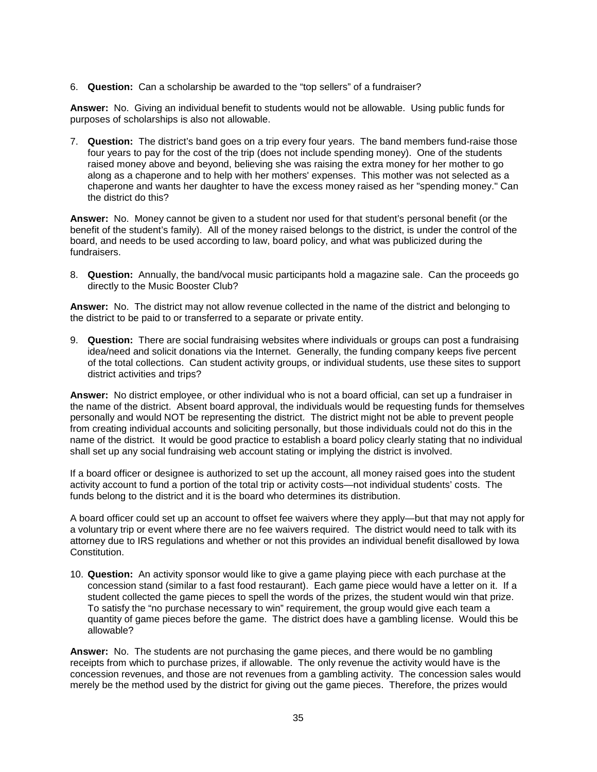6. **Question:** Can a scholarship be awarded to the "top sellers" of a fundraiser?

**Answer:** No. Giving an individual benefit to students would not be allowable. Using public funds for purposes of scholarships is also not allowable.

7. **Question:** The district's band goes on a trip every four years. The band members fund-raise those four years to pay for the cost of the trip (does not include spending money). One of the students raised money above and beyond, believing she was raising the extra money for her mother to go along as a chaperone and to help with her mothers' expenses. This mother was not selected as a chaperone and wants her daughter to have the excess money raised as her "spending money." Can the district do this?

**Answer:** No. Money cannot be given to a student nor used for that student's personal benefit (or the benefit of the student's family). All of the money raised belongs to the district, is under the control of the board, and needs to be used according to law, board policy, and what was publicized during the fundraisers.

8. **Question:** Annually, the band/vocal music participants hold a magazine sale. Can the proceeds go directly to the Music Booster Club?

**Answer:** No. The district may not allow revenue collected in the name of the district and belonging to the district to be paid to or transferred to a separate or private entity.

9. **Question:** There are social fundraising websites where individuals or groups can post a fundraising idea/need and solicit donations via the Internet. Generally, the funding company keeps five percent of the total collections. Can student activity groups, or individual students, use these sites to support district activities and trips?

**Answer:** No district employee, or other individual who is not a board official, can set up a fundraiser in the name of the district. Absent board approval, the individuals would be requesting funds for themselves personally and would NOT be representing the district. The district might not be able to prevent people from creating individual accounts and soliciting personally, but those individuals could not do this in the name of the district. It would be good practice to establish a board policy clearly stating that no individual shall set up any social fundraising web account stating or implying the district is involved.

If a board officer or designee is authorized to set up the account, all money raised goes into the student activity account to fund a portion of the total trip or activity costs—not individual students' costs. The funds belong to the district and it is the board who determines its distribution.

A board officer could set up an account to offset fee waivers where they apply—but that may not apply for a voluntary trip or event where there are no fee waivers required. The district would need to talk with its attorney due to IRS regulations and whether or not this provides an individual benefit disallowed by Iowa Constitution.

10. **Question:** An activity sponsor would like to give a game playing piece with each purchase at the concession stand (similar to a fast food restaurant). Each game piece would have a letter on it. If a student collected the game pieces to spell the words of the prizes, the student would win that prize. To satisfy the "no purchase necessary to win" requirement, the group would give each team a quantity of game pieces before the game. The district does have a gambling license. Would this be allowable?

**Answer:** No. The students are not purchasing the game pieces, and there would be no gambling receipts from which to purchase prizes, if allowable. The only revenue the activity would have is the concession revenues, and those are not revenues from a gambling activity. The concession sales would merely be the method used by the district for giving out the game pieces. Therefore, the prizes would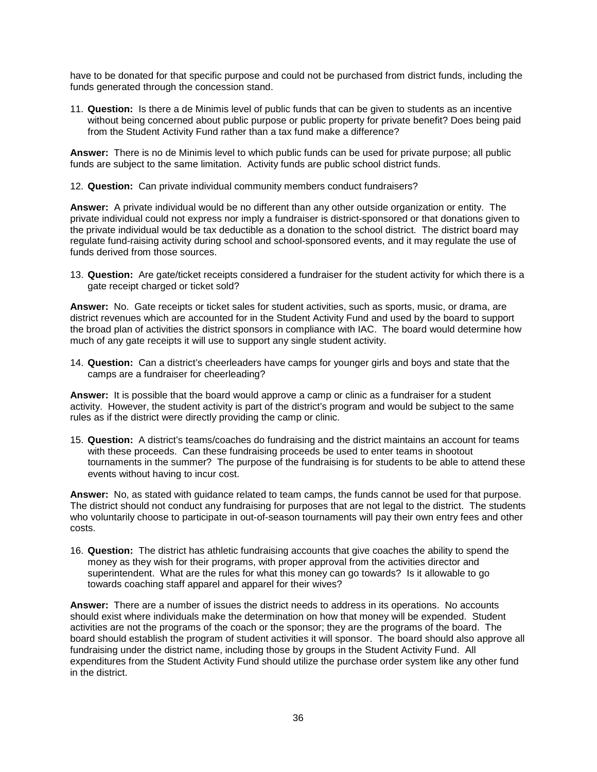have to be donated for that specific purpose and could not be purchased from district funds, including the funds generated through the concession stand.

11. **Question:** Is there a de Minimis level of public funds that can be given to students as an incentive without being concerned about public purpose or public property for private benefit? Does being paid from the Student Activity Fund rather than a tax fund make a difference?

**Answer:** There is no de Minimis level to which public funds can be used for private purpose; all public funds are subject to the same limitation. Activity funds are public school district funds.

12. **Question:** Can private individual community members conduct fundraisers?

**Answer:** A private individual would be no different than any other outside organization or entity. The private individual could not express nor imply a fundraiser is district-sponsored or that donations given to the private individual would be tax deductible as a donation to the school district. The district board may regulate fund-raising activity during school and school-sponsored events, and it may regulate the use of funds derived from those sources.

13. **Question:** Are gate/ticket receipts considered a fundraiser for the student activity for which there is a gate receipt charged or ticket sold?

**Answer:** No. Gate receipts or ticket sales for student activities, such as sports, music, or drama, are district revenues which are accounted for in the Student Activity Fund and used by the board to support the broad plan of activities the district sponsors in compliance with IAC. The board would determine how much of any gate receipts it will use to support any single student activity.

14. **Question:** Can a district's cheerleaders have camps for younger girls and boys and state that the camps are a fundraiser for cheerleading?

**Answer:** It is possible that the board would approve a camp or clinic as a fundraiser for a student activity. However, the student activity is part of the district's program and would be subject to the same rules as if the district were directly providing the camp or clinic.

15. **Question:** A district's teams/coaches do fundraising and the district maintains an account for teams with these proceeds. Can these fundraising proceeds be used to enter teams in shootout tournaments in the summer? The purpose of the fundraising is for students to be able to attend these events without having to incur cost.

**Answer:** No, as stated with guidance related to team camps, the funds cannot be used for that purpose. The district should not conduct any fundraising for purposes that are not legal to the district. The students who voluntarily choose to participate in out-of-season tournaments will pay their own entry fees and other costs.

16. **Question:** The district has athletic fundraising accounts that give coaches the ability to spend the money as they wish for their programs, with proper approval from the activities director and superintendent. What are the rules for what this money can go towards? Is it allowable to go towards coaching staff apparel and apparel for their wives?

**Answer:** There are a number of issues the district needs to address in its operations. No accounts should exist where individuals make the determination on how that money will be expended. Student activities are not the programs of the coach or the sponsor; they are the programs of the board. The board should establish the program of student activities it will sponsor. The board should also approve all fundraising under the district name, including those by groups in the Student Activity Fund. All expenditures from the Student Activity Fund should utilize the purchase order system like any other fund in the district.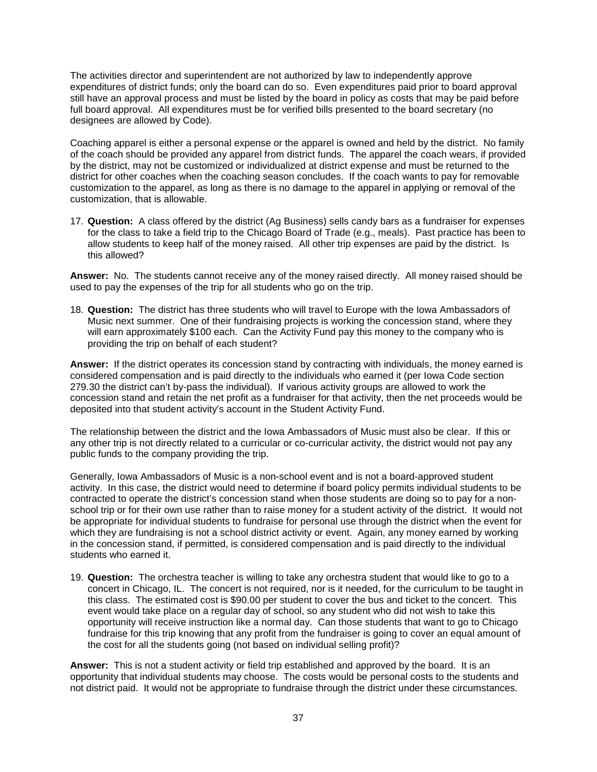The activities director and superintendent are not authorized by law to independently approve expenditures of district funds; only the board can do so. Even expenditures paid prior to board approval still have an approval process and must be listed by the board in policy as costs that may be paid before full board approval. All expenditures must be for verified bills presented to the board secretary (no designees are allowed by Code).

Coaching apparel is either a personal expense or the apparel is owned and held by the district. No family of the coach should be provided any apparel from district funds. The apparel the coach wears, if provided by the district, may not be customized or individualized at district expense and must be returned to the district for other coaches when the coaching season concludes. If the coach wants to pay for removable customization to the apparel, as long as there is no damage to the apparel in applying or removal of the customization, that is allowable.

17. **Question:** A class offered by the district (Ag Business) sells candy bars as a fundraiser for expenses for the class to take a field trip to the Chicago Board of Trade (e.g., meals). Past practice has been to allow students to keep half of the money raised. All other trip expenses are paid by the district. Is this allowed?

**Answer:** No.The students cannot receive any of the money raised directly. All money raised should be used to pay the expenses of the trip for all students who go on the trip.

18. **Question:** The district has three students who will travel to Europe with the Iowa Ambassadors of Music next summer. One of their fundraising projects is working the concession stand, where they will earn approximately \$100 each. Can the Activity Fund pay this money to the company who is providing the trip on behalf of each student?

**Answer:** If the district operates its concession stand by contracting with individuals, the money earned is considered compensation and is paid directly to the individuals who earned it (per Iowa Code section 279.30 the district can't by-pass the individual). If various activity groups are allowed to work the concession stand and retain the net profit as a fundraiser for that activity, then the net proceeds would be deposited into that student activity's account in the Student Activity Fund.

The relationship between the district and the Iowa Ambassadors of Music must also be clear. If this or any other trip is not directly related to a curricular or co-curricular activity, the district would not pay any public funds to the company providing the trip.

Generally, Iowa Ambassadors of Music is a non-school event and is not a board-approved student activity. In this case, the district would need to determine if board policy permits individual students to be contracted to operate the district's concession stand when those students are doing so to pay for a nonschool trip or for their own use rather than to raise money for a student activity of the district. It would not be appropriate for individual students to fundraise for personal use through the district when the event for which they are fundraising is not a school district activity or event. Again, any money earned by working in the concession stand, if permitted, is considered compensation and is paid directly to the individual students who earned it.

19. **Question:** The orchestra teacher is willing to take any orchestra student that would like to go to a concert in Chicago, IL. The concert is not required, nor is it needed, for the curriculum to be taught in this class. The estimated cost is \$90.00 per student to cover the bus and ticket to the concert. This event would take place on a regular day of school, so any student who did not wish to take this opportunity will receive instruction like a normal day. Can those students that want to go to Chicago fundraise for this trip knowing that any profit from the fundraiser is going to cover an equal amount of the cost for all the students going (not based on individual selling profit)?

**Answer:** This is not a student activity or field trip established and approved by the board. It is an opportunity that individual students may choose. The costs would be personal costs to the students and not district paid. It would not be appropriate to fundraise through the district under these circumstances.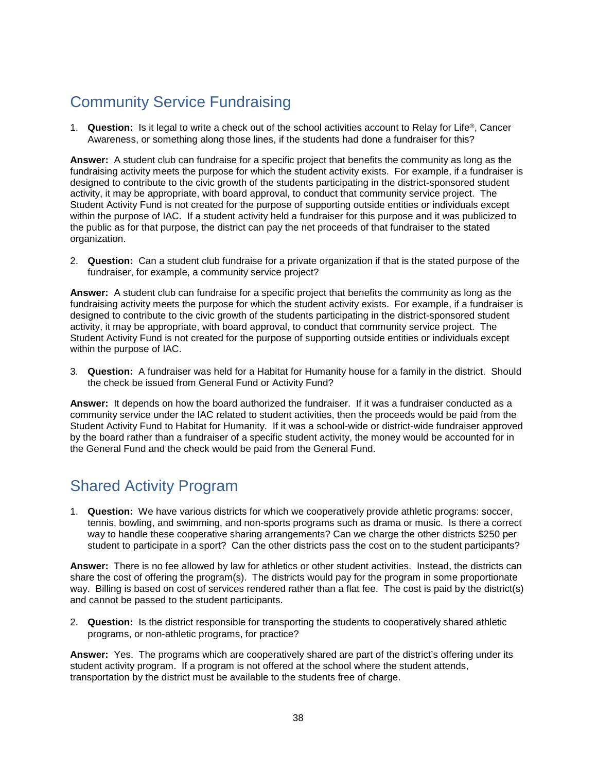# <span id="page-40-0"></span>Community Service Fundraising

1. **Question:** Is it legal to write a check out of the school activities account to Relay for Life®, Cancer Awareness, or something along those lines, if the students had done a fundraiser for this?

**Answer:** A student club can fundraise for a specific project that benefits the community as long as the fundraising activity meets the purpose for which the student activity exists. For example, if a fundraiser is designed to contribute to the civic growth of the students participating in the district-sponsored student activity, it may be appropriate, with board approval, to conduct that community service project. The Student Activity Fund is not created for the purpose of supporting outside entities or individuals except within the purpose of IAC. If a student activity held a fundraiser for this purpose and it was publicized to the public as for that purpose, the district can pay the net proceeds of that fundraiser to the stated organization.

2. **Question:** Can a student club fundraise for a private organization if that is the stated purpose of the fundraiser, for example, a community service project?

**Answer:** A student club can fundraise for a specific project that benefits the community as long as the fundraising activity meets the purpose for which the student activity exists. For example, if a fundraiser is designed to contribute to the civic growth of the students participating in the district-sponsored student activity, it may be appropriate, with board approval, to conduct that community service project. The Student Activity Fund is not created for the purpose of supporting outside entities or individuals except within the purpose of IAC.

3. **Question:** A fundraiser was held for a Habitat for Humanity house for a family in the district. Should the check be issued from General Fund or Activity Fund?

**Answer:** It depends on how the board authorized the fundraiser. If it was a fundraiser conducted as a community service under the IAC related to student activities, then the proceeds would be paid from the Student Activity Fund to Habitat for Humanity. If it was a school-wide or district-wide fundraiser approved by the board rather than a fundraiser of a specific student activity, the money would be accounted for in the General Fund and the check would be paid from the General Fund.

### <span id="page-40-1"></span>Shared Activity Program

1. **Question:** We have various districts for which we cooperatively provide athletic programs: soccer, tennis, bowling, and swimming, and non-sports programs such as drama or music. Is there a correct way to handle these cooperative sharing arrangements? Can we charge the other districts \$250 per student to participate in a sport? Can the other districts pass the cost on to the student participants?

**Answer:** There is no fee allowed by law for athletics or other student activities. Instead, the districts can share the cost of offering the program(s). The districts would pay for the program in some proportionate way. Billing is based on cost of services rendered rather than a flat fee. The cost is paid by the district(s) and cannot be passed to the student participants.

2. **Question:** Is the district responsible for transporting the students to cooperatively shared athletic programs, or non-athletic programs, for practice?

**Answer:** Yes. The programs which are cooperatively shared are part of the district's offering under its student activity program. If a program is not offered at the school where the student attends, transportation by the district must be available to the students free of charge.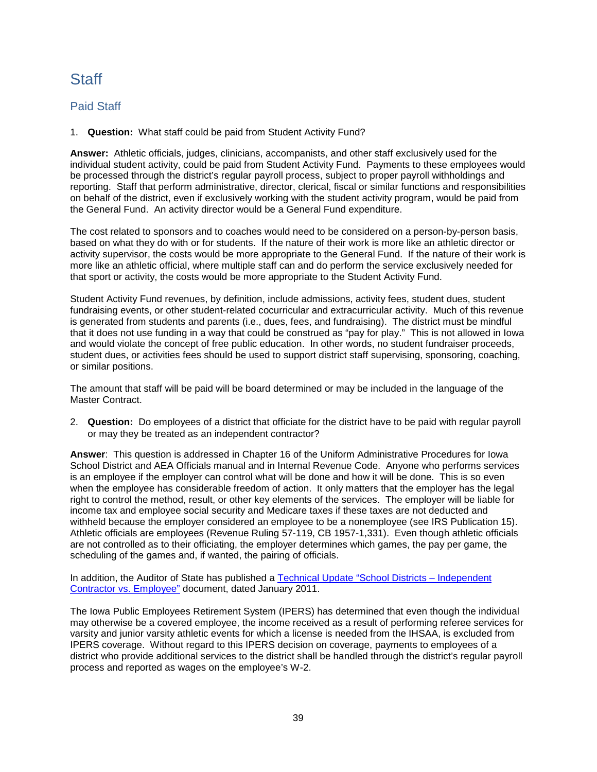### <span id="page-41-0"></span>Staff

#### <span id="page-41-1"></span>Paid Staff

1. **Question:** What staff could be paid from Student Activity Fund?

**Answer:** Athletic officials, judges, clinicians, accompanists, and other staff exclusively used for the individual student activity, could be paid from Student Activity Fund. Payments to these employees would be processed through the district's regular payroll process, subject to proper payroll withholdings and reporting. Staff that perform administrative, director, clerical, fiscal or similar functions and responsibilities on behalf of the district, even if exclusively working with the student activity program, would be paid from the General Fund. An activity director would be a General Fund expenditure.

The cost related to sponsors and to coaches would need to be considered on a person-by-person basis, based on what they do with or for students. If the nature of their work is more like an athletic director or activity supervisor, the costs would be more appropriate to the General Fund. If the nature of their work is more like an athletic official, where multiple staff can and do perform the service exclusively needed for that sport or activity, the costs would be more appropriate to the Student Activity Fund.

Student Activity Fund revenues, by definition, include admissions, activity fees, student dues, student fundraising events, or other student-related cocurricular and extracurricular activity. Much of this revenue is generated from students and parents (i.e., dues, fees, and fundraising). The district must be mindful that it does not use funding in a way that could be construed as "pay for play." This is not allowed in Iowa and would violate the concept of free public education. In other words, no student fundraiser proceeds, student dues, or activities fees should be used to support district staff supervising, sponsoring, coaching, or similar positions.

The amount that staff will be paid will be board determined or may be included in the language of the Master Contract.

2. **Question:** Do employees of a district that officiate for the district have to be paid with regular payroll or may they be treated as an independent contractor?

**Answer**: This question is addressed in Chapter 16 of the Uniform Administrative Procedures for Iowa School District and AEA Officials manual and in Internal Revenue Code. Anyone who performs services is an employee if the employer can control what will be done and how it will be done. This is so even when the employee has considerable freedom of action. It only matters that the employer has the legal right to control the method, result, or other key elements of the services. The employer will be liable for income tax and employee social security and Medicare taxes if these taxes are not deducted and withheld because the employer considered an employee to be a nonemployee (see IRS Publication 15). Athletic officials are employees (Revenue Ruling 57-119, CB 1957-1,331). Even though athletic officials are not controlled as to their officiating, the employer determines which games, the pay per game, the scheduling of the games and, if wanted, the pairing of officials.

In addition, the Auditor of State has published a [Technical Update "School Districts –](http://auditor.iowa.gov/tech_updates/TecIndependentContractorVsEmployee.pdf) Independent [Contractor vs. Employee"](http://auditor.iowa.gov/tech_updates/TecIndependentContractorVsEmployee.pdf) document, dated January 2011.

The Iowa Public Employees Retirement System (IPERS) has determined that even though the individual may otherwise be a covered employee, the income received as a result of performing referee services for varsity and junior varsity athletic events for which a license is needed from the IHSAA, is excluded from IPERS coverage. Without regard to this IPERS decision on coverage, payments to employees of a district who provide additional services to the district shall be handled through the district's regular payroll process and reported as wages on the employee's W-2.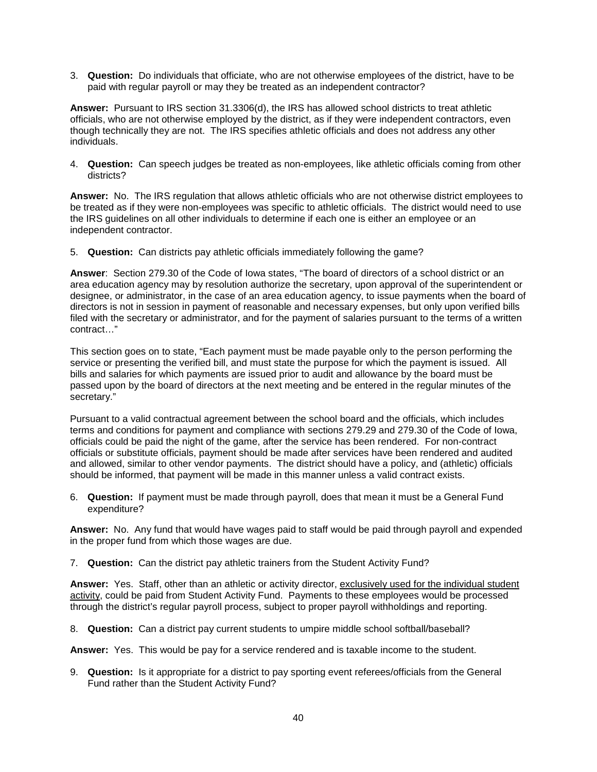3. **Question:** Do individuals that officiate, who are not otherwise employees of the district, have to be paid with regular payroll or may they be treated as an independent contractor?

**Answer:** Pursuant to IRS section 31.3306(d), the IRS has allowed school districts to treat athletic officials, who are not otherwise employed by the district, as if they were independent contractors, even though technically they are not.The IRS specifies athletic officials and does not address any other individuals.

4. **Question:** Can speech judges be treated as non-employees, like athletic officials coming from other districts?

**Answer:** No. The IRS regulation that allows athletic officials who are not otherwise district employees to be treated as if they were non-employees was specific to athletic officials. The district would need to use the IRS guidelines on all other individuals to determine if each one is either an employee or an independent contractor.

5. **Question:** Can districts pay athletic officials immediately following the game?

**Answer**: Section 279.30 of the Code of Iowa states, "The board of directors of a school district or an area education agency may by resolution authorize the secretary, upon approval of the superintendent or designee, or administrator, in the case of an area education agency, to issue payments when the board of directors is not in session in payment of reasonable and necessary expenses, but only upon verified bills filed with the secretary or administrator, and for the payment of salaries pursuant to the terms of a written contract…"

This section goes on to state, "Each payment must be made payable only to the person performing the service or presenting the verified bill, and must state the purpose for which the payment is issued. All bills and salaries for which payments are issued prior to audit and allowance by the board must be passed upon by the board of directors at the next meeting and be entered in the regular minutes of the secretary."

Pursuant to a valid contractual agreement between the school board and the officials, which includes terms and conditions for payment and compliance with sections 279.29 and 279.30 of the Code of Iowa, officials could be paid the night of the game, after the service has been rendered. For non-contract officials or substitute officials, payment should be made after services have been rendered and audited and allowed, similar to other vendor payments. The district should have a policy, and (athletic) officials should be informed, that payment will be made in this manner unless a valid contract exists.

6. **Question:** If payment must be made through payroll, does that mean it must be a General Fund expenditure?

**Answer:** No. Any fund that would have wages paid to staff would be paid through payroll and expended in the proper fund from which those wages are due.

7. **Question:** Can the district pay athletic trainers from the Student Activity Fund?

**Answer:** Yes. Staff, other than an athletic or activity director, exclusively used for the individual student activity, could be paid from Student Activity Fund. Payments to these employees would be processed through the district's regular payroll process, subject to proper payroll withholdings and reporting.

8. **Question:** Can a district pay current students to umpire middle school softball/baseball?

**Answer:** Yes. This would be pay for a service rendered and is taxable income to the student.

9. **Question:** Is it appropriate for a district to pay sporting event referees/officials from the General Fund rather than the Student Activity Fund?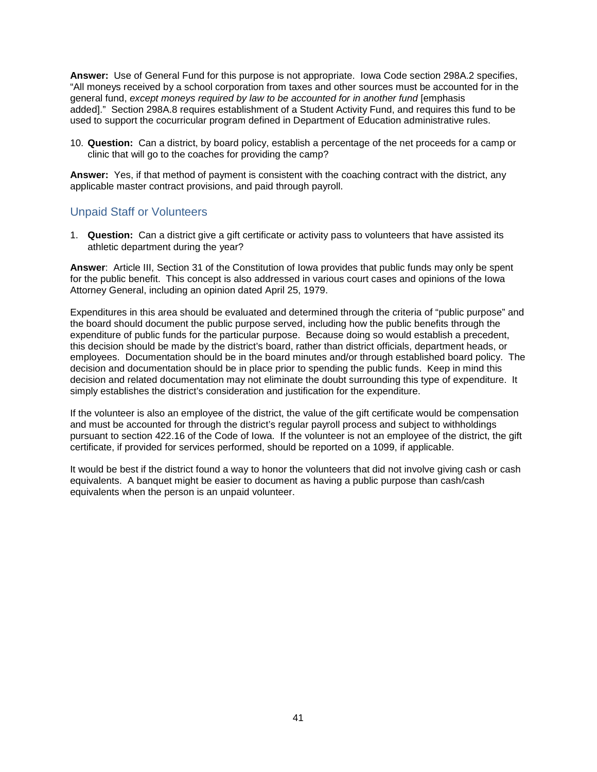**Answer:** Use of General Fund for this purpose is not appropriate. Iowa Code section 298A.2 specifies, "All moneys received by a school corporation from taxes and other sources must be accounted for in the general fund, *except moneys required by law to be accounted for in another fund* [emphasis added]." Section 298A.8 requires establishment of a Student Activity Fund, and requires this fund to be used to support the cocurricular program defined in Department of Education administrative rules.

10. **Question:** Can a district, by board policy, establish a percentage of the net proceeds for a camp or clinic that will go to the coaches for providing the camp?

**Answer:** Yes, if that method of payment is consistent with the coaching contract with the district, any applicable master contract provisions, and paid through payroll.

#### <span id="page-43-0"></span>Unpaid Staff or Volunteers

1. **Question:** Can a district give a gift certificate or activity pass to volunteers that have assisted its athletic department during the year?

**Answer**: Article III, Section 31 of the Constitution of Iowa provides that public funds may only be spent for the public benefit. This concept is also addressed in various court cases and opinions of the Iowa Attorney General, including an opinion dated April 25, 1979.

Expenditures in this area should be evaluated and determined through the criteria of "public purpose" and the board should document the public purpose served, including how the public benefits through the expenditure of public funds for the particular purpose. Because doing so would establish a precedent, this decision should be made by the district's board, rather than district officials, department heads, or employees. Documentation should be in the board minutes and/or through established board policy. The decision and documentation should be in place prior to spending the public funds. Keep in mind this decision and related documentation may not eliminate the doubt surrounding this type of expenditure. It simply establishes the district's consideration and justification for the expenditure.

If the volunteer is also an employee of the district, the value of the gift certificate would be compensation and must be accounted for through the district's regular payroll process and subject to withholdings pursuant to section 422.16 of the Code of Iowa. If the volunteer is not an employee of the district, the gift certificate, if provided for services performed, should be reported on a 1099, if applicable.

It would be best if the district found a way to honor the volunteers that did not involve giving cash or cash equivalents. A banquet might be easier to document as having a public purpose than cash/cash equivalents when the person is an unpaid volunteer.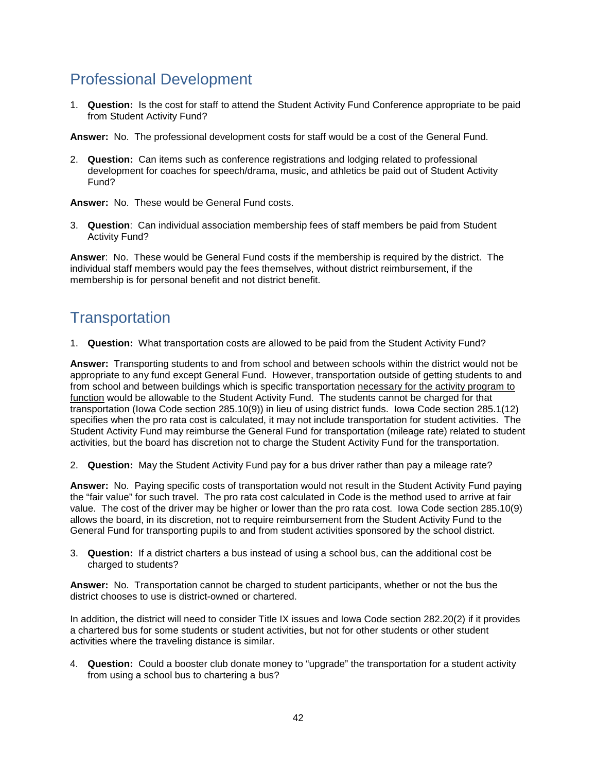### <span id="page-44-0"></span>Professional Development

1. **Question:** Is the cost for staff to attend the Student Activity Fund Conference appropriate to be paid from Student Activity Fund?

**Answer:** No. The professional development costs for staff would be a cost of the General Fund.

2. **Question:** Can items such as conference registrations and lodging related to professional development for coaches for speech/drama, music, and athletics be paid out of Student Activity Fund?

**Answer:** No. These would be General Fund costs.

3. **Question**: Can individual association membership fees of staff members be paid from Student Activity Fund?

**Answer**: No. These would be General Fund costs if the membership is required by the district. The individual staff members would pay the fees themselves, without district reimbursement, if the membership is for personal benefit and not district benefit.

### <span id="page-44-1"></span>**Transportation**

1. **Question:** What transportation costs are allowed to be paid from the Student Activity Fund?

**Answer:** Transporting students to and from school and between schools within the district would not be appropriate to any fund except General Fund. However, transportation outside of getting students to and from school and between buildings which is specific transportation necessary for the activity program to function would be allowable to the Student Activity Fund. The students cannot be charged for that transportation (Iowa Code section 285.10(9)) in lieu of using district funds. Iowa Code section 285.1(12) specifies when the pro rata cost is calculated, it may not include transportation for student activities. The Student Activity Fund may reimburse the General Fund for transportation (mileage rate) related to student activities, but the board has discretion not to charge the Student Activity Fund for the transportation.

2. **Question:** May the Student Activity Fund pay for a bus driver rather than pay a mileage rate?

**Answer:** No. Paying specific costs of transportation would not result in the Student Activity Fund paying the "fair value" for such travel. The pro rata cost calculated in Code is the method used to arrive at fair value. The cost of the driver may be higher or lower than the pro rata cost. Iowa Code section 285.10(9) allows the board, in its discretion, not to require reimbursement from the Student Activity Fund to the General Fund for transporting pupils to and from student activities sponsored by the school district.

3. **Question:** If a district charters a bus instead of using a school bus, can the additional cost be charged to students?

**Answer:** No. Transportation cannot be charged to student participants, whether or not the bus the district chooses to use is district-owned or chartered.

In addition, the district will need to consider Title IX issues and Iowa Code section 282.20(2) if it provides a chartered bus for some students or student activities, but not for other students or other student activities where the traveling distance is similar.

4. **Question:** Could a booster club donate money to "upgrade" the transportation for a student activity from using a school bus to chartering a bus?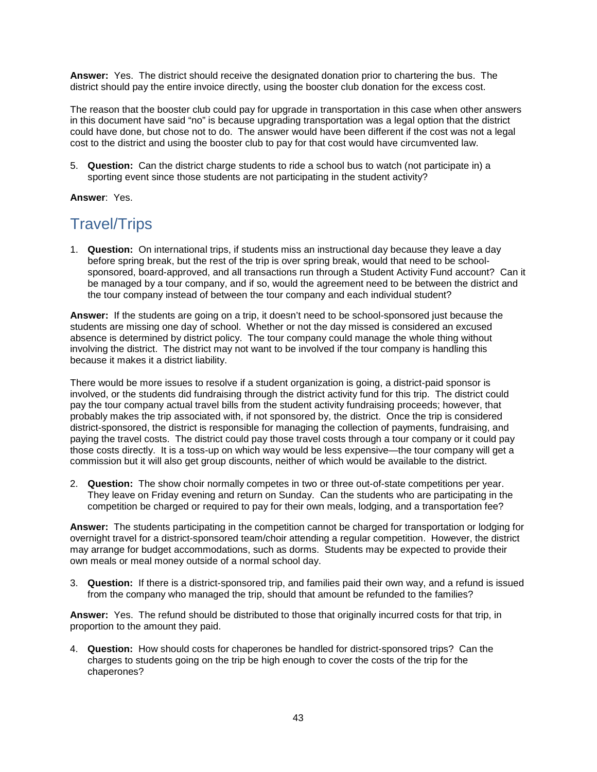**Answer:** Yes. The district should receive the designated donation prior to chartering the bus. The district should pay the entire invoice directly, using the booster club donation for the excess cost.

The reason that the booster club could pay for upgrade in transportation in this case when other answers in this document have said "no" is because upgrading transportation was a legal option that the district could have done, but chose not to do. The answer would have been different if the cost was not a legal cost to the district and using the booster club to pay for that cost would have circumvented law.

5. **Question:** Can the district charge students to ride a school bus to watch (not participate in) a sporting event since those students are not participating in the student activity?

<span id="page-45-0"></span>**Answer**: Yes.

### Travel/Trips

1. **Question:** On international trips, if students miss an instructional day because they leave a day before spring break, but the rest of the trip is over spring break, would that need to be schoolsponsored, board-approved, and all transactions run through a Student Activity Fund account? Can it be managed by a tour company, and if so, would the agreement need to be between the district and the tour company instead of between the tour company and each individual student?

**Answer:** If the students are going on a trip, it doesn't need to be school-sponsored just because the students are missing one day of school. Whether or not the day missed is considered an excused absence is determined by district policy. The tour company could manage the whole thing without involving the district. The district may not want to be involved if the tour company is handling this because it makes it a district liability.

There would be more issues to resolve if a student organization is going, a district-paid sponsor is involved, or the students did fundraising through the district activity fund for this trip. The district could pay the tour company actual travel bills from the student activity fundraising proceeds; however, that probably makes the trip associated with, if not sponsored by, the district. Once the trip is considered district-sponsored, the district is responsible for managing the collection of payments, fundraising, and paying the travel costs. The district could pay those travel costs through a tour company or it could pay those costs directly. It is a toss-up on which way would be less expensive—the tour company will get a commission but it will also get group discounts, neither of which would be available to the district.

2. **Question:** The show choir normally competes in two or three out-of-state competitions per year. They leave on Friday evening and return on Sunday. Can the students who are participating in the competition be charged or required to pay for their own meals, lodging, and a transportation fee?

**Answer:** The students participating in the competition cannot be charged for transportation or lodging for overnight travel for a district-sponsored team/choir attending a regular competition. However, the district may arrange for budget accommodations, such as dorms. Students may be expected to provide their own meals or meal money outside of a normal school day.

3. **Question:** If there is a district-sponsored trip, and families paid their own way, and a refund is issued from the company who managed the trip, should that amount be refunded to the families?

**Answer:** Yes. The refund should be distributed to those that originally incurred costs for that trip, in proportion to the amount they paid.

4. **Question:** How should costs for chaperones be handled for district-sponsored trips? Can the charges to students going on the trip be high enough to cover the costs of the trip for the chaperones?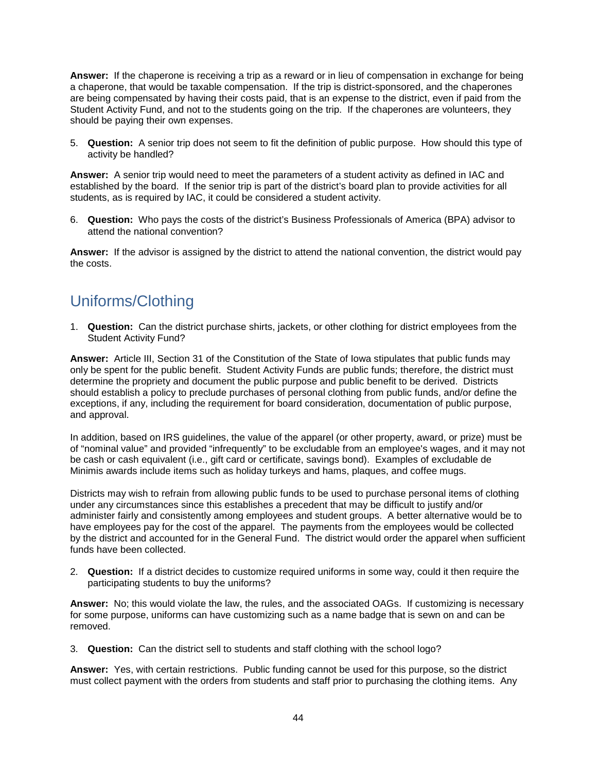**Answer:** If the chaperone is receiving a trip as a reward or in lieu of compensation in exchange for being a chaperone, that would be taxable compensation. If the trip is district-sponsored, and the chaperones are being compensated by having their costs paid, that is an expense to the district, even if paid from the Student Activity Fund, and not to the students going on the trip. If the chaperones are volunteers, they should be paying their own expenses.

5. **Question:** A senior trip does not seem to fit the definition of public purpose. How should this type of activity be handled?

**Answer:** A senior trip would need to meet the parameters of a student activity as defined in IAC and established by the board. If the senior trip is part of the district's board plan to provide activities for all students, as is required by IAC, it could be considered a student activity.

6. **Question:** Who pays the costs of the district's Business Professionals of America (BPA) advisor to attend the national convention?

**Answer:** If the advisor is assigned by the district to attend the national convention, the district would pay the costs.

### <span id="page-46-0"></span>Uniforms/Clothing

1. **Question:** Can the district purchase shirts, jackets, or other clothing for district employees from the Student Activity Fund?

**Answer:** Article III, Section 31 of the Constitution of the State of Iowa stipulates that public funds may only be spent for the public benefit. Student Activity Funds are public funds; therefore, the district must determine the propriety and document the public purpose and public benefit to be derived. Districts should establish a policy to preclude purchases of personal clothing from public funds, and/or define the exceptions, if any, including the requirement for board consideration, documentation of public purpose, and approval.

In addition, based on IRS guidelines, the value of the apparel (or other property, award, or prize) must be of "nominal value" and provided "infrequently" to be excludable from an employee's wages, and it may not be cash or cash equivalent (i.e., gift card or certificate, savings bond). Examples of excludable de Minimis awards include items such as holiday turkeys and hams, plaques, and coffee mugs.

Districts may wish to refrain from allowing public funds to be used to purchase personal items of clothing under any circumstances since this establishes a precedent that may be difficult to justify and/or administer fairly and consistently among employees and student groups. A better alternative would be to have employees pay for the cost of the apparel. The payments from the employees would be collected by the district and accounted for in the General Fund. The district would order the apparel when sufficient funds have been collected.

2. **Question:** If a district decides to customize required uniforms in some way, could it then require the participating students to buy the uniforms?

**Answer:** No; this would violate the law, the rules, and the associated OAGs. If customizing is necessary for some purpose, uniforms can have customizing such as a name badge that is sewn on and can be removed.

3. **Question:** Can the district sell to students and staff clothing with the school logo?

**Answer:** Yes, with certain restrictions. Public funding cannot be used for this purpose, so the district must collect payment with the orders from students and staff prior to purchasing the clothing items. Any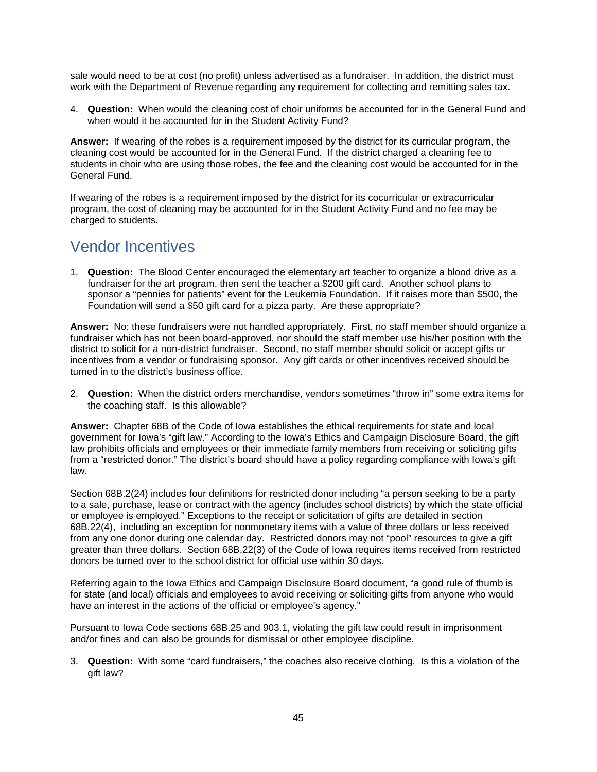sale would need to be at cost (no profit) unless advertised as a fundraiser. In addition, the district must work with the Department of Revenue regarding any requirement for collecting and remitting sales tax.

4. **Question:** When would the cleaning cost of choir uniforms be accounted for in the General Fund and when would it be accounted for in the Student Activity Fund?

**Answer:** If wearing of the robes is a requirement imposed by the district for its curricular program, the cleaning cost would be accounted for in the General Fund. If the district charged a cleaning fee to students in choir who are using those robes, the fee and the cleaning cost would be accounted for in the General Fund.

If wearing of the robes is a requirement imposed by the district for its cocurricular or extracurricular program, the cost of cleaning may be accounted for in the Student Activity Fund and no fee may be charged to students.

#### <span id="page-47-0"></span>Vendor Incentives

1. **Question:** The Blood Center encouraged the elementary art teacher to organize a blood drive as a fundraiser for the art program, then sent the teacher a \$200 gift card. Another school plans to sponsor a "pennies for patients" event for the Leukemia Foundation. If it raises more than \$500, the Foundation will send a \$50 gift card for a pizza party. Are these appropriate?

**Answer:** No; these fundraisers were not handled appropriately. First, no staff member should organize a fundraiser which has not been board-approved, nor should the staff member use his/her position with the district to solicit for a non-district fundraiser. Second, no staff member should solicit or accept gifts or incentives from a vendor or fundraising sponsor. Any gift cards or other incentives received should be turned in to the district's business office.

2. **Question:** When the district orders merchandise, vendors sometimes "throw in" some extra items for the coaching staff. Is this allowable?

**Answer:** Chapter 68B of the Code of Iowa establishes the ethical requirements for state and local government for Iowa's "gift law." According to the Iowa's Ethics and Campaign Disclosure Board, the gift law prohibits officials and employees or their immediate family members from receiving or soliciting gifts from a "restricted donor." The district's board should have a policy regarding compliance with Iowa's gift law.

Section 68B.2(24) includes four definitions for restricted donor including "a person seeking to be a party to a sale, purchase, lease or contract with the agency (includes school districts) by which the state official or employee is employed." Exceptions to the receipt or solicitation of gifts are detailed in section 68B.22(4), including an exception for nonmonetary items with a value of three dollars or less received from any one donor during one calendar day. Restricted donors may not "pool" resources to give a gift greater than three dollars. Section 68B.22(3) of the Code of Iowa requires items received from restricted donors be turned over to the school district for official use within 30 days.

Referring again to the Iowa Ethics and Campaign Disclosure Board document, "a good rule of thumb is for state (and local) officials and employees to avoid receiving or soliciting gifts from anyone who would have an interest in the actions of the official or employee's agency."

Pursuant to Iowa Code sections 68B.25 and 903.1, violating the gift law could result in imprisonment and/or fines and can also be grounds for dismissal or other employee discipline.

3. **Question:** With some "card fundraisers," the coaches also receive clothing. Is this a violation of the gift law?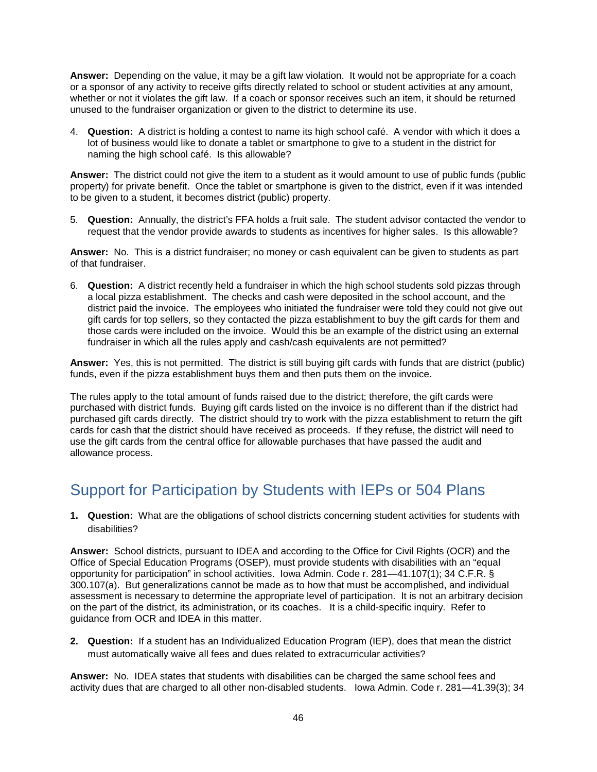**Answer:** Depending on the value, it may be a gift law violation. It would not be appropriate for a coach or a sponsor of any activity to receive gifts directly related to school or student activities at any amount, whether or not it violates the gift law. If a coach or sponsor receives such an item, it should be returned unused to the fundraiser organization or given to the district to determine its use.

4. **Question:** A district is holding a contest to name its high school café. A vendor with which it does a lot of business would like to donate a tablet or smartphone to give to a student in the district for naming the high school café. Is this allowable?

**Answer:** The district could not give the item to a student as it would amount to use of public funds (public property) for private benefit. Once the tablet or smartphone is given to the district, even if it was intended to be given to a student, it becomes district (public) property.

5. **Question:** Annually, the district's FFA holds a fruit sale. The student advisor contacted the vendor to request that the vendor provide awards to students as incentives for higher sales. Is this allowable?

**Answer:** No. This is a district fundraiser; no money or cash equivalent can be given to students as part of that fundraiser.

6. **Question:** A district recently held a fundraiser in which the high school students sold pizzas through a local pizza establishment. The checks and cash were deposited in the school account, and the district paid the invoice. The employees who initiated the fundraiser were told they could not give out gift cards for top sellers, so they contacted the pizza establishment to buy the gift cards for them and those cards were included on the invoice. Would this be an example of the district using an external fundraiser in which all the rules apply and cash/cash equivalents are not permitted?

**Answer:** Yes, this is not permitted. The district is still buying gift cards with funds that are district (public) funds, even if the pizza establishment buys them and then puts them on the invoice.

The rules apply to the total amount of funds raised due to the district; therefore, the gift cards were purchased with district funds. Buying gift cards listed on the invoice is no different than if the district had purchased gift cards directly. The district should try to work with the pizza establishment to return the gift cards for cash that the district should have received as proceeds. If they refuse, the district will need to use the gift cards from the central office for allowable purchases that have passed the audit and allowance process.

### <span id="page-48-0"></span>Support for Participation by Students with IEPs or 504 Plans

**1. Question:** What are the obligations of school districts concerning student activities for students with disabilities?

**Answer:** School districts, pursuant to IDEA and according to the Office for Civil Rights (OCR) and the Office of Special Education Programs (OSEP), must provide students with disabilities with an "equal opportunity for participation" in school activities. Iowa Admin. Code r. 281—41.107(1); 34 C.F.R. § 300.107(a). But generalizations cannot be made as to how that must be accomplished, and individual assessment is necessary to determine the appropriate level of participation. It is not an arbitrary decision on the part of the district, its administration, or its coaches. It is a child-specific inquiry. Refer to guidance from OCR and IDEA in this matter.

**2. Question:** If a student has an Individualized Education Program (IEP), does that mean the district must automatically waive all fees and dues related to extracurricular activities?

**Answer:** No. IDEA states that students with disabilities can be charged the same school fees and activity dues that are charged to all other non-disabled students. Iowa Admin. Code r. 281—41.39(3); 34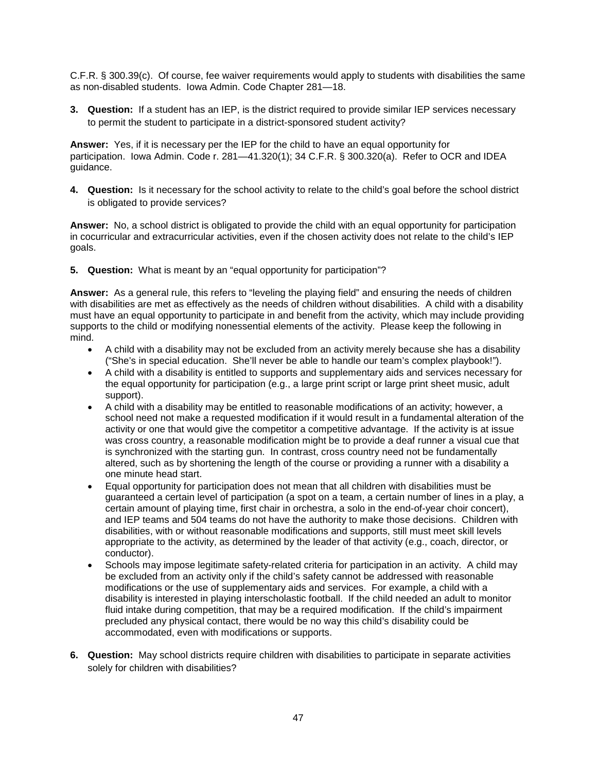C.F.R. § 300.39(c). Of course, fee waiver requirements would apply to students with disabilities the same as non-disabled students. Iowa Admin. Code Chapter 281—18.

**3. Question:** If a student has an IEP, is the district required to provide similar IEP services necessary to permit the student to participate in a district-sponsored student activity?

**Answer:** Yes, if it is necessary per the IEP for the child to have an equal opportunity for participation. Iowa Admin. Code r. 281—41.320(1); 34 C.F.R. § 300.320(a). Refer to OCR and IDEA guidance.

**4. Question:** Is it necessary for the school activity to relate to the child's goal before the school district is obligated to provide services?

**Answer:** No, a school district is obligated to provide the child with an equal opportunity for participation in cocurricular and extracurricular activities, even if the chosen activity does not relate to the child's IEP goals.

**5. Question:** What is meant by an "equal opportunity for participation"?

**Answer:** As a general rule, this refers to "leveling the playing field" and ensuring the needs of children with disabilities are met as effectively as the needs of children without disabilities. A child with a disability must have an equal opportunity to participate in and benefit from the activity, which may include providing supports to the child or modifying nonessential elements of the activity. Please keep the following in mind.

- A child with a disability may not be excluded from an activity merely because she has a disability ("She's in special education. She'll never be able to handle our team's complex playbook!").
- A child with a disability is entitled to supports and supplementary aids and services necessary for the equal opportunity for participation (e.g., a large print script or large print sheet music, adult support).
- A child with a disability may be entitled to reasonable modifications of an activity; however, a school need not make a requested modification if it would result in a fundamental alteration of the activity or one that would give the competitor a competitive advantage. If the activity is at issue was cross country, a reasonable modification might be to provide a deaf runner a visual cue that is synchronized with the starting gun. In contrast, cross country need not be fundamentally altered, such as by shortening the length of the course or providing a runner with a disability a one minute head start.
- Equal opportunity for participation does not mean that all children with disabilities must be guaranteed a certain level of participation (a spot on a team, a certain number of lines in a play, a certain amount of playing time, first chair in orchestra, a solo in the end-of-year choir concert), and IEP teams and 504 teams do not have the authority to make those decisions. Children with disabilities, with or without reasonable modifications and supports, still must meet skill levels appropriate to the activity, as determined by the leader of that activity (e.g., coach, director, or conductor).
- Schools may impose legitimate safety-related criteria for participation in an activity. A child may be excluded from an activity only if the child's safety cannot be addressed with reasonable modifications or the use of supplementary aids and services. For example, a child with a disability is interested in playing interscholastic football. If the child needed an adult to monitor fluid intake during competition, that may be a required modification. If the child's impairment precluded any physical contact, there would be no way this child's disability could be accommodated, even with modifications or supports.
- **6. Question:** May school districts require children with disabilities to participate in separate activities solely for children with disabilities?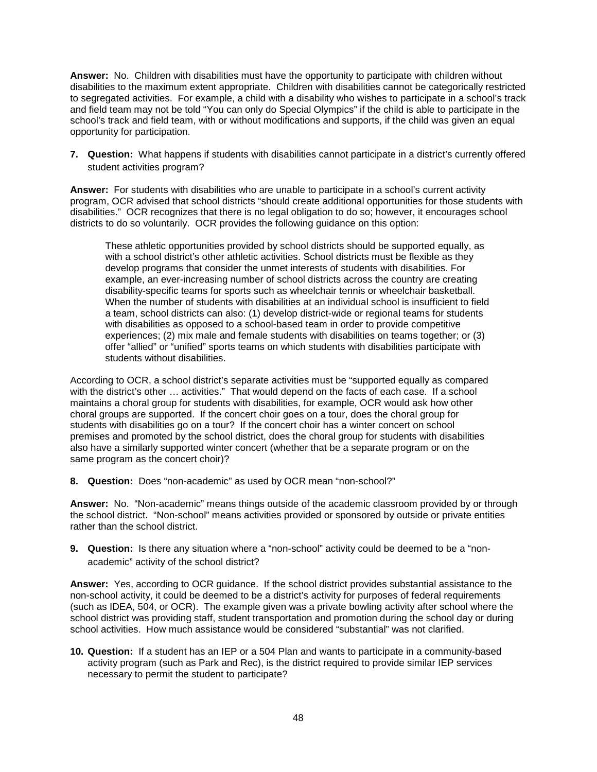**Answer:** No. Children with disabilities must have the opportunity to participate with children without disabilities to the maximum extent appropriate. Children with disabilities cannot be categorically restricted to segregated activities. For example, a child with a disability who wishes to participate in a school's track and field team may not be told "You can only do Special Olympics" if the child is able to participate in the school's track and field team, with or without modifications and supports, if the child was given an equal opportunity for participation.

**7. Question:** What happens if students with disabilities cannot participate in a district's currently offered student activities program?

**Answer:** For students with disabilities who are unable to participate in a school's current activity program, OCR advised that school districts "should create additional opportunities for those students with disabilities." OCR recognizes that there is no legal obligation to do so; however, it encourages school districts to do so voluntarily. OCR provides the following guidance on this option:

These athletic opportunities provided by school districts should be supported equally, as with a school district's other athletic activities. School districts must be flexible as they develop programs that consider the unmet interests of students with disabilities. For example, an ever-increasing number of school districts across the country are creating disability-specific teams for sports such as wheelchair tennis or wheelchair basketball. When the number of students with disabilities at an individual school is insufficient to field a team, school districts can also: (1) develop district-wide or regional teams for students with disabilities as opposed to a school-based team in order to provide competitive experiences; (2) mix male and female students with disabilities on teams together; or (3) offer "allied" or "unified" sports teams on which students with disabilities participate with students without disabilities.

According to OCR, a school district's separate activities must be "supported equally as compared with the district's other … activities." That would depend on the facts of each case. If a school maintains a choral group for students with disabilities, for example, OCR would ask how other choral groups are supported. If the concert choir goes on a tour, does the choral group for students with disabilities go on a tour? If the concert choir has a winter concert on school premises and promoted by the school district, does the choral group for students with disabilities also have a similarly supported winter concert (whether that be a separate program or on the same program as the concert choir)?

**8. Question:** Does "non-academic" as used by OCR mean "non-school?"

**Answer:** No. "Non-academic" means things outside of the academic classroom provided by or through the school district. "Non-school" means activities provided or sponsored by outside or private entities rather than the school district.

**9. Question:** Is there any situation where a "non-school" activity could be deemed to be a "nonacademic" activity of the school district?

**Answer:** Yes, according to OCR guidance. If the school district provides substantial assistance to the non-school activity, it could be deemed to be a district's activity for purposes of federal requirements (such as IDEA, 504, or OCR). The example given was a private bowling activity after school where the school district was providing staff, student transportation and promotion during the school day or during school activities. How much assistance would be considered "substantial" was not clarified.

**10. Question:** If a student has an IEP or a 504 Plan and wants to participate in a community-based activity program (such as Park and Rec), is the district required to provide similar IEP services necessary to permit the student to participate?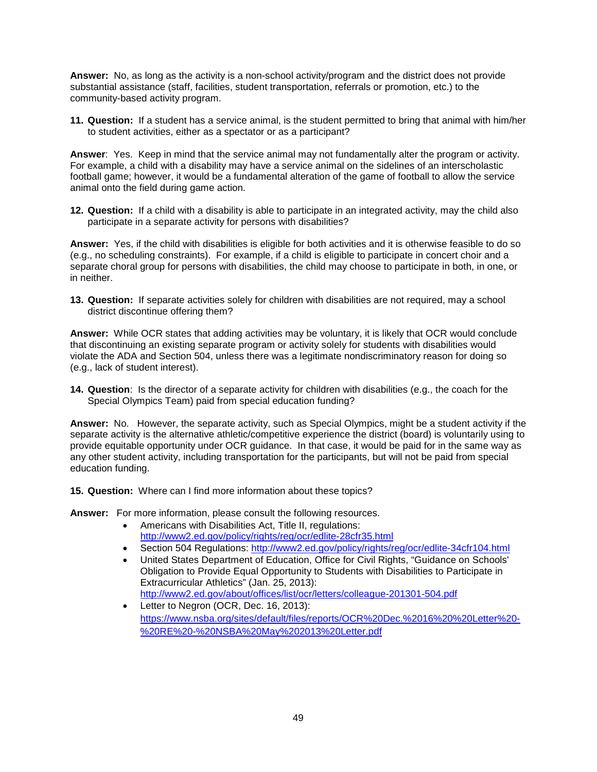**Answer:** No, as long as the activity is a non-school activity/program and the district does not provide substantial assistance (staff, facilities, student transportation, referrals or promotion, etc.) to the community-based activity program.

**11. Question:** If a student has a service animal, is the student permitted to bring that animal with him/her to student activities, either as a spectator or as a participant?

**Answer**: Yes. Keep in mind that the service animal may not fundamentally alter the program or activity. For example, a child with a disability may have a service animal on the sidelines of an interscholastic football game; however, it would be a fundamental alteration of the game of football to allow the service animal onto the field during game action.

**12. Question:** If a child with a disability is able to participate in an integrated activity, may the child also participate in a separate activity for persons with disabilities?

**Answer:** Yes, if the child with disabilities is eligible for both activities and it is otherwise feasible to do so (e.g., no scheduling constraints). For example, if a child is eligible to participate in concert choir and a separate choral group for persons with disabilities, the child may choose to participate in both, in one, or in neither.

**13. Question:** If separate activities solely for children with disabilities are not required, may a school district discontinue offering them?

**Answer:** While OCR states that adding activities may be voluntary, it is likely that OCR would conclude that discontinuing an existing separate program or activity solely for students with disabilities would violate the ADA and Section 504, unless there was a legitimate nondiscriminatory reason for doing so (e.g., lack of student interest).

**14. Question**: Is the director of a separate activity for children with disabilities (e.g., the coach for the Special Olympics Team) paid from special education funding?

**Answer:** No. However, the separate activity, such as Special Olympics, might be a student activity if the separate activity is the alternative athletic/competitive experience the district (board) is voluntarily using to provide equitable opportunity under OCR guidance. In that case, it would be paid for in the same way as any other student activity, including transportation for the participants, but will not be paid from special education funding.

**15. Question:** Where can I find more information about these topics?

**Answer:** For more information, please consult the following resources.

- Americans with Disabilities Act, Title II, regulations: <http://www2.ed.gov/policy/rights/reg/ocr/edlite-28cfr35.html>
- Section 504 Regulations:<http://www2.ed.gov/policy/rights/reg/ocr/edlite-34cfr104.html>
- United States Department of Education, Office for Civil Rights, "Guidance on Schools' Obligation to Provide Equal Opportunity to Students with Disabilities to Participate in Extracurricular Athletics" (Jan. 25, 2013): <http://www2.ed.gov/about/offices/list/ocr/letters/colleague-201301-504.pdf>
- Letter to Negron (OCR, Dec. 16, 2013): [https://www.nsba.org/sites/default/files/reports/OCR%20Dec.%2016%20%20Letter%20-](https://www.nsba.org/sites/default/files/reports/OCR%20Dec.%2016%20%20Letter%20-%20RE%20-%20NSBA%20May%202013%20Letter.pdf) [%20RE%20-%20NSBA%20May%202013%20Letter.pdf](https://www.nsba.org/sites/default/files/reports/OCR%20Dec.%2016%20%20Letter%20-%20RE%20-%20NSBA%20May%202013%20Letter.pdf)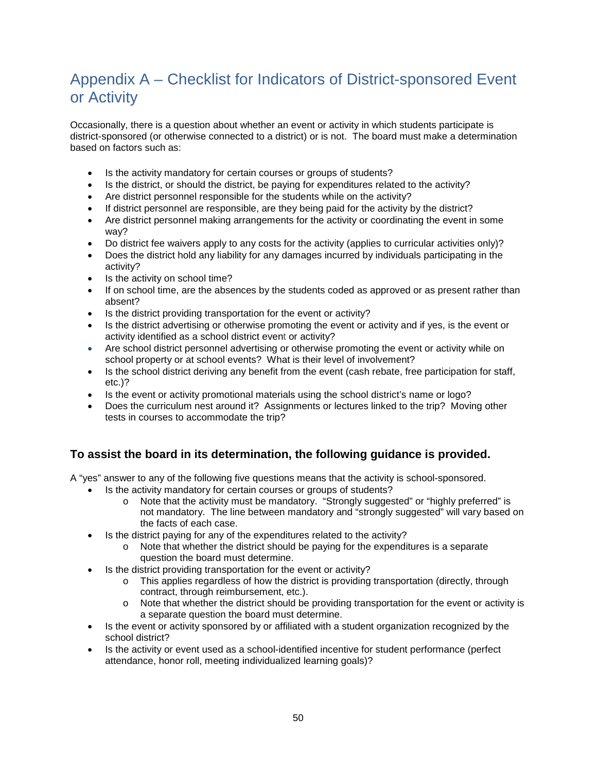## <span id="page-52-0"></span>Appendix A – Checklist for Indicators of District-sponsored Event or Activity

Occasionally, there is a question about whether an event or activity in which students participate is district-sponsored (or otherwise connected to a district) or is not. The board must make a determination based on factors such as:

- Is the activity mandatory for certain courses or groups of students?
- Is the district, or should the district, be paying for expenditures related to the activity?
- Are district personnel responsible for the students while on the activity?
- If district personnel are responsible, are they being paid for the activity by the district?
- Are district personnel making arrangements for the activity or coordinating the event in some way?
- Do district fee waivers apply to any costs for the activity (applies to curricular activities only)?
- Does the district hold any liability for any damages incurred by individuals participating in the activity?
- Is the activity on school time?
- If on school time, are the absences by the students coded as approved or as present rather than absent?
- Is the district providing transportation for the event or activity?
- Is the district advertising or otherwise promoting the event or activity and if yes, is the event or activity identified as a school district event or activity?
- Are school district personnel advertising or otherwise promoting the event or activity while on school property or at school events? What is their level of involvement?
- Is the school district deriving any benefit from the event (cash rebate, free participation for staff, etc.)?
- Is the event or activity promotional materials using the school district's name or logo?
- Does the curriculum nest around it? Assignments or lectures linked to the trip? Moving other tests in courses to accommodate the trip?

#### **To assist the board in its determination, the following guidance is provided.**

A "yes" answer to any of the following five questions means that the activity is school-sponsored.

- Is the activity mandatory for certain courses or groups of students?
	- o Note that the activity must be mandatory. "Strongly suggested" or "highly preferred" is not mandatory. The line between mandatory and "strongly suggested" will vary based on the facts of each case.
- Is the district paying for any of the expenditures related to the activity?
	- o Note that whether the district should be paying for the expenditures is a separate question the board must determine.
- Is the district providing transportation for the event or activity?
	- o This applies regardless of how the district is providing transportation (directly, through contract, through reimbursement, etc.).
	- $\circ$  Note that whether the district should be providing transportation for the event or activity is a separate question the board must determine.
- Is the event or activity sponsored by or affiliated with a student organization recognized by the school district?
- Is the activity or event used as a school-identified incentive for student performance (perfect attendance, honor roll, meeting individualized learning goals)?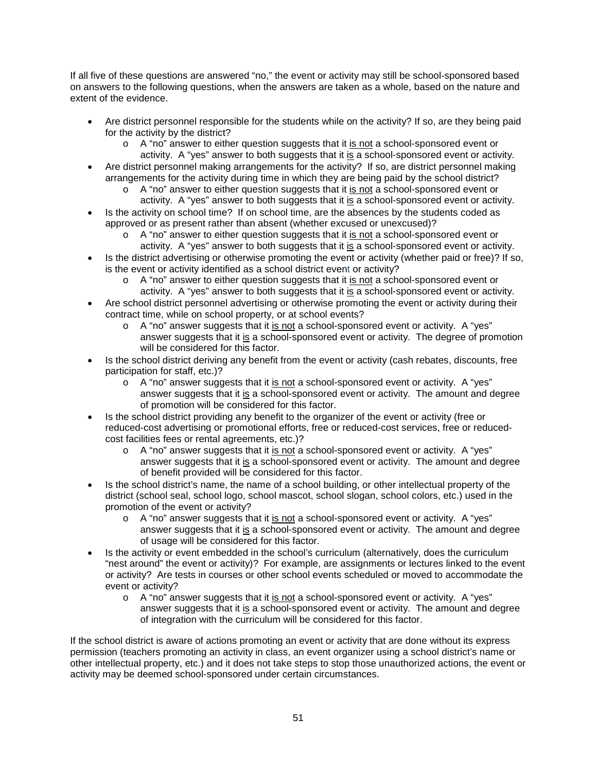If all five of these questions are answered "no," the event or activity may still be school-sponsored based on answers to the following questions, when the answers are taken as a whole, based on the nature and extent of the evidence.

- Are district personnel responsible for the students while on the activity? If so, are they being paid for the activity by the district?
	- o A "no" answer to either question suggests that it is not a school-sponsored event or activity. A "yes" answer to both suggests that it is a school-sponsored event or activity.
- Are district personnel making arrangements for the activity? If so, are district personnel making arrangements for the activity during time in which they are being paid by the school district?
	- o A "no" answer to either question suggests that it is not a school-sponsored event or activity. A "yes" answer to both suggests that it is a school-sponsored event or activity.
- Is the activity on school time? If on school time, are the absences by the students coded as approved or as present rather than absent (whether excused or unexcused)?
	- $\circ$  A "no" answer to either question suggests that it is not a school-sponsored event or activity. A "yes" answer to both suggests that it is a school-sponsored event or activity.
- Is the district advertising or otherwise promoting the event or activity (whether paid or free)? If so, is the event or activity identified as a school district event or activity?
	- o A "no" answer to either question suggests that it is not a school-sponsored event or
- activity. A "yes" answer to both suggests that it is a school-sponsored event or activity. • Are school district personnel advertising or otherwise promoting the event or activity during their contract time, while on school property, or at school events?
	- $\circ$  A "no" answer suggests that it is not a school-sponsored event or activity. A "yes" answer suggests that it is a school-sponsored event or activity. The degree of promotion will be considered for this factor.
- Is the school district deriving any benefit from the event or activity (cash rebates, discounts, free participation for staff, etc.)?
	- $\circ$  A "no" answer suggests that it is not a school-sponsored event or activity. A "yes" answer suggests that it is a school-sponsored event or activity. The amount and degree of promotion will be considered for this factor.
- Is the school district providing any benefit to the organizer of the event or activity (free or reduced-cost advertising or promotional efforts, free or reduced-cost services, free or reducedcost facilities fees or rental agreements, etc.)?
	- o A "no" answer suggests that it is not a school-sponsored event or activity. A "yes" answer suggests that it is a school-sponsored event or activity. The amount and degree of benefit provided will be considered for this factor.
- Is the school district's name, the name of a school building, or other intellectual property of the district (school seal, school logo, school mascot, school slogan, school colors, etc.) used in the promotion of the event or activity?
	- o A "no" answer suggests that it is not a school-sponsored event or activity. A "yes" answer suggests that it is a school-sponsored event or activity. The amount and degree of usage will be considered for this factor.
- Is the activity or event embedded in the school's curriculum (alternatively, does the curriculum "nest around" the event or activity)? For example, are assignments or lectures linked to the event or activity? Are tests in courses or other school events scheduled or moved to accommodate the event or activity?
	- o A "no" answer suggests that it is not a school-sponsored event or activity. A "yes" answer suggests that it is a school-sponsored event or activity. The amount and degree of integration with the curriculum will be considered for this factor.

If the school district is aware of actions promoting an event or activity that are done without its express permission (teachers promoting an activity in class, an event organizer using a school district's name or other intellectual property, etc.) and it does not take steps to stop those unauthorized actions, the event or activity may be deemed school-sponsored under certain circumstances.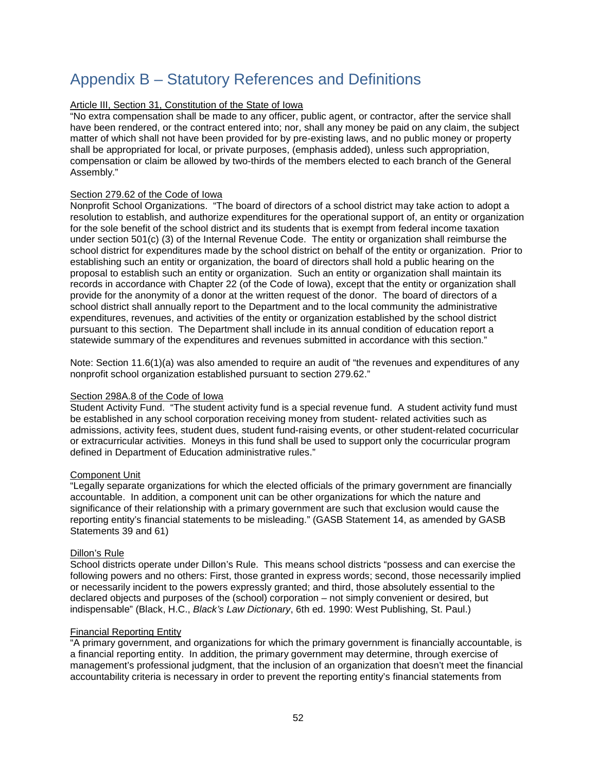### <span id="page-54-0"></span>Appendix B – Statutory References and Definitions

#### Article III, Section 31, Constitution of the State of Iowa

"No extra compensation shall be made to any officer, public agent, or contractor, after the service shall have been rendered, or the contract entered into; nor, shall any money be paid on any claim, the subject matter of which shall not have been provided for by pre-existing laws, and no public money or property shall be appropriated for local, or private purposes, (emphasis added), unless such appropriation, compensation or claim be allowed by two-thirds of the members elected to each branch of the General Assembly."

#### Section 279.62 of the Code of Iowa

Nonprofit School Organizations. "The board of directors of a school district may take action to adopt a resolution to establish, and authorize expenditures for the operational support of, an entity or organization for the sole benefit of the school district and its students that is exempt from federal income taxation under section 501(c) (3) of the Internal Revenue Code. The entity or organization shall reimburse the school district for expenditures made by the school district on behalf of the entity or organization. Prior to establishing such an entity or organization, the board of directors shall hold a public hearing on the proposal to establish such an entity or organization. Such an entity or organization shall maintain its records in accordance with Chapter 22 (of the Code of Iowa), except that the entity or organization shall provide for the anonymity of a donor at the written request of the donor. The board of directors of a school district shall annually report to the Department and to the local community the administrative expenditures, revenues, and activities of the entity or organization established by the school district pursuant to this section. The Department shall include in its annual condition of education report a statewide summary of the expenditures and revenues submitted in accordance with this section."

Note: Section 11.6(1)(a) was also amended to require an audit of "the revenues and expenditures of any nonprofit school organization established pursuant to section 279.62."

#### Section 298A.8 of the Code of Iowa

Student Activity Fund. "The student activity fund is a special revenue fund. A student activity fund must be established in any school corporation receiving money from student- related activities such as admissions, activity fees, student dues, student fund-raising events, or other student-related cocurricular or extracurricular activities. Moneys in this fund shall be used to support only the cocurricular program defined in Department of Education administrative rules."

#### Component Unit

"Legally separate organizations for which the elected officials of the primary government are financially accountable. In addition, a component unit can be other organizations for which the nature and significance of their relationship with a primary government are such that exclusion would cause the reporting entity's financial statements to be misleading." (GASB Statement 14, as amended by GASB Statements 39 and 61)

#### Dillon's Rule

School districts operate under Dillon's Rule. This means school districts "possess and can exercise the following powers and no others: First, those granted in express words; second, those necessarily implied or necessarily incident to the powers expressly granted; and third, those absolutely essential to the declared objects and purposes of the (school) corporation – not simply convenient or desired, but indispensable" (Black, H.C., *Black's Law Dictionary*, 6th ed. 1990: West Publishing, St. Paul.)

#### Financial Reporting Entity

"A primary government, and organizations for which the primary government is financially accountable, is a financial reporting entity. In addition, the primary government may determine, through exercise of management's professional judgment, that the inclusion of an organization that doesn't meet the financial accountability criteria is necessary in order to prevent the reporting entity's financial statements from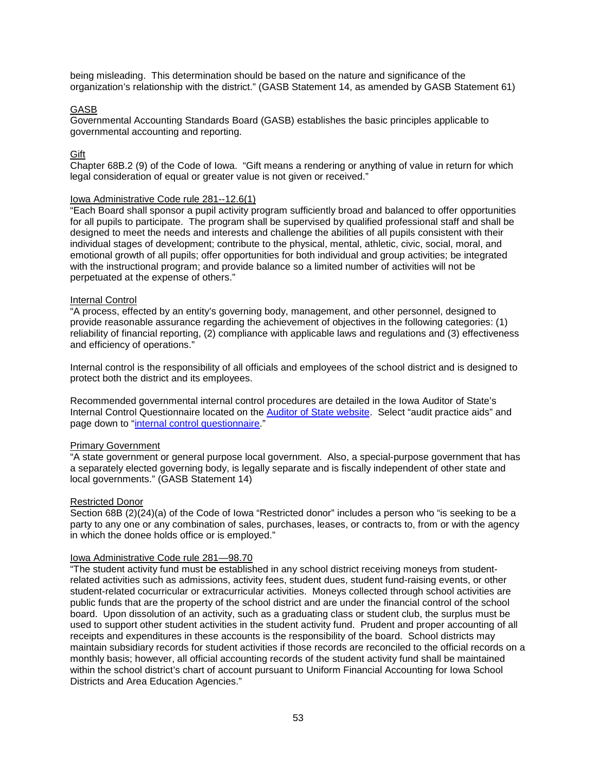being misleading. This determination should be based on the nature and significance of the organization's relationship with the district." (GASB Statement 14, as amended by GASB Statement 61)

#### GASB

Governmental Accounting Standards Board (GASB) establishes the basic principles applicable to governmental accounting and reporting.

#### **Gift**

Chapter 68B.2 (9) of the Code of Iowa. "Gift means a rendering or anything of value in return for which legal consideration of equal or greater value is not given or received."

#### Iowa Administrative Code rule 281--12.6(1)

"Each Board shall sponsor a pupil activity program sufficiently broad and balanced to offer opportunities for all pupils to participate. The program shall be supervised by qualified professional staff and shall be designed to meet the needs and interests and challenge the abilities of all pupils consistent with their individual stages of development; contribute to the physical, mental, athletic, civic, social, moral, and emotional growth of all pupils; offer opportunities for both individual and group activities; be integrated with the instructional program; and provide balance so a limited number of activities will not be perpetuated at the expense of others."

#### Internal Control

"A process, effected by an entity's governing body, management, and other personnel, designed to provide reasonable assurance regarding the achievement of objectives in the following categories: (1) reliability of financial reporting, (2) compliance with applicable laws and regulations and (3) effectiveness and efficiency of operations."

Internal control is the responsibility of all officials and employees of the school district and is designed to protect both the district and its employees.

Recommended governmental internal control procedures are detailed in the Iowa Auditor of State's Internal Control Questionnaire located on the [Auditor of State website.](http://auditor.iowa.gov/) Select "audit practice aids" and page down to ["internal control questionnaire.](http://auditor.iowa.gov/practice_aids/index.html)"

#### Primary Government

"A state government or general purpose local government. Also, a special-purpose government that has a separately elected governing body, is legally separate and is fiscally independent of other state and local governments." (GASB Statement 14)

#### Restricted Donor

Section 68B (2)(24)(a) of the Code of Iowa "Restricted donor" includes a person who "is seeking to be a party to any one or any combination of sales, purchases, leases, or contracts to, from or with the agency in which the donee holds office or is employed."

#### Iowa Administrative Code rule 281—98.70

"The student activity fund must be established in any school district receiving moneys from studentrelated activities such as admissions, activity fees, student dues, student fund-raising events, or other student-related cocurricular or extracurricular activities. Moneys collected through school activities are public funds that are the property of the school district and are under the financial control of the school board. Upon dissolution of an activity, such as a graduating class or student club, the surplus must be used to support other student activities in the student activity fund. Prudent and proper accounting of all receipts and expenditures in these accounts is the responsibility of the board. School districts may maintain subsidiary records for student activities if those records are reconciled to the official records on a monthly basis; however, all official accounting records of the student activity fund shall be maintained within the school district's chart of account pursuant to Uniform Financial Accounting for Iowa School Districts and Area Education Agencies."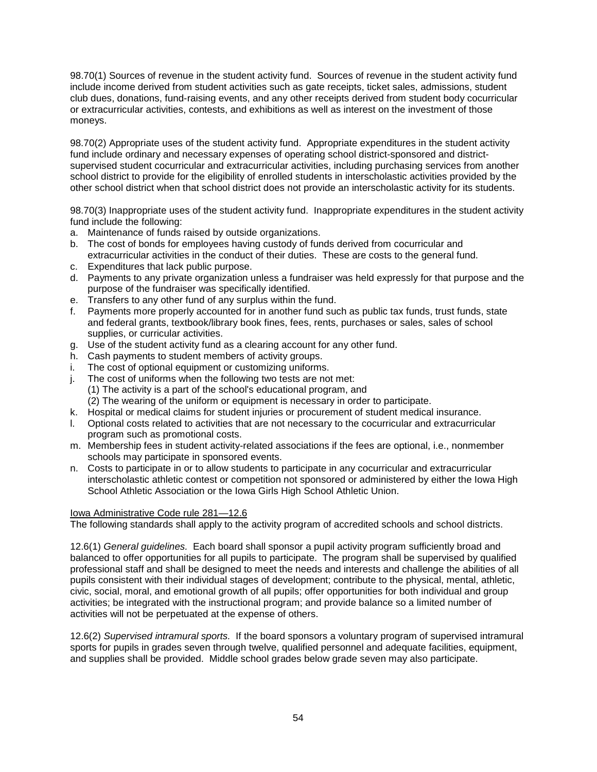98.70(1) Sources of revenue in the student activity fund. Sources of revenue in the student activity fund include income derived from student activities such as gate receipts, ticket sales, admissions, student club dues, donations, fund-raising events, and any other receipts derived from student body cocurricular or extracurricular activities, contests, and exhibitions as well as interest on the investment of those moneys.

98.70(2) Appropriate uses of the student activity fund. Appropriate expenditures in the student activity fund include ordinary and necessary expenses of operating school district-sponsored and districtsupervised student cocurricular and extracurricular activities, including purchasing services from another school district to provide for the eligibility of enrolled students in interscholastic activities provided by the other school district when that school district does not provide an interscholastic activity for its students.

98.70(3) Inappropriate uses of the student activity fund. Inappropriate expenditures in the student activity fund include the following:

- a. Maintenance of funds raised by outside organizations.
- b. The cost of bonds for employees having custody of funds derived from cocurricular and extracurricular activities in the conduct of their duties. These are costs to the general fund.
- c. Expenditures that lack public purpose.
- d. Payments to any private organization unless a fundraiser was held expressly for that purpose and the purpose of the fundraiser was specifically identified.
- e. Transfers to any other fund of any surplus within the fund.
- f. Payments more properly accounted for in another fund such as public tax funds, trust funds, state and federal grants, textbook/library book fines, fees, rents, purchases or sales, sales of school supplies, or curricular activities.
- g. Use of the student activity fund as a clearing account for any other fund.
- h. Cash payments to student members of activity groups.
- i. The cost of optional equipment or customizing uniforms.
- j. The cost of uniforms when the following two tests are not met:
	- (1) The activity is a part of the school's educational program, and
	- (2) The wearing of the uniform or equipment is necessary in order to participate.
- k. Hospital or medical claims for student injuries or procurement of student medical insurance.
- l. Optional costs related to activities that are not necessary to the cocurricular and extracurricular program such as promotional costs.
- m. Membership fees in student activity-related associations if the fees are optional, i.e., nonmember schools may participate in sponsored events.
- n. Costs to participate in or to allow students to participate in any cocurricular and extracurricular interscholastic athletic contest or competition not sponsored or administered by either the Iowa High School Athletic Association or the Iowa Girls High School Athletic Union.

#### Iowa Administrative Code rule 281—12.6

The following standards shall apply to the activity program of accredited schools and school districts.

12.6(1) *General guidelines.* Each board shall sponsor a pupil activity program sufficiently broad and balanced to offer opportunities for all pupils to participate. The program shall be supervised by qualified professional staff and shall be designed to meet the needs and interests and challenge the abilities of all pupils consistent with their individual stages of development; contribute to the physical, mental, athletic, civic, social, moral, and emotional growth of all pupils; offer opportunities for both individual and group activities; be integrated with the instructional program; and provide balance so a limited number of activities will not be perpetuated at the expense of others.

12.6(2) *Supervised intramural sports.* If the board sponsors a voluntary program of supervised intramural sports for pupils in grades seven through twelve, qualified personnel and adequate facilities, equipment, and supplies shall be provided. Middle school grades below grade seven may also participate.